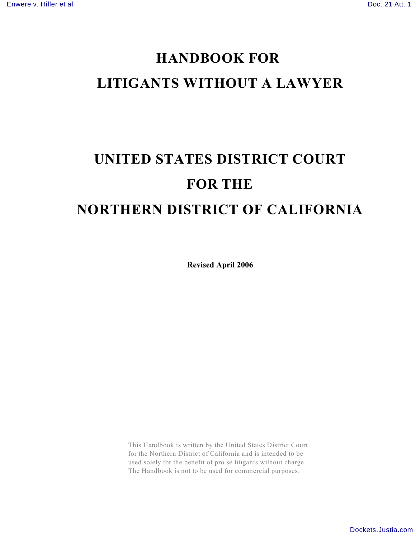# **HANDBOOK FOR LITIGANTS WITHOUT A LAWYER**

# **UNITED STATES DISTRICT COURT FOR THE NORTHERN DISTRICT OF CALIFORNIA**

**Revised April 2006**

This Handbook is written by the United States District Court for the Northern District of California and is intended to be used solely for the benefit of pro se litigants without charge. The Handbook is not to be used for commercial purposes.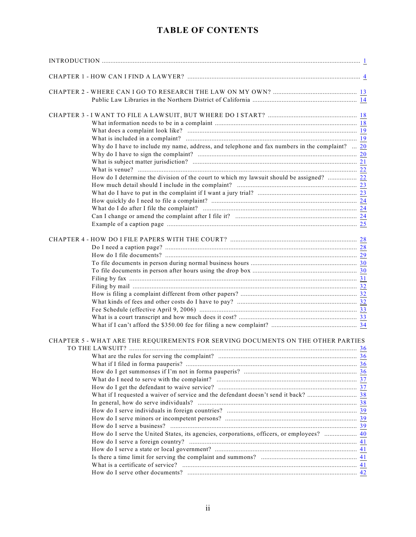| Why do I have to include my name, address, and telephone and fax numbers in the complaint? $20$ |  |
|-------------------------------------------------------------------------------------------------|--|
|                                                                                                 |  |
|                                                                                                 |  |
|                                                                                                 |  |
| How do I determine the division of the court to which my lawsuit should be assigned?  22        |  |
|                                                                                                 |  |
|                                                                                                 |  |
|                                                                                                 |  |
|                                                                                                 |  |
|                                                                                                 |  |
|                                                                                                 |  |
|                                                                                                 |  |
|                                                                                                 |  |
|                                                                                                 |  |
|                                                                                                 |  |
|                                                                                                 |  |
|                                                                                                 |  |
|                                                                                                 |  |
|                                                                                                 |  |
|                                                                                                 |  |
|                                                                                                 |  |
|                                                                                                 |  |
|                                                                                                 |  |
| CHAPTER 5 - WHAT ARE THE REQUIREMENTS FOR SERVING DOCUMENTS ON THE OTHER PARTIES                |  |
|                                                                                                 |  |
|                                                                                                 |  |
|                                                                                                 |  |
|                                                                                                 |  |
|                                                                                                 |  |
|                                                                                                 |  |
|                                                                                                 |  |
|                                                                                                 |  |
|                                                                                                 |  |
|                                                                                                 |  |
|                                                                                                 |  |
| How do I serve the United States, its agencies, corporations, officers, or employees?  40       |  |
|                                                                                                 |  |
|                                                                                                 |  |
|                                                                                                 |  |
|                                                                                                 |  |
|                                                                                                 |  |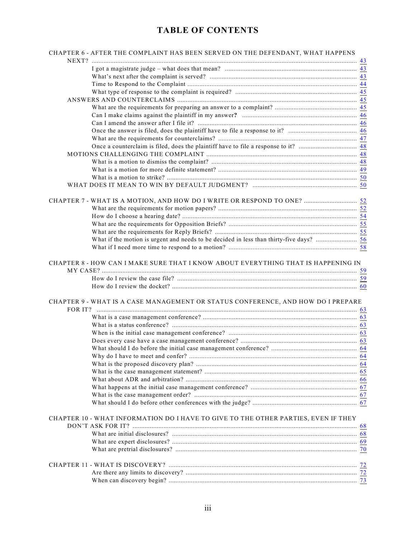| CHAPTER 6 - AFTER THE COMPLAINT HAS BEEN SERVED ON THE DEFENDANT, WHAT HAPPENS     |  |
|------------------------------------------------------------------------------------|--|
|                                                                                    |  |
|                                                                                    |  |
|                                                                                    |  |
|                                                                                    |  |
|                                                                                    |  |
|                                                                                    |  |
|                                                                                    |  |
|                                                                                    |  |
|                                                                                    |  |
|                                                                                    |  |
|                                                                                    |  |
|                                                                                    |  |
|                                                                                    |  |
|                                                                                    |  |
|                                                                                    |  |
|                                                                                    |  |
|                                                                                    |  |
| CHAPTER 7 - WHAT IS A MOTION, AND HOW DO I WRITE OR RESPOND TO ONE?  52            |  |
|                                                                                    |  |
|                                                                                    |  |
|                                                                                    |  |
|                                                                                    |  |
|                                                                                    |  |
|                                                                                    |  |
| CHAPTER 8 - HOW CAN I MAKE SURE THAT I KNOW ABOUT EVERYTHING THAT IS HAPPENING IN  |  |
|                                                                                    |  |
|                                                                                    |  |
|                                                                                    |  |
| CHAPTER 9 - WHAT IS A CASE MANAGEMENT OR STATUS CONFERENCE, AND HOW DO I PREPARE   |  |
|                                                                                    |  |
|                                                                                    |  |
|                                                                                    |  |
|                                                                                    |  |
|                                                                                    |  |
|                                                                                    |  |
|                                                                                    |  |
|                                                                                    |  |
|                                                                                    |  |
|                                                                                    |  |
|                                                                                    |  |
|                                                                                    |  |
|                                                                                    |  |
|                                                                                    |  |
| CHAPTER 10 - WHAT INFORMATION DO I HAVE TO GIVE TO THE OTHER PARTIES, EVEN IF THEY |  |
|                                                                                    |  |
|                                                                                    |  |
|                                                                                    |  |
|                                                                                    |  |
|                                                                                    |  |
|                                                                                    |  |
|                                                                                    |  |
|                                                                                    |  |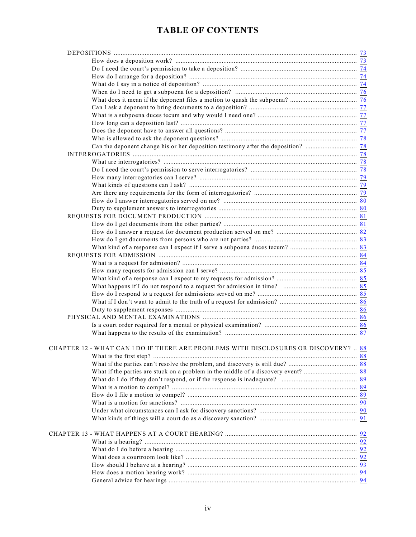| CHAPTER 12 - WHAT CAN I DO IF THERE ARE PROBLEMS WITH DISCLOSURES OR DISCOVERY?  88 |  |
|-------------------------------------------------------------------------------------|--|
|                                                                                     |  |
|                                                                                     |  |
|                                                                                     |  |
|                                                                                     |  |
|                                                                                     |  |
|                                                                                     |  |
|                                                                                     |  |
|                                                                                     |  |
|                                                                                     |  |
|                                                                                     |  |
|                                                                                     |  |
|                                                                                     |  |
|                                                                                     |  |
|                                                                                     |  |
|                                                                                     |  |
|                                                                                     |  |
|                                                                                     |  |
|                                                                                     |  |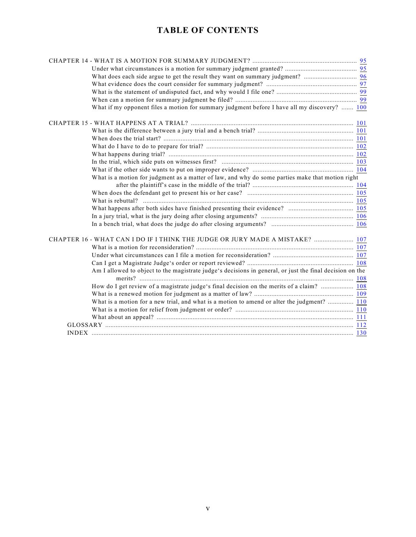| What if my opponent files a motion for summary judgment before I have all my discovery?  100             |  |
|----------------------------------------------------------------------------------------------------------|--|
|                                                                                                          |  |
|                                                                                                          |  |
|                                                                                                          |  |
|                                                                                                          |  |
|                                                                                                          |  |
|                                                                                                          |  |
|                                                                                                          |  |
| What is a motion for judgment as a matter of law, and why do some parties make that motion right         |  |
|                                                                                                          |  |
|                                                                                                          |  |
|                                                                                                          |  |
|                                                                                                          |  |
|                                                                                                          |  |
|                                                                                                          |  |
| CHAPTER 16 - WHAT CAN I DO IF I THINK THE JUDGE OR JURY MADE A MISTAKE?  107                             |  |
|                                                                                                          |  |
|                                                                                                          |  |
|                                                                                                          |  |
| Am I allowed to object to the magistrate judge's decisions in general, or just the final decision on the |  |
| How do I get review of a magistrate judge's final decision on the merits of a claim?  108                |  |
|                                                                                                          |  |
| What is a motion for a new trial, and what is a motion to amend or alter the judgment?  110              |  |
|                                                                                                          |  |
|                                                                                                          |  |
|                                                                                                          |  |
|                                                                                                          |  |
|                                                                                                          |  |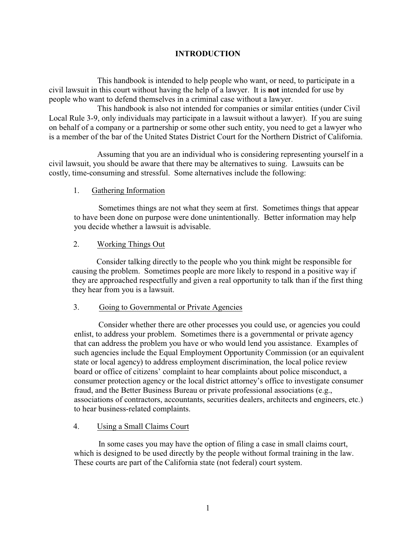#### <span id="page-5-0"></span>**INTRODUCTION**

This handbook is intended to help people who want, or need, to participate in a civil lawsuit in this court without having the help of a lawyer. It is **not** intended for use by people who want to defend themselves in a criminal case without a lawyer.

This handbook is also not intended for companies or similar entities (under Civil Local Rule 3-9, only individuals may participate in a lawsuit without a lawyer). If you are suing on behalf of a company or a partnership or some other such entity, you need to get a lawyer who is a member of the bar of the United States District Court for the Northern District of California.

Assuming that you are an individual who is considering representing yourself in a civil lawsuit, you should be aware that there may be alternatives to suing. Lawsuits can be costly, time-consuming and stressful. Some alternatives include the following:

#### 1. Gathering Information

Sometimes things are not what they seem at first. Sometimes things that appear to have been done on purpose were done unintentionally. Better information may help you decide whether a lawsuit is advisable.

#### 2. Working Things Out

Consider talking directly to the people who you think might be responsible for causing the problem. Sometimes people are more likely to respond in a positive way if they are approached respectfully and given a real opportunity to talk than if the first thing they hear from you is a lawsuit.

#### 3. Going to Governmental or Private Agencies

Consider whether there are other processes you could use, or agencies you could enlist, to address your problem. Sometimes there is a governmental or private agency that can address the problem you have or who would lend you assistance. Examples of such agencies include the Equal Employment Opportunity Commission (or an equivalent state or local agency) to address employment discrimination, the local police review board or office of citizens' complaint to hear complaints about police misconduct, a consumer protection agency or the local district attorney's office to investigate consumer fraud, and the Better Business Bureau or private professional associations (e.g., associations of contractors, accountants, securities dealers, architects and engineers, etc.) to hear business-related complaints.

#### 4. Using a Small Claims Court

In some cases you may have the option of filing a case in small claims court, which is designed to be used directly by the people without formal training in the law. These courts are part of the California state (not federal) court system.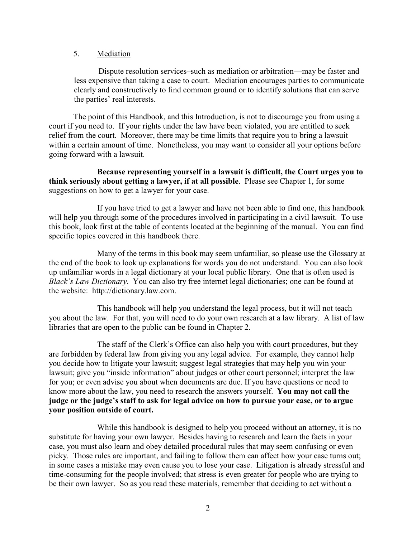#### 5. Mediation

Dispute resolution services–such as mediation or arbitration—may be faster and less expensive than taking a case to court. Mediation encourages parties to communicate clearly and constructively to find common ground or to identify solutions that can serve the parties' real interests.

The point of this Handbook, and this Introduction, is not to discourage you from using a court if you need to. If your rights under the law have been violated, you are entitled to seek relief from the court. Moreover, there may be time limits that require you to bring a lawsuit within a certain amount of time. Nonetheless, you may want to consider all your options before going forward with a lawsuit.

**Because representing yourself in a lawsuit is difficult, the Court urges you to think seriously about getting a lawyer, if at all possible**. Please see Chapter 1, for some suggestions on how to get a lawyer for your case.

If you have tried to get a lawyer and have not been able to find one, this handbook will help you through some of the procedures involved in participating in a civil lawsuit. To use this book, look first at the table of contents located at the beginning of the manual. You can find specific topics covered in this handbook there.

Many of the terms in this book may seem unfamiliar, so please use the Glossary at the end of the book to look up explanations for words you do not understand. You can also look up unfamiliar words in a legal dictionary at your local public library. One that is often used is *Black's Law Dictionary*. You can also try free internet legal dictionaries; one can be found at the website: http://dictionary.law.com.

This handbook will help you understand the legal process, but it will not teach you about the law. For that, you will need to do your own research at a law library. A list of law libraries that are open to the public can be found in Chapter 2.

The staff of the Clerk's Office can also help you with court procedures, but they are forbidden by federal law from giving you any legal advice. For example, they cannot help you decide how to litigate your lawsuit; suggest legal strategies that may help you win your lawsuit; give you "inside information" about judges or other court personnel; interpret the law for you; or even advise you about when documents are due. If you have questions or need to know more about the law, you need to research the answers yourself. **You may not call the judge or the judge's staff to ask for legal advice on how to pursue your case, or to argue your position outside of court.**

While this handbook is designed to help you proceed without an attorney, it is no substitute for having your own lawyer. Besides having to research and learn the facts in your case, you must also learn and obey detailed procedural rules that may seem confusing or even picky. Those rules are important, and failing to follow them can affect how your case turns out; in some cases a mistake may even cause you to lose your case. Litigation is already stressful and time-consuming for the people involved; that stress is even greater for people who are trying to be their own lawyer. So as you read these materials, remember that deciding to act without a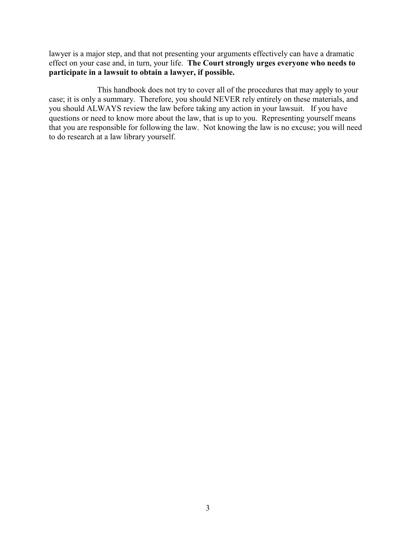lawyer is a major step, and that not presenting your arguments effectively can have a dramatic effect on your case and, in turn, your life. **The Court strongly urges everyone who needs to participate in a lawsuit to obtain a lawyer, if possible.**

This handbook does not try to cover all of the procedures that may apply to your case; it is only a summary. Therefore, you should NEVER rely entirely on these materials, and you should ALWAYS review the law before taking any action in your lawsuit. If you have questions or need to know more about the law, that is up to you. Representing yourself means that you are responsible for following the law. Not knowing the law is no excuse; you will need to do research at a law library yourself.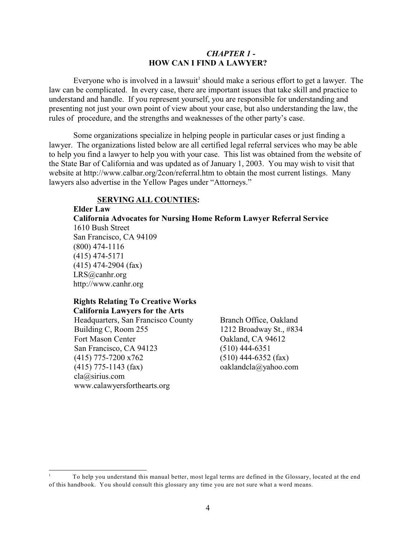#### <span id="page-8-0"></span>*CHAPTER 1 -*  **HOW CAN I FIND A LAWYER?**

Everyone who is involved in a lawsuit<sup>1</sup> should make a serious effort to get a lawyer. The law can be complicated. In every case, there are important issues that take skill and practice to understand and handle. If you represent yourself, you are responsible for understanding and presenting not just your own point of view about your case, but also understanding the law, the rules of procedure, and the strengths and weaknesses of the other party's case.

Some organizations specialize in helping people in particular cases or just finding a lawyer. The organizations listed below are all certified legal referral services who may be able to help you find a lawyer to help you with your case. This list was obtained from the website of the State Bar of California and was updated as of January 1, 2003. You may wish to visit that website at http://www.calbar.org/2con/referral.htm to obtain the most current listings. Many lawyers also advertise in the Yellow Pages under "Attorneys."

#### **SERVING ALL COUNTIES:**

**Elder Law**

**California Advocates for Nursing Home Reform Lawyer Referral Service** 1610 Bush Street San Francisco, CA 94109 (800) 474-1116 (415) 474-5171 (415) 474-2904 (fax) LRS@canhr.org http://www.canhr.org

#### **Rights Relating To Creative Works California Lawyers for the Arts**

Headquarters, San Francisco County Branch Office, Oakland Building C, Room 255 1212 Broadway St., #834 Fort Mason Center Calculars CA 94612<br>
San Francisco, CA 94123 (510) 444-6351 San Francisco, CA 94123 (415) 775-7200 x762 (510) 444-6352 (fax) (415) 775-1143 (fax) oaklandcla@yahoo.com cla@sirius.com www.calawyersforthearts.org

To help you understand this manual better, most legal terms are defined in the Glossary, located at the end <sup>1</sup> of this handbook. You should consult this glossary any time you are not sure what a word means.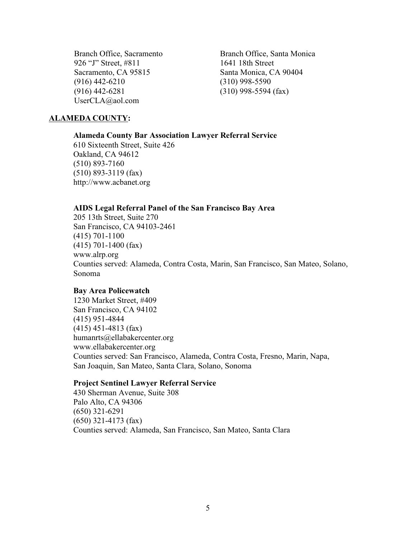Branch Office, Sacramento Branch Office, Santa Monica 926 "J" Street, #811 1641 18th Street Sacramento, CA 95815 Santa Monica, CA 90404 (916) 442-6210 (310) 998-5590 (916) 442-6281 (310) 998-5594 (fax) UserCLA@aol.com

#### **ALAMEDA COUNTY:**

#### **Alameda County Bar Association Lawyer Referral Service**

610 Sixteenth Street, Suite 426 Oakland, CA 94612 (510) 893-7160 (510) 893-3119 (fax) http://www.acbanet.org

#### **AIDS Legal Referral Panel of the San Francisco Bay Area**

205 13th Street, Suite 270 San Francisco, CA 94103-2461 (415) 701-1100 (415) 701-1400 (fax) www.alrp.org Counties served: Alameda, Contra Costa, Marin, San Francisco, San Mateo, Solano, Sonoma

#### **Bay Area Policewatch**

1230 Market Street, #409 San Francisco, CA 94102 (415) 951-4844 (415) 451-4813 (fax) humanrts@ellabakercenter.org www.ellabakercenter.org Counties served: San Francisco, Alameda, Contra Costa, Fresno, Marin, Napa, San Joaquin, San Mateo, Santa Clara, Solano, Sonoma

#### **Project Sentinel Lawyer Referral Service**

430 Sherman Avenue, Suite 308 Palo Alto, CA 94306 (650) 321-6291 (650) 321-4173 (fax) Counties served: Alameda, San Francisco, San Mateo, Santa Clara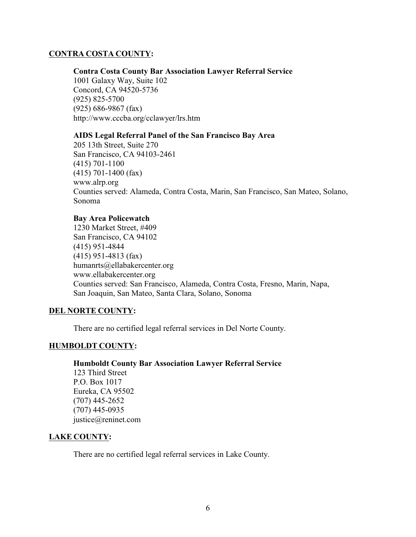#### **CONTRA COSTA COUNTY:**

#### **Contra Costa County Bar Association Lawyer Referral Service**

1001 Galaxy Way, Suite 102 Concord, CA 94520-5736 (925) 825-5700 (925) 686-9867 (fax) http://www.cccba.org/cclawyer/lrs.htm

#### **AIDS Legal Referral Panel of the San Francisco Bay Area**

205 13th Street, Suite 270 San Francisco, CA 94103-2461 (415) 701-1100 (415) 701-1400 (fax) www.alrp.org Counties served: Alameda, Contra Costa, Marin, San Francisco, San Mateo, Solano, Sonoma

#### **Bay Area Policewatch**

1230 Market Street, #409 San Francisco, CA 94102 (415) 951-4844 (415) 951-4813 (fax) humanrts@ellabakercenter.org www.ellabakercenter.org Counties served: San Francisco, Alameda, Contra Costa, Fresno, Marin, Napa, San Joaquin, San Mateo, Santa Clara, Solano, Sonoma

#### **DEL NORTE COUNTY:**

There are no certified legal referral services in Del Norte County.

#### **HUMBOLDT COUNTY:**

**Humboldt County Bar Association Lawyer Referral Service** 123 Third Street P.O. Box 1017 Eureka, CA 95502 (707) 445-2652 (707) 445-0935 justice@reninet.com

#### **LAKE COUNTY:**

There are no certified legal referral services in Lake County.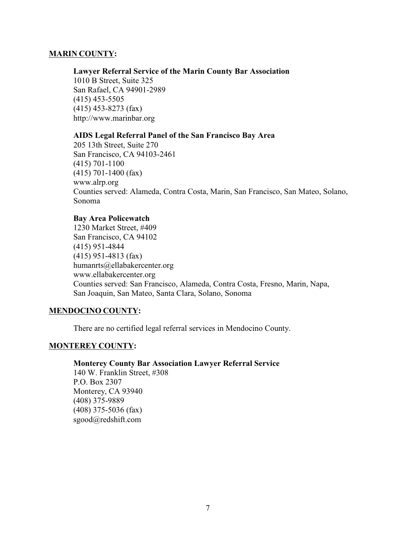#### **MARIN COUNTY:**

#### **Lawyer Referral Service of the Marin County Bar Association**

1010 B Street, Suite 325 San Rafael, CA 94901-2989 (415) 453-5505 (415) 453-8273 (fax) http://www.marinbar.org

#### **AIDS Legal Referral Panel of the San Francisco Bay Area**

205 13th Street, Suite 270 San Francisco, CA 94103-2461 (415) 701-1100 (415) 701-1400 (fax) www.alrp.org Counties served: Alameda, Contra Costa, Marin, San Francisco, San Mateo, Solano, Sonoma

#### **Bay Area Policewatch**

1230 Market Street, #409 San Francisco, CA 94102 (415) 951-4844 (415) 951-4813 (fax) humanrts@ellabakercenter.org www.ellabakercenter.org Counties served: San Francisco, Alameda, Contra Costa, Fresno, Marin, Napa, San Joaquin, San Mateo, Santa Clara, Solano, Sonoma

#### **MENDOCINO COUNTY:**

There are no certified legal referral services in Mendocino County.

#### **MONTEREY COUNTY:**

#### **Monterey County Bar Association Lawyer Referral Service**

140 W. Franklin Street, #308 P.O. Box 2307 Monterey, CA 93940 (408) 375-9889 (408) 375-5036 (fax) sgood@redshift.com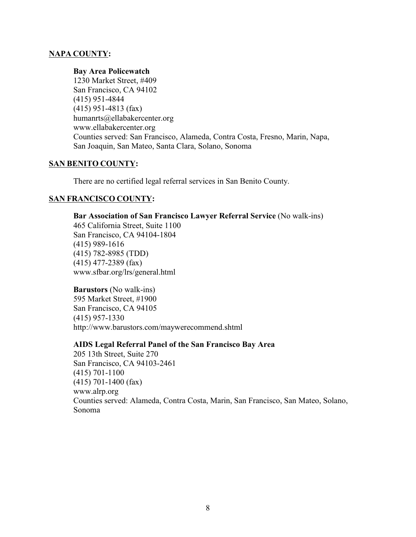#### **NAPA COUNTY:**

#### **Bay Area Policewatch**

1230 Market Street, #409 San Francisco, CA 94102 (415) 951-4844 (415) 951-4813 (fax) humanrts@ellabakercenter.org www.ellabakercenter.org Counties served: San Francisco, Alameda, Contra Costa, Fresno, Marin, Napa, San Joaquin, San Mateo, Santa Clara, Solano, Sonoma

#### **SAN BENITO COUNTY:**

There are no certified legal referral services in San Benito County.

#### **SAN FRANCISCO COUNTY:**

#### **Bar Association of San Francisco Lawyer Referral Service** (No walk-ins)

465 California Street, Suite 1100 San Francisco, CA 94104-1804 (415) 989-1616 (415) 782-8985 (TDD) (415) 477-2389 (fax) www.sfbar.org/lrs/general.html

**Barustors** (No walk-ins) 595 Market Street, #1900 San Francisco, CA 94105 (415) 957-1330 http://www.barustors.com/maywerecommend.shtml

#### **AIDS Legal Referral Panel of the San Francisco Bay Area**

205 13th Street, Suite 270 San Francisco, CA 94103-2461 (415) 701-1100 (415) 701-1400 (fax) www.alrp.org Counties served: Alameda, Contra Costa, Marin, San Francisco, San Mateo, Solano, Sonoma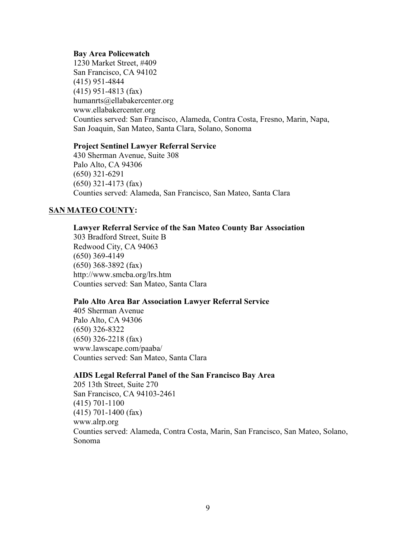#### **Bay Area Policewatch**

1230 Market Street, #409 San Francisco, CA 94102 (415) 951-4844 (415) 951-4813 (fax) humanrts@ellabakercenter.org www.ellabakercenter.org Counties served: San Francisco, Alameda, Contra Costa, Fresno, Marin, Napa, San Joaquin, San Mateo, Santa Clara, Solano, Sonoma

#### **Project Sentinel Lawyer Referral Service**

430 Sherman Avenue, Suite 308 Palo Alto, CA 94306 (650) 321-6291 (650) 321-4173 (fax) Counties served: Alameda, San Francisco, San Mateo, Santa Clara

#### **SAN MATEO COUNTY:**

#### **Lawyer Referral Service of the San Mateo County Bar Association**

303 Bradford Street, Suite B Redwood City, CA 94063 (650) 369-4149 (650) 368-3892 (fax) http://www.smcba.org/lrs.htm Counties served: San Mateo, Santa Clara

#### **Palo Alto Area Bar Association Lawyer Referral Service**

405 Sherman Avenue Palo Alto, CA 94306 (650) 326-8322 (650) 326-2218 (fax) www.lawscape.com/paaba/ Counties served: San Mateo, Santa Clara

#### **AIDS Legal Referral Panel of the San Francisco Bay Area**

205 13th Street, Suite 270 San Francisco, CA 94103-2461 (415) 701-1100 (415) 701-1400 (fax) www.alrp.org Counties served: Alameda, Contra Costa, Marin, San Francisco, San Mateo, Solano, Sonoma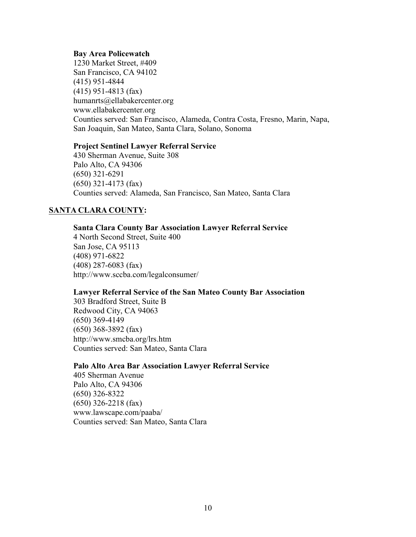#### **Bay Area Policewatch**

1230 Market Street, #409 San Francisco, CA 94102 (415) 951-4844 (415) 951-4813 (fax) humanrts@ellabakercenter.org www.ellabakercenter.org Counties served: San Francisco, Alameda, Contra Costa, Fresno, Marin, Napa, San Joaquin, San Mateo, Santa Clara, Solano, Sonoma

#### **Project Sentinel Lawyer Referral Service**

430 Sherman Avenue, Suite 308 Palo Alto, CA 94306 (650) 321-6291 (650) 321-4173 (fax) Counties served: Alameda, San Francisco, San Mateo, Santa Clara

#### **SANTA CLARA COUNTY:**

#### **Santa Clara County Bar Association Lawyer Referral Service**

4 North Second Street, Suite 400 San Jose, CA 95113 (408) 971-6822 (408) 287-6083 (fax) http://www.sccba.com/legalconsumer/

#### **Lawyer Referral Service of the San Mateo County Bar Association**

303 Bradford Street, Suite B Redwood City, CA 94063 (650) 369-4149 (650) 368-3892 (fax) http://www.smcba.org/lrs.htm Counties served: San Mateo, Santa Clara

#### **Palo Alto Area Bar Association Lawyer Referral Service**

405 Sherman Avenue Palo Alto, CA 94306 (650) 326-8322 (650) 326-2218 (fax) www.lawscape.com/paaba/ Counties served: San Mateo, Santa Clara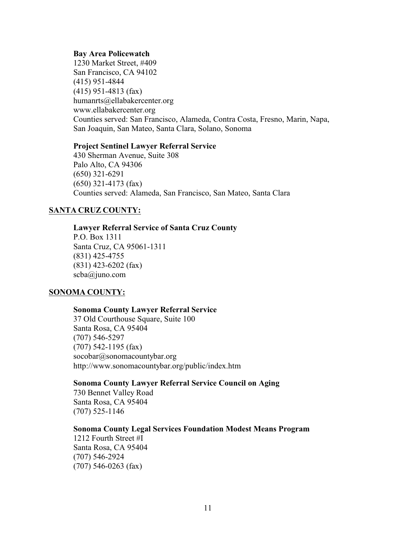#### **Bay Area Policewatch**

1230 Market Street, #409 San Francisco, CA 94102 (415) 951-4844 (415) 951-4813 (fax) humanrts@ellabakercenter.org www.ellabakercenter.org Counties served: San Francisco, Alameda, Contra Costa, Fresno, Marin, Napa, San Joaquin, San Mateo, Santa Clara, Solano, Sonoma

#### **Project Sentinel Lawyer Referral Service**

430 Sherman Avenue, Suite 308 Palo Alto, CA 94306 (650) 321-6291 (650) 321-4173 (fax) Counties served: Alameda, San Francisco, San Mateo, Santa Clara

#### **SANTA CRUZ COUNTY:**

#### **Lawyer Referral Service of Santa Cruz County**

P.O. Box 1311 Santa Cruz, CA 95061-1311 (831) 425-4755 (831) 423-6202 (fax) scba@juno.com

#### **SONOMA COUNTY:**

#### **Sonoma County Lawyer Referral Service**

37 Old Courthouse Square, Suite 100 Santa Rosa, CA 95404 (707) 546-5297 (707) 542-1195 (fax) socobar@sonomacountybar.org http://www.sonomacountybar.org/public/index.htm

#### **Sonoma County Lawyer Referral Service Council on Aging**

730 Bennet Valley Road Santa Rosa, CA 95404 (707) 525-1146

#### **Sonoma County Legal Services Foundation Modest Means Program**

1212 Fourth Street #I Santa Rosa, CA 95404 (707) 546-2924 (707) 546-0263 (fax)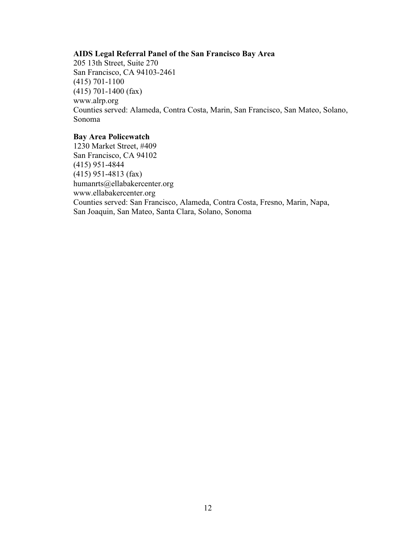#### **AIDS Legal Referral Panel of the San Francisco Bay Area**

205 13th Street, Suite 270 San Francisco, CA 94103-2461 (415) 701-1100 (415) 701-1400 (fax) www.alrp.org Counties served: Alameda, Contra Costa, Marin, San Francisco, San Mateo, Solano, Sonoma

#### **Bay Area Policewatch**

1230 Market Street, #409 San Francisco, CA 94102 (415) 951-4844 (415) 951-4813 (fax) humanrts@ellabakercenter.org www.ellabakercenter.org Counties served: San Francisco, Alameda, Contra Costa, Fresno, Marin, Napa, San Joaquin, San Mateo, Santa Clara, Solano, Sonoma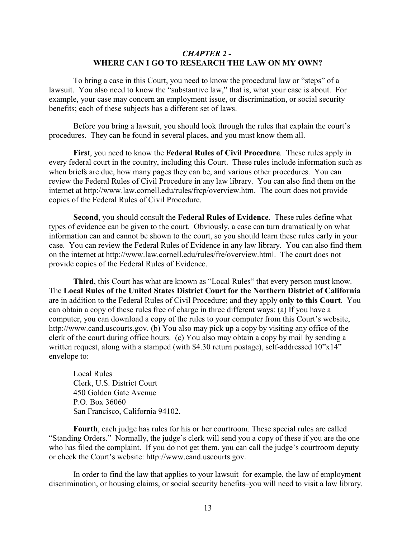#### <span id="page-17-0"></span>*CHAPTER 2 -*  **WHERE CAN I GO TO RESEARCH THE LAW ON MY OWN?**

To bring a case in this Court, you need to know the procedural law or "steps" of a lawsuit. You also need to know the "substantive law," that is, what your case is about. For example, your case may concern an employment issue, or discrimination, or social security benefits; each of these subjects has a different set of laws.

Before you bring a lawsuit, you should look through the rules that explain the court's procedures. They can be found in several places, and you must know them all.

**First**, you need to know the **Federal Rules of Civil Procedure**. These rules apply in every federal court in the country, including this Court. These rules include information such as when briefs are due, how many pages they can be, and various other procedures. You can review the Federal Rules of Civil Procedure in any law library. You can also find them on the internet at http://www.law.cornell.edu/rules/frcp/overview.htm. The court does not provide copies of the Federal Rules of Civil Procedure.

**Second**, you should consult the **Federal Rules of Evidence**. These rules define what types of evidence can be given to the court. Obviously, a case can turn dramatically on what information can and cannot be shown to the court, so you should learn these rules early in your case. You can review the Federal Rules of Evidence in any law library. You can also find them on the internet at http://www.law.cornell.edu/rules/fre/overview.html. The court does not provide copies of the Federal Rules of Evidence.

**Third**, this Court has what are known as "Local Rules" that every person must know. The **Local Rules of the United States District Court for the Northern District of California** are in addition to the Federal Rules of Civil Procedure; and they apply **only to this Court**. You can obtain a copy of these rules free of charge in three different ways: (a) If you have a computer, you can download a copy of the rules to your computer from this Court's website, http://www.cand.uscourts.gov. (b) You also may pick up a copy by visiting any office of the clerk of the court during office hours. (c) You also may obtain a copy by mail by sending a written request, along with a stamped (with \$4.30 return postage), self-addressed 10"x14" envelope to:

Local Rules Clerk, U.S. District Court 450 Golden Gate Avenue P.O. Box 36060 San Francisco, California 94102.

**Fourth**, each judge has rules for his or her courtroom. These special rules are called "Standing Orders." Normally, the judge's clerk will send you a copy of these if you are the one who has filed the complaint. If you do not get them, you can call the judge's courtroom deputy or check the Court's website: http://www.cand.uscourts.gov.

In order to find the law that applies to your lawsuit–for example, the law of employment discrimination, or housing claims, or social security benefits–you will need to visit a law library.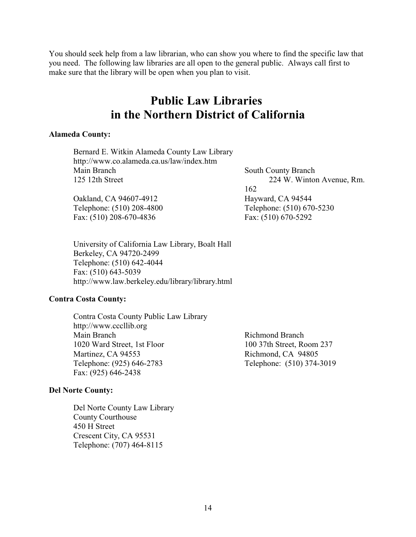You should seek help from a law librarian, who can show you where to find the specific law that you need. The following law libraries are all open to the general public. Always call first to make sure that the library will be open when you plan to visit.

# <span id="page-18-0"></span>**Public Law Libraries in the Northern District of California**

#### **Alameda County:**

| Bernard E. Witkin Alameda County Law Library |                            |
|----------------------------------------------|----------------------------|
| http://www.co.alameda.ca.us/law/index.htm    |                            |
| Main Branch                                  | <b>South County Branch</b> |
| 125 12th Street                              | 224 W. Winton Avenue, Rm.  |
|                                              | 162                        |
| Oakland, CA 94607-4912                       | Hayward, CA 94544          |
| Telephone: (510) 208-4800                    | Telephone: (510) 670-5230  |
| Fax: $(510)$ 208-670-4836                    | Fax: (510) 670-5292        |
|                                              |                            |

University of California Law Library, Boalt Hall Berkeley, CA 94720-2499 Telephone: (510) 642-4044 Fax: (510) 643-5039 http://www.law.berkeley.edu/library/library.html

#### **Contra Costa County:**

Contra Costa County Public Law Library http://www.cccllib.org<br>Main Branch 1020 Ward Street, 1st Floor 100 37th Street, Room 237 Martinez, CA 94553<br>
Telephone: (925) 646-2783<br>
Telephone: (510) 374-Fax: (925) 646-2438

#### **Del Norte County:**

Del Norte County Law Library County Courthouse 450 H Street Crescent City, CA 95531 Telephone: (707) 464-8115

Richmond Branch Telephone: (510) 374-3019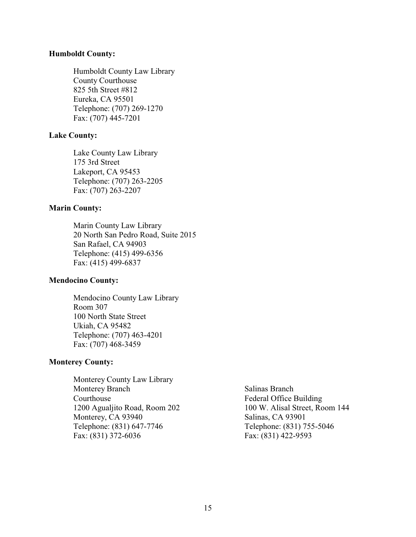#### **Humboldt County:**

Humboldt County Law Library County Courthouse 825 5th Street #812 Eureka, CA 95501 Telephone: (707) 269-1270 Fax: (707) 445-7201

#### **Lake County:**

Lake County Law Library 175 3rd Street Lakeport, CA 95453 Telephone: (707) 263-2205 Fax: (707) 263-2207

#### **Marin County:**

Marin County Law Library 20 North San Pedro Road, Suite 2015 San Rafael, CA 94903 Telephone: (415) 499-6356 Fax: (415) 499-6837

#### **Mendocino County:**

Mendocino County Law Library Room 307 100 North State Street Ukiah, CA 95482 Telephone: (707) 463-4201 Fax: (707) 468-3459

#### **Monterey County:**

Monterey County Law Library Monterey Branch Salinas Branch Courthouse Federal Office Building 1200 Agualjito Road, Room 202 100 W. Alisal Street, Room 144 Monterey, CA 93940 Salinas, CA 93901 Telephone: (831) 647-7746 Telephone: (831) 755-5046 Fax: (831) 372-6036 Fax: (831) 422-9593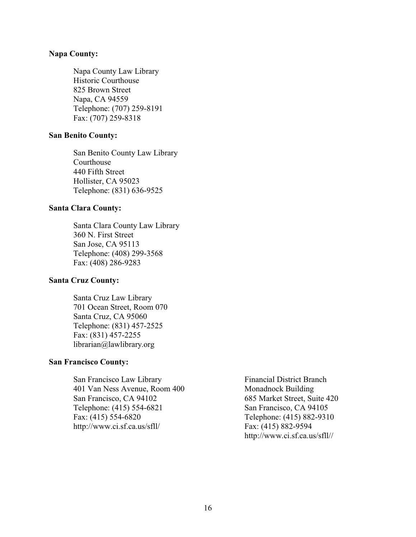#### **Napa County:**

Napa County Law Library Historic Courthouse 825 Brown Street Napa, CA 94559 Telephone: (707) 259-8191 Fax: (707) 259-8318

#### **San Benito County:**

San Benito County Law Library Courthouse 440 Fifth Street Hollister, CA 95023 Telephone: (831) 636-9525

#### **Santa Clara County:**

Santa Clara County Law Library 360 N. First Street San Jose, CA 95113 Telephone: (408) 299-3568 Fax: (408) 286-9283

#### **Santa Cruz County:**

Santa Cruz Law Library 701 Ocean Street, Room 070 Santa Cruz, CA 95060 Telephone: (831) 457-2525 Fax: (831) 457-2255 librarian@lawlibrary.org

#### **San Francisco County:**

San Francisco Law Library Financial District Branch 401 Van Ness Avenue, Room 400 Monadnock Building San Francisco, CA 94102<br>
Telephone: (415) 554-6821<br>
San Francisco, CA 94105 Telephone: (415) 554-6821 Fax: (415) 554-6820<br>http://www.ci.sf.ca.us/sfll/ Fax: (415) 882-9594  $http://www.ci.sf.ca.us/sfll/$ 

http://www.ci.sf.ca.us/sfll//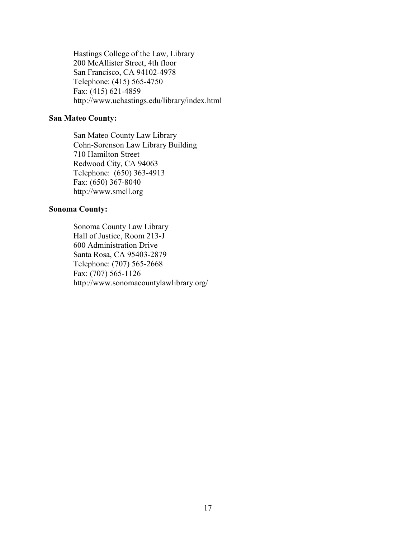Hastings College of the Law, Library 200 McAllister Street, 4th floor San Francisco, CA 94102-4978 Telephone: (415) 565-4750 Fax: (415) 621-4859 http://www.uchastings.edu/library/index.html

### **San Mateo County:**

San Mateo County Law Library Cohn-Sorenson Law Library Building 710 Hamilton Street Redwood City, CA 94063 Telephone: (650) 363-4913 Fax: (650) 367-8040 http://www.smcll.org

#### **Sonoma County:**

Sonoma County Law Library Hall of Justice, Room 213-J 600 Administration Drive Santa Rosa, CA 95403-2879 Telephone: (707) 565-2668 Fax: (707) 565-1126 http://www.sonomacountylawlibrary.org/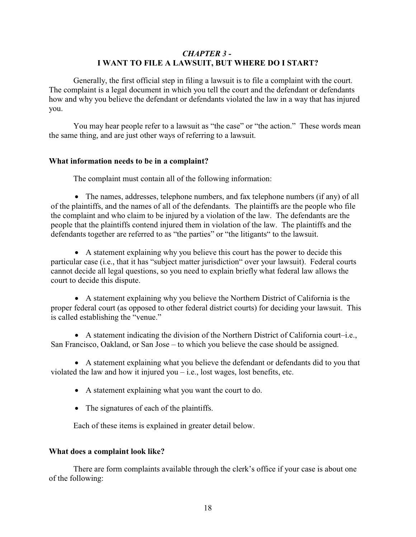#### <span id="page-22-0"></span>*CHAPTER 3 -*  **I WANT TO FILE A LAWSUIT, BUT WHERE DO I START?**

Generally, the first official step in filing a lawsuit is to file a complaint with the court. The complaint is a legal document in which you tell the court and the defendant or defendants how and why you believe the defendant or defendants violated the law in a way that has injured you.

You may hear people refer to a lawsuit as "the case" or "the action." These words mean the same thing, and are just other ways of referring to a lawsuit.

#### <span id="page-22-1"></span>**What information needs to be in a complaint?**

The complaint must contain all of the following information:

The names, addresses, telephone numbers, and fax telephone numbers (if any) of all of the plaintiffs, and the names of all of the defendants. The plaintiffs are the people who file the complaint and who claim to be injured by a violation of the law. The defendants are the people that the plaintiffs contend injured them in violation of the law. The plaintiffs and the defendants together are referred to as "the parties" or "the litigants" to the lawsuit.

A statement explaining why you believe this court has the power to decide this particular case (i.e., that it has "subject matter jurisdiction" over your lawsuit). Federal courts cannot decide all legal questions, so you need to explain briefly what federal law allows the court to decide this dispute.

A statement explaining why you believe the Northern District of California is the proper federal court (as opposed to other federal district courts) for deciding your lawsuit. This is called establishing the "venue."

A statement indicating the division of the Northern District of California court–i.e., San Francisco, Oakland, or San Jose – to which you believe the case should be assigned.

A statement explaining what you believe the defendant or defendants did to you that violated the law and how it injured you  $-i.e.,$  lost wages, lost benefits, etc.

A statement explaining what you want the court to do.

The signatures of each of the plaintiffs.

Each of these items is explained in greater detail below.

#### <span id="page-22-2"></span>**What does a complaint look like?**

There are form complaints available through the clerk's office if your case is about one of the following: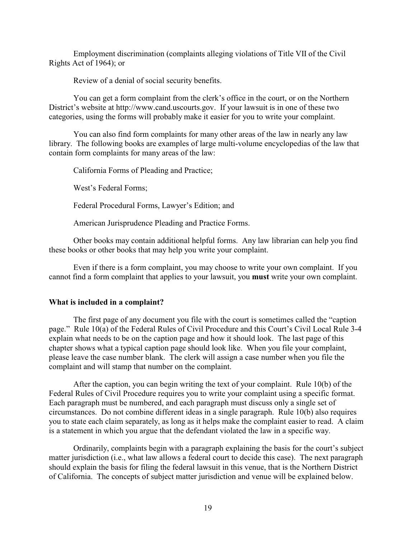Employment discrimination (complaints alleging violations of Title VII of the Civil Rights Act of 1964); or

Review of a denial of social security benefits.

You can get a form complaint from the clerk's office in the court, or on the Northern District's website at http://www.cand.uscourts.gov. If your lawsuit is in one of these two categories, using the forms will probably make it easier for you to write your complaint.

You can also find form complaints for many other areas of the law in nearly any law library. The following books are examples of large multi-volume encyclopedias of the law that contain form complaints for many areas of the law:

California Forms of Pleading and Practice;

West's Federal Forms;

Federal Procedural Forms, Lawyer's Edition; and

American Jurisprudence Pleading and Practice Forms.

Other books may contain additional helpful forms. Any law librarian can help you find these books or other books that may help you write your complaint.

Even if there is a form complaint, you may choose to write your own complaint. If you cannot find a form complaint that applies to your lawsuit, you **must** write your own complaint.

#### <span id="page-23-0"></span>**What is included in a complaint?**

The first page of any document you file with the court is sometimes called the "caption page." Rule 10(a) of the Federal Rules of Civil Procedure and this Court's Civil Local Rule 3-4 explain what needs to be on the caption page and how it should look. The last page of this chapter shows what a typical caption page should look like. When you file your complaint, please leave the case number blank. The clerk will assign a case number when you file the complaint and will stamp that number on the complaint.

After the caption, you can begin writing the text of your complaint. Rule 10(b) of the Federal Rules of Civil Procedure requires you to write your complaint using a specific format. Each paragraph must be numbered, and each paragraph must discuss only a single set of circumstances. Do not combine different ideas in a single paragraph. Rule 10(b) also requires you to state each claim separately, as long as it helps make the complaint easier to read. A claim is a statement in which you argue that the defendant violated the law in a specific way.

Ordinarily, complaints begin with a paragraph explaining the basis for the court's subject matter jurisdiction (i.e., what law allows a federal court to decide this case). The next paragraph should explain the basis for filing the federal lawsuit in this venue, that is the Northern District of California. The concepts of subject matter jurisdiction and venue will be explained below.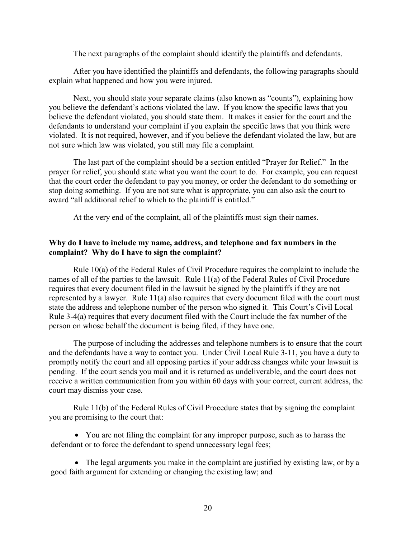The next paragraphs of the complaint should identify the plaintiffs and defendants.

After you have identified the plaintiffs and defendants, the following paragraphs should explain what happened and how you were injured.

Next, you should state your separate claims (also known as "counts"), explaining how you believe the defendant's actions violated the law. If you know the specific laws that you believe the defendant violated, you should state them. It makes it easier for the court and the defendants to understand your complaint if you explain the specific laws that you think were violated. It is not required, however, and if you believe the defendant violated the law, but are not sure which law was violated, you still may file a complaint.

The last part of the complaint should be a section entitled "Prayer for Relief." In the prayer for relief, you should state what you want the court to do. For example, you can request that the court order the defendant to pay you money, or order the defendant to do something or stop doing something. If you are not sure what is appropriate, you can also ask the court to award "all additional relief to which to the plaintiff is entitled."

<span id="page-24-1"></span>At the very end of the complaint, all of the plaintiffs must sign their names.

#### <span id="page-24-0"></span>**Why do I have to include my name, address, and telephone and fax numbers in the complaint? Why do I have to sign the complaint?**

Rule 10(a) of the Federal Rules of Civil Procedure requires the complaint to include the names of all of the parties to the lawsuit. Rule 11(a) of the Federal Rules of Civil Procedure requires that every document filed in the lawsuit be signed by the plaintiffs if they are not represented by a lawyer. Rule 11(a) also requires that every document filed with the court must state the address and telephone number of the person who signed it. This Court's Civil Local Rule 3-4(a) requires that every document filed with the Court include the fax number of the person on whose behalf the document is being filed, if they have one.

The purpose of including the addresses and telephone numbers is to ensure that the court and the defendants have a way to contact you. Under Civil Local Rule 3-11, you have a duty to promptly notify the court and all opposing parties if your address changes while your lawsuit is pending. If the court sends you mail and it is returned as undeliverable, and the court does not receive a written communication from you within 60 days with your correct, current address, the court may dismiss your case.

Rule 11(b) of the Federal Rules of Civil Procedure states that by signing the complaint you are promising to the court that:

You are not filing the complaint for any improper purpose, such as to harass the defendant or to force the defendant to spend unnecessary legal fees;

The legal arguments you make in the complaint are justified by existing law, or by a good faith argument for extending or changing the existing law; and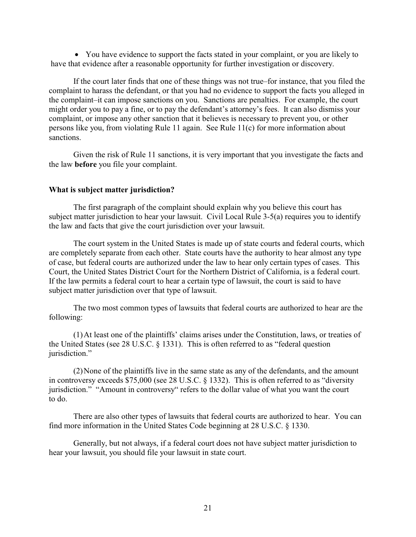You have evidence to support the facts stated in your complaint, or you are likely to have that evidence after a reasonable opportunity for further investigation or discovery.

If the court later finds that one of these things was not true–for instance, that you filed the complaint to harass the defendant, or that you had no evidence to support the facts you alleged in the complaint–it can impose sanctions on you. Sanctions are penalties. For example, the court might order you to pay a fine, or to pay the defendant's attorney's fees. It can also dismiss your complaint, or impose any other sanction that it believes is necessary to prevent you, or other persons like you, from violating Rule 11 again. See Rule 11(c) for more information about sanctions.

Given the risk of Rule 11 sanctions, it is very important that you investigate the facts and the law **before** you file your complaint.

#### <span id="page-25-0"></span>**What is subject matter jurisdiction?**

The first paragraph of the complaint should explain why you believe this court has subject matter jurisdiction to hear your lawsuit. Civil Local Rule 3-5(a) requires you to identify the law and facts that give the court jurisdiction over your lawsuit.

The court system in the United States is made up of state courts and federal courts, which are completely separate from each other. State courts have the authority to hear almost any type of case, but federal courts are authorized under the law to hear only certain types of cases. This Court, the United States District Court for the Northern District of California, is a federal court. If the law permits a federal court to hear a certain type of lawsuit, the court is said to have subject matter jurisdiction over that type of lawsuit.

The two most common types of lawsuits that federal courts are authorized to hear are the following:

(1)At least one of the plaintiffs' claims arises under the Constitution, laws, or treaties of the United States (see 28 U.S.C. § 1331). This is often referred to as "federal question jurisdiction."

(2)None of the plaintiffs live in the same state as any of the defendants, and the amount in controversy exceeds \$75,000 (see 28 U.S.C. § 1332). This is often referred to as "diversity jurisdiction." "Amount in controversy" refers to the dollar value of what you want the court to do.

There are also other types of lawsuits that federal courts are authorized to hear. You can find more information in the United States Code beginning at 28 U.S.C. § 1330.

Generally, but not always, if a federal court does not have subject matter jurisdiction to hear your lawsuit, you should file your lawsuit in state court.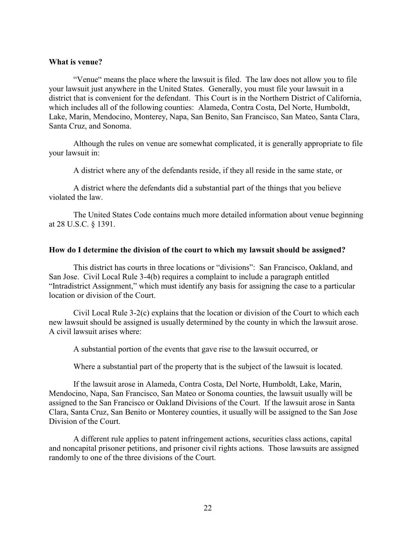#### <span id="page-26-0"></span>**What is venue?**

"Venue" means the place where the lawsuit is filed. The law does not allow you to file your lawsuit just anywhere in the United States. Generally, you must file your lawsuit in a district that is convenient for the defendant. This Court is in the Northern District of California, which includes all of the following counties: Alameda, Contra Costa, Del Norte, Humboldt, Lake, Marin, Mendocino, Monterey, Napa, San Benito, San Francisco, San Mateo, Santa Clara, Santa Cruz, and Sonoma.

Although the rules on venue are somewhat complicated, it is generally appropriate to file your lawsuit in:

A district where any of the defendants reside, if they all reside in the same state, or

A district where the defendants did a substantial part of the things that you believe violated the law.

The United States Code contains much more detailed information about venue beginning at 28 U.S.C. § 1391.

#### <span id="page-26-1"></span>**How do I determine the division of the court to which my lawsuit should be assigned?**

This district has courts in three locations or "divisions": San Francisco, Oakland, and San Jose. Civil Local Rule 3-4(b) requires a complaint to include a paragraph entitled "Intradistrict Assignment," which must identify any basis for assigning the case to a particular location or division of the Court.

Civil Local Rule 3-2(c) explains that the location or division of the Court to which each new lawsuit should be assigned is usually determined by the county in which the lawsuit arose. A civil lawsuit arises where:

A substantial portion of the events that gave rise to the lawsuit occurred, or

Where a substantial part of the property that is the subject of the lawsuit is located.

If the lawsuit arose in Alameda, Contra Costa, Del Norte, Humboldt, Lake, Marin, Mendocino, Napa, San Francisco, San Mateo or Sonoma counties, the lawsuit usually will be assigned to the San Francisco or Oakland Divisions of the Court. If the lawsuit arose in Santa Clara, Santa Cruz, San Benito or Monterey counties, it usually will be assigned to the San Jose Division of the Court.

A different rule applies to patent infringement actions, securities class actions, capital and noncapital prisoner petitions, and prisoner civil rights actions. Those lawsuits are assigned randomly to one of the three divisions of the Court.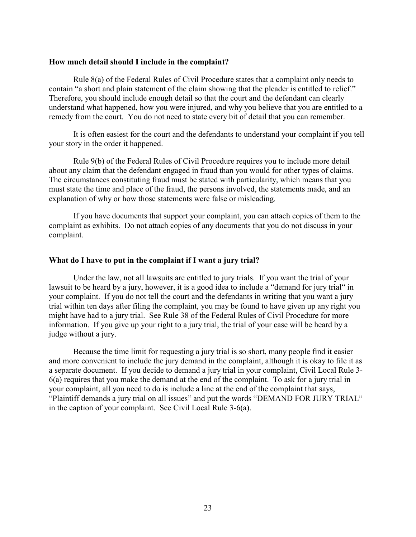#### <span id="page-27-0"></span>**How much detail should I include in the complaint?**

Rule 8(a) of the Federal Rules of Civil Procedure states that a complaint only needs to contain "a short and plain statement of the claim showing that the pleader is entitled to relief." Therefore, you should include enough detail so that the court and the defendant can clearly understand what happened, how you were injured, and why you believe that you are entitled to a remedy from the court. You do not need to state every bit of detail that you can remember.

It is often easiest for the court and the defendants to understand your complaint if you tell your story in the order it happened.

Rule 9(b) of the Federal Rules of Civil Procedure requires you to include more detail about any claim that the defendant engaged in fraud than you would for other types of claims. The circumstances constituting fraud must be stated with particularity, which means that you must state the time and place of the fraud, the persons involved, the statements made, and an explanation of why or how those statements were false or misleading.

If you have documents that support your complaint, you can attach copies of them to the complaint as exhibits. Do not attach copies of any documents that you do not discuss in your complaint.

#### <span id="page-27-1"></span>**What do I have to put in the complaint if I want a jury trial?**

Under the law, not all lawsuits are entitled to jury trials. If you want the trial of your lawsuit to be heard by a jury, however, it is a good idea to include a "demand for jury trial" in your complaint. If you do not tell the court and the defendants in writing that you want a jury trial within ten days after filing the complaint, you may be found to have given up any right you might have had to a jury trial. See Rule 38 of the Federal Rules of Civil Procedure for more information. If you give up your right to a jury trial, the trial of your case will be heard by a judge without a jury.

Because the time limit for requesting a jury trial is so short, many people find it easier and more convenient to include the jury demand in the complaint, although it is okay to file it as a separate document. If you decide to demand a jury trial in your complaint, Civil Local Rule 3- 6(a) requires that you make the demand at the end of the complaint. To ask for a jury trial in your complaint, all you need to do is include a line at the end of the complaint that says, "Plaintiff demands a jury trial on all issues" and put the words "DEMAND FOR JURY TRIAL" in the caption of your complaint. See Civil Local Rule 3-6(a).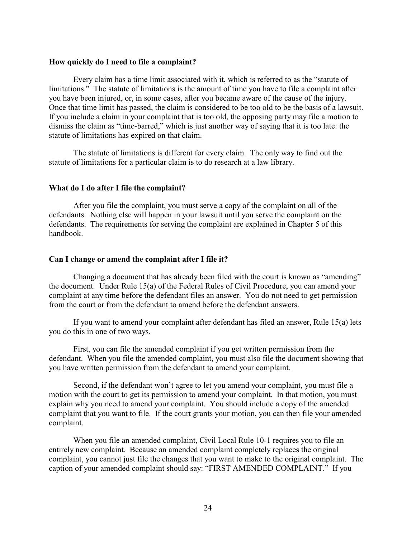#### <span id="page-28-0"></span>**How quickly do I need to file a complaint?**

Every claim has a time limit associated with it, which is referred to as the "statute of limitations." The statute of limitations is the amount of time you have to file a complaint after you have been injured, or, in some cases, after you became aware of the cause of the injury. Once that time limit has passed, the claim is considered to be too old to be the basis of a lawsuit. If you include a claim in your complaint that is too old, the opposing party may file a motion to dismiss the claim as "time-barred," which is just another way of saying that it is too late: the statute of limitations has expired on that claim.

The statute of limitations is different for every claim. The only way to find out the statute of limitations for a particular claim is to do research at a law library.

#### <span id="page-28-1"></span>**What do I do after I file the complaint?**

After you file the complaint, you must serve a copy of the complaint on all of the defendants. Nothing else will happen in your lawsuit until you serve the complaint on the defendants. The requirements for serving the complaint are explained in Chapter 5 of this handbook.

#### <span id="page-28-2"></span>**Can I change or amend the complaint after I file it?**

Changing a document that has already been filed with the court is known as "amending" the document. Under Rule 15(a) of the Federal Rules of Civil Procedure, you can amend your complaint at any time before the defendant files an answer. You do not need to get permission from the court or from the defendant to amend before the defendant answers.

If you want to amend your complaint after defendant has filed an answer, Rule 15(a) lets you do this in one of two ways.

First, you can file the amended complaint if you get written permission from the defendant. When you file the amended complaint, you must also file the document showing that you have written permission from the defendant to amend your complaint.

Second, if the defendant won't agree to let you amend your complaint, you must file a motion with the court to get its permission to amend your complaint. In that motion, you must explain why you need to amend your complaint. You should include a copy of the amended complaint that you want to file. If the court grants your motion, you can then file your amended complaint.

When you file an amended complaint, Civil Local Rule 10-1 requires you to file an entirely new complaint. Because an amended complaint completely replaces the original complaint, you cannot just file the changes that you want to make to the original complaint. The caption of your amended complaint should say: "FIRST AMENDED COMPLAINT." If you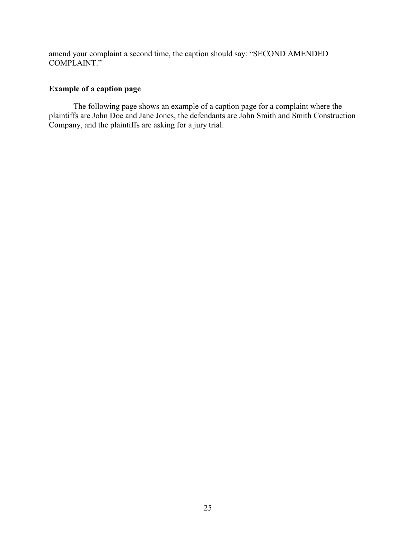amend your complaint a second time, the caption should say: "SECOND AMENDED COMPLAINT."

#### <span id="page-29-0"></span>**Example of a caption page**

The following page shows an example of a caption page for a complaint where the plaintiffs are John Doe and Jane Jones, the defendants are John Smith and Smith Construction Company, and the plaintiffs are asking for a jury trial.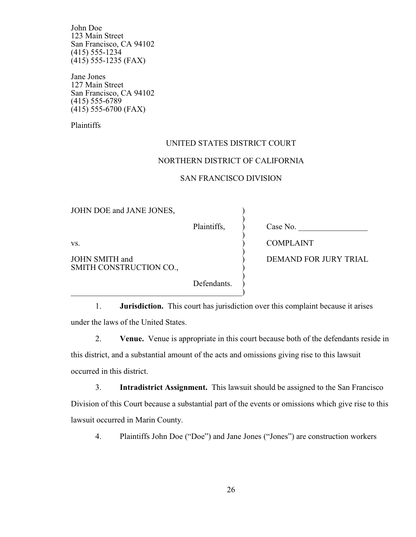John Doe 123 Main Street San Francisco, CA 94102 (415) 555-1234 (415) 555-1235 (FAX)

Jane Jones 127 Main Street San Francisco, CA 94102 (415) 555-6789 (415) 555-6700 (FAX)

Plaintiffs

#### UNITED STATES DISTRICT COURT

#### NORTHERN DISTRICT OF CALIFORNIA

#### SAN FRANCISCO DIVISION

| JOHN DOE and JANE JONES,                  |             |                              |
|-------------------------------------------|-------------|------------------------------|
|                                           | Plaintiffs, | Case No.                     |
| VS.                                       |             | <b>COMPLAINT</b>             |
| JOHN SMITH and<br>SMITH CONSTRUCTION CO., |             | <b>DEMAND FOR JURY TRIAL</b> |
|                                           | Defendants. |                              |

1. **Jurisdiction.** This court has jurisdiction over this complaint because it arises under the laws of the United States.

 $\hspace{.5in}$   $\hspace{.5in}$   $\hspace{.5in}$   $\hspace{.5in}$   $\hspace{.5in}$   $\hspace{.5in}$   $\hspace{.5in}$   $\hspace{.5in}$   $\hspace{.5in}$   $\hspace{.5in}$   $\hspace{.5in}$   $\hspace{.5in}$   $\hspace{.5in}$   $\hspace{.5in}$   $\hspace{.5in}$   $\hspace{.5in}$   $\hspace{.5in}$   $\hspace{.5in}$   $\hspace{.5in}$   $\hspace{.5in}$ 

2. **Venue.** Venue is appropriate in this court because both of the defendants reside in this district, and a substantial amount of the acts and omissions giving rise to this lawsuit occurred in this district.

3. **Intradistrict Assignment.** This lawsuit should be assigned to the San Francisco Division of this Court because a substantial part of the events or omissions which give rise to this lawsuit occurred in Marin County.

4. Plaintiffs John Doe ("Doe") and Jane Jones ("Jones") are construction workers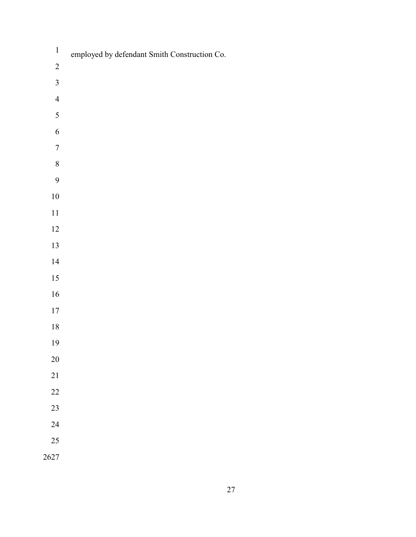| $\,1\,$          | employed by defendant Smith Construction Co. |
|------------------|----------------------------------------------|
| $\sqrt{2}$       |                                              |
| $\overline{3}$   |                                              |
| $\overline{4}$   |                                              |
| 5                |                                              |
| $\sqrt{6}$       |                                              |
| $\boldsymbol{7}$ |                                              |
| $\,8\,$          |                                              |
| $\mathbf{9}$     |                                              |
| $10\,$           |                                              |
| $11\,$           |                                              |
| $12\,$           |                                              |
| 13               |                                              |
| $14$             |                                              |
| $15\,$           |                                              |
| $16\,$           |                                              |
| $17\,$           |                                              |
| $18\,$           |                                              |
| 19               |                                              |
| $20\,$           |                                              |
| $21\,$           |                                              |
| 22               |                                              |
| 23               |                                              |
| 24               |                                              |
| 25               |                                              |
| 2627             |                                              |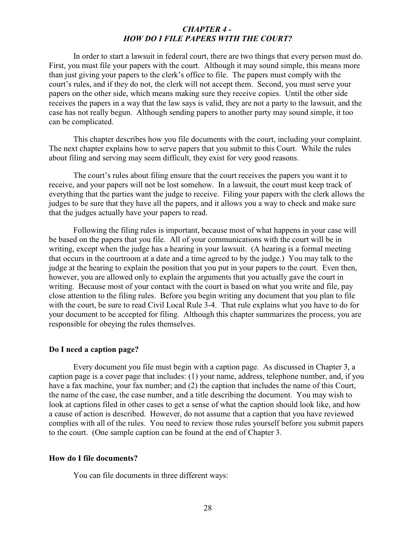#### <span id="page-32-0"></span>*CHAPTER 4 - HOW DO I FILE PAPERS WITH THE COURT?*

In order to start a lawsuit in federal court, there are two things that every person must do. First, you must file your papers with the court. Although it may sound simple, this means more than just giving your papers to the clerk's office to file. The papers must comply with the court's rules, and if they do not, the clerk will not accept them. Second, you must serve your papers on the other side, which means making sure they receive copies. Until the other side receives the papers in a way that the law says is valid, they are not a party to the lawsuit, and the case has not really begun. Although sending papers to another party may sound simple, it too can be complicated.

This chapter describes how you file documents with the court, including your complaint. The next chapter explains how to serve papers that you submit to this Court. While the rules about filing and serving may seem difficult, they exist for very good reasons.

The court's rules about filing ensure that the court receives the papers you want it to receive, and your papers will not be lost somehow. In a lawsuit, the court must keep track of everything that the parties want the judge to receive. Filing your papers with the clerk allows the judges to be sure that they have all the papers, and it allows you a way to check and make sure that the judges actually have your papers to read.

Following the filing rules is important, because most of what happens in your case will be based on the papers that you file. All of your communications with the court will be in writing, except when the judge has a hearing in your lawsuit. (A hearing is a formal meeting that occurs in the courtroom at a date and a time agreed to by the judge.) You may talk to the judge at the hearing to explain the position that you put in your papers to the court. Even then, however, you are allowed only to explain the arguments that you actually gave the court in writing. Because most of your contact with the court is based on what you write and file, pay close attention to the filing rules. Before you begin writing any document that you plan to file with the court, be sure to read Civil Local Rule 3-4. That rule explains what you have to do for your document to be accepted for filing. Although this chapter summarizes the process, you are responsible for obeying the rules themselves.

#### <span id="page-32-1"></span>**Do I need a caption page?**

Every document you file must begin with a caption page. As discussed in Chapter 3, a caption page is a cover page that includes: (1) your name, address, telephone number, and, if you have a fax machine, your fax number; and (2) the caption that includes the name of this Court, the name of the case, the case number, and a title describing the document. You may wish to look at captions filed in other cases to get a sense of what the caption should look like, and how a cause of action is described. However, do not assume that a caption that you have reviewed complies with all of the rules. You need to review those rules yourself before you submit papers to the court. (One sample caption can be found at the end of Chapter 3.

#### <span id="page-32-2"></span>**How do I file documents?**

You can file documents in three different ways: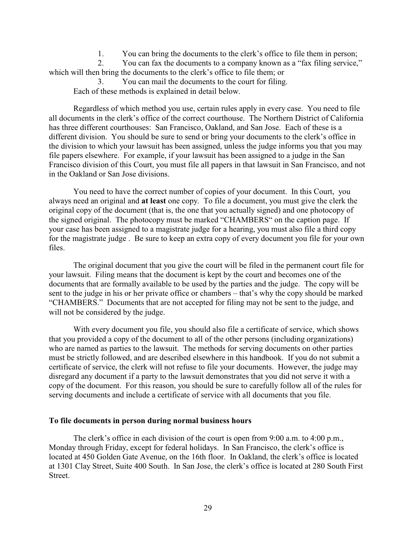1. You can bring the documents to the clerk's office to file them in person;

2. You can fax the documents to a company known as a "fax filing service," which will then bring the documents to the clerk's office to file them; or

You can mail the documents to the court for filing. Each of these methods is explained in detail below.

Regardless of which method you use, certain rules apply in every case. You need to file all documents in the clerk's office of the correct courthouse. The Northern District of California has three different courthouses: San Francisco, Oakland, and San Jose. Each of these is a different division. You should be sure to send or bring your documents to the clerk's office in the division to which your lawsuit has been assigned, unless the judge informs you that you may file papers elsewhere. For example, if your lawsuit has been assigned to a judge in the San Francisco division of this Court, you must file all papers in that lawsuit in San Francisco, and not in the Oakland or San Jose divisions.

You need to have the correct number of copies of your document. In this Court, you always need an original and **at least** one copy. To file a document, you must give the clerk the original copy of the document (that is, the one that you actually signed) and one photocopy of the signed original. The photocopy must be marked "CHAMBERS" on the caption page. If your case has been assigned to a magistrate judge for a hearing, you must also file a third copy for the magistrate judge . Be sure to keep an extra copy of every document you file for your own files.

The original document that you give the court will be filed in the permanent court file for your lawsuit. Filing means that the document is kept by the court and becomes one of the documents that are formally available to be used by the parties and the judge. The copy will be sent to the judge in his or her private office or chambers – that's why the copy should be marked "CHAMBERS." Documents that are not accepted for filing may not be sent to the judge, and will not be considered by the judge.

With every document you file, you should also file a certificate of service, which shows that you provided a copy of the document to all of the other persons (including organizations) who are named as parties to the lawsuit. The methods for serving documents on other parties must be strictly followed, and are described elsewhere in this handbook. If you do not submit a certificate of service, the clerk will not refuse to file your documents. However, the judge may disregard any document if a party to the lawsuit demonstrates that you did not serve it with a copy of the document. For this reason, you should be sure to carefully follow all of the rules for serving documents and include a certificate of service with all documents that you file.

#### <span id="page-33-0"></span>**To file documents in person during normal business hours**

The clerk's office in each division of the court is open from 9:00 a.m. to 4:00 p.m., Monday through Friday, except for federal holidays. In San Francisco, the clerk's office is located at 450 Golden Gate Avenue, on the 16th floor. In Oakland, the clerk's office is located at 1301 Clay Street, Suite 400 South. In San Jose, the clerk's office is located at 280 South First Street.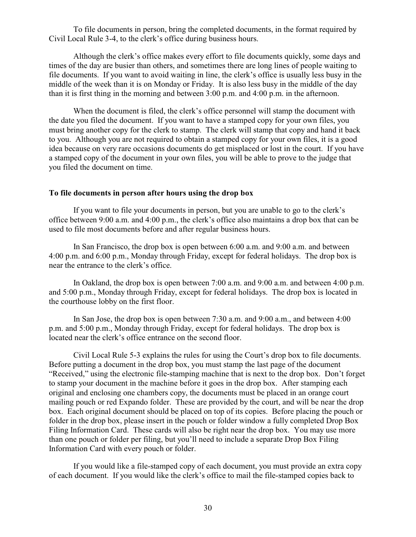To file documents in person, bring the completed documents, in the format required by Civil Local Rule 3-4, to the clerk's office during business hours.

Although the clerk's office makes every effort to file documents quickly, some days and times of the day are busier than others, and sometimes there are long lines of people waiting to file documents. If you want to avoid waiting in line, the clerk's office is usually less busy in the middle of the week than it is on Monday or Friday. It is also less busy in the middle of the day than it is first thing in the morning and between 3:00 p.m. and 4:00 p.m. in the afternoon.

When the document is filed, the clerk's office personnel will stamp the document with the date you filed the document. If you want to have a stamped copy for your own files, you must bring another copy for the clerk to stamp. The clerk will stamp that copy and hand it back to you. Although you are not required to obtain a stamped copy for your own files, it is a good idea because on very rare occasions documents do get misplaced or lost in the court. If you have a stamped copy of the document in your own files, you will be able to prove to the judge that you filed the document on time.

#### <span id="page-34-0"></span>**To file documents in person after hours using the drop box**

If you want to file your documents in person, but you are unable to go to the clerk's office between 9:00 a.m. and 4:00 p.m., the clerk's office also maintains a drop box that can be used to file most documents before and after regular business hours.

In San Francisco, the drop box is open between 6:00 a.m. and 9:00 a.m. and between 4:00 p.m. and 6:00 p.m., Monday through Friday, except for federal holidays. The drop box is near the entrance to the clerk's office.

In Oakland, the drop box is open between 7:00 a.m. and 9:00 a.m. and between 4:00 p.m. and 5:00 p.m., Monday through Friday, except for federal holidays. The drop box is located in the courthouse lobby on the first floor.

In San Jose, the drop box is open between 7:30 a.m. and 9:00 a.m., and between 4:00 p.m. and 5:00 p.m., Monday through Friday, except for federal holidays. The drop box is located near the clerk's office entrance on the second floor.

Civil Local Rule 5-3 explains the rules for using the Court's drop box to file documents. Before putting a document in the drop box, you must stamp the last page of the document "Received," using the electronic file-stamping machine that is next to the drop box. Don't forget to stamp your document in the machine before it goes in the drop box. After stamping each original and enclosing one chambers copy, the documents must be placed in an orange court mailing pouch or red Expando folder. These are provided by the court, and will be near the drop box. Each original document should be placed on top of its copies. Before placing the pouch or folder in the drop box, please insert in the pouch or folder window a fully completed Drop Box Filing Information Card. These cards will also be right near the drop box. You may use more than one pouch or folder per filing, but you'll need to include a separate Drop Box Filing Information Card with every pouch or folder.

If you would like a file-stamped copy of each document, you must provide an extra copy of each document. If you would like the clerk's office to mail the file-stamped copies back to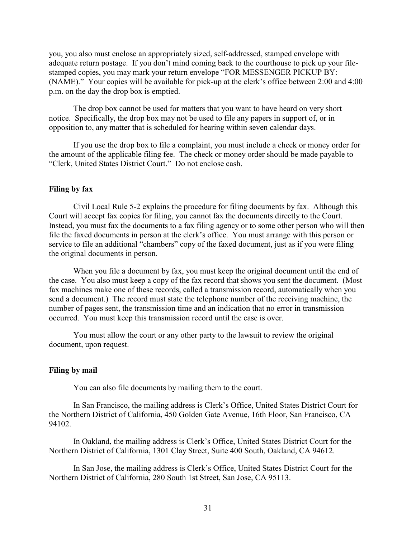you, you also must enclose an appropriately sized, self-addressed, stamped envelope with adequate return postage. If you don't mind coming back to the courthouse to pick up your filestamped copies, you may mark your return envelope "FOR MESSENGER PICKUP BY: (NAME)." Your copies will be available for pick-up at the clerk's office between 2:00 and 4:00 p.m. on the day the drop box is emptied.

The drop box cannot be used for matters that you want to have heard on very short notice. Specifically, the drop box may not be used to file any papers in support of, or in opposition to, any matter that is scheduled for hearing within seven calendar days.

If you use the drop box to file a complaint, you must include a check or money order for the amount of the applicable filing fee. The check or money order should be made payable to "Clerk, United States District Court." Do not enclose cash.

#### <span id="page-35-0"></span>**Filing by fax**

Civil Local Rule 5-2 explains the procedure for filing documents by fax. Although this Court will accept fax copies for filing, you cannot fax the documents directly to the Court. Instead, you must fax the documents to a fax filing agency or to some other person who will then file the faxed documents in person at the clerk's office. You must arrange with this person or service to file an additional "chambers" copy of the faxed document, just as if you were filing the original documents in person.

When you file a document by fax, you must keep the original document until the end of the case. You also must keep a copy of the fax record that shows you sent the document. (Most fax machines make one of these records, called a transmission record, automatically when you send a document.) The record must state the telephone number of the receiving machine, the number of pages sent, the transmission time and an indication that no error in transmission occurred. You must keep this transmission record until the case is over.

You must allow the court or any other party to the lawsuit to review the original document, upon request.

#### <span id="page-35-1"></span>**Filing by mail**

You can also file documents by mailing them to the court.

In San Francisco, the mailing address is Clerk's Office, United States District Court for the Northern District of California, 450 Golden Gate Avenue, 16th Floor, San Francisco, CA 94102.

In Oakland, the mailing address is Clerk's Office, United States District Court for the Northern District of California, 1301 Clay Street, Suite 400 South, Oakland, CA 94612.

In San Jose, the mailing address is Clerk's Office, United States District Court for the Northern District of California, 280 South 1st Street, San Jose, CA 95113.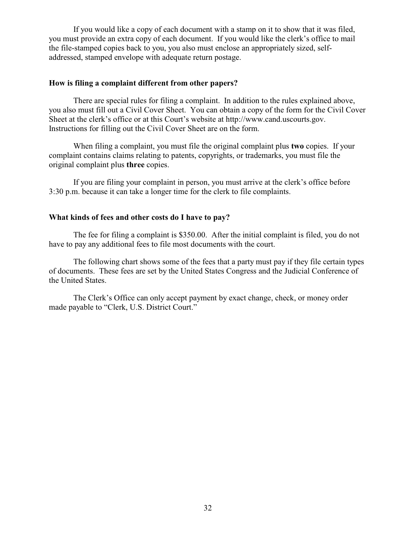If you would like a copy of each document with a stamp on it to show that it was filed, you must provide an extra copy of each document. If you would like the clerk's office to mail the file-stamped copies back to you, you also must enclose an appropriately sized, selfaddressed, stamped envelope with adequate return postage.

## **How is filing a complaint different from other papers?**

There are special rules for filing a complaint. In addition to the rules explained above, you also must fill out a Civil Cover Sheet. You can obtain a copy of the form for the Civil Cover Sheet at the clerk's office or at this Court's website at http://www.cand.uscourts.gov. Instructions for filling out the Civil Cover Sheet are on the form.

When filing a complaint, you must file the original complaint plus **two** copies. If your complaint contains claims relating to patents, copyrights, or trademarks, you must file the original complaint plus **three** copies.

If you are filing your complaint in person, you must arrive at the clerk's office before 3:30 p.m. because it can take a longer time for the clerk to file complaints.

## **What kinds of fees and other costs do I have to pay?**

The fee for filing a complaint is \$350.00. After the initial complaint is filed, you do not have to pay any additional fees to file most documents with the court.

The following chart shows some of the fees that a party must pay if they file certain types of documents. These fees are set by the United States Congress and the Judicial Conference of the United States.

The Clerk's Office can only accept payment by exact change, check, or money order made payable to "Clerk, U.S. District Court."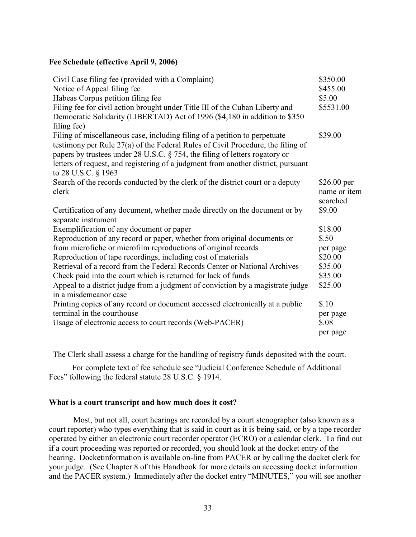### **Fee Schedule (effective April 9, 2006)**

| Civil Case filing fee (provided with a Complaint)                                                                                                                                                                                                                                                                                                        | \$350.00                                |
|----------------------------------------------------------------------------------------------------------------------------------------------------------------------------------------------------------------------------------------------------------------------------------------------------------------------------------------------------------|-----------------------------------------|
| Notice of Appeal filing fee                                                                                                                                                                                                                                                                                                                              | \$455.00                                |
| Habeas Corpus petition filing fee                                                                                                                                                                                                                                                                                                                        | \$5.00                                  |
| Filing fee for civil action brought under Title III of the Cuban Liberty and<br>Democratic Solidarity (LIBERTAD) Act of 1996 (\$4,180 in addition to \$350<br>filing fee)                                                                                                                                                                                | \$5531.00                               |
| Filing of miscellaneous case, including filing of a petition to perpetuate<br>testimony per Rule 27(a) of the Federal Rules of Civil Procedure, the filing of<br>papers by trustees under 28 U.S.C. § 754, the filing of letters rogatory or<br>letters of request, and registering of a judgment from another district, pursuant<br>to 28 U.S.C. § 1963 | \$39.00                                 |
| Search of the records conducted by the clerk of the district court or a deputy<br>clerk                                                                                                                                                                                                                                                                  | \$26.00 per<br>name or item<br>searched |
| Certification of any document, whether made directly on the document or by<br>separate instrument                                                                                                                                                                                                                                                        | \$9.00                                  |
| Exemplification of any document or paper                                                                                                                                                                                                                                                                                                                 | \$18.00                                 |
| Reproduction of any record or paper, whether from original documents or                                                                                                                                                                                                                                                                                  | \$.50                                   |
| from microfiche or microfilm reproductions of original records                                                                                                                                                                                                                                                                                           | per page                                |
| Reproduction of tape recordings, including cost of materials                                                                                                                                                                                                                                                                                             | \$20.00                                 |
| Retrieval of a record from the Federal Records Center or National Archives                                                                                                                                                                                                                                                                               | \$35.00                                 |
| Check paid into the court which is returned for lack of funds                                                                                                                                                                                                                                                                                            | \$35.00                                 |
| Appeal to a district judge from a judgment of conviction by a magistrate judge<br>in a misdemeanor case                                                                                                                                                                                                                                                  | \$25.00                                 |
| Printing copies of any record or document accessed electronically at a public                                                                                                                                                                                                                                                                            | \$.10                                   |
| terminal in the courthouse                                                                                                                                                                                                                                                                                                                               | per page                                |
| Usage of electronic access to court records (Web-PACER)                                                                                                                                                                                                                                                                                                  | \$.08                                   |
|                                                                                                                                                                                                                                                                                                                                                          | per page                                |

The Clerk shall assess a charge for the handling of registry funds deposited with the court.

For complete text of fee schedule see "Judicial Conference Schedule of Additional Fees" following the federal statute 28 U.S.C. § 1914.

### **What is a court transcript and how much does it cost?**

Most, but not all, court hearings are recorded by a court stenographer (also known as a court reporter) who types everything that is said in court as it is being said, or by a tape recorder operated by either an electronic court recorder operator (ECRO) or a calendar clerk. To find out if a court proceeding was reported or recorded, you should look at the docket entry of the hearing. Docketinformation is available on-line from PACER or by calling the docket clerk for your judge. (See Chapter 8 of this Handbook for more details on accessing docket information and the PACER system.) Immediately after the docket entry "MINUTES," you will see another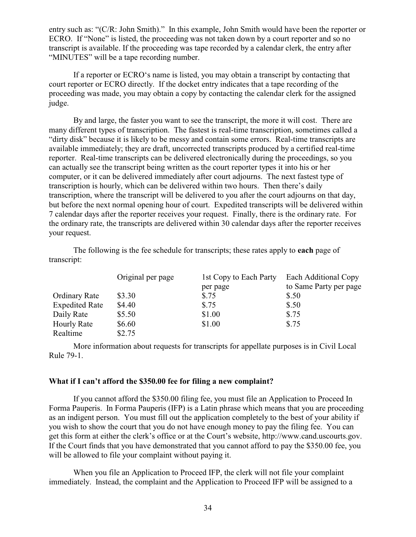entry such as: "(C/R: John Smith)." In this example, John Smith would have been the reporter or ECRO. If "None" is listed, the proceeding was not taken down by a court reporter and so no transcript is available. If the proceeding was tape recorded by a calendar clerk, the entry after "MINUTES" will be a tape recording number.

If a reporter or ECRO's name is listed, you may obtain a transcript by contacting that court reporter or ECRO directly. If the docket entry indicates that a tape recording of the proceeding was made, you may obtain a copy by contacting the calendar clerk for the assigned judge.

By and large, the faster you want to see the transcript, the more it will cost. There are many different types of transcription. The fastest is real-time transcription, sometimes called a "dirty disk" because it is likely to be messy and contain some errors. Real-time transcripts are available immediately; they are draft, uncorrected transcripts produced by a certified real-time reporter. Real-time transcripts can be delivered electronically during the proceedings, so you can actually see the transcript being written as the court reporter types it into his or her computer, or it can be delivered immediately after court adjourns. The next fastest type of transcription is hourly, which can be delivered within two hours. Then there's daily transcription, where the transcript will be delivered to you after the court adjourns on that day, but before the next normal opening hour of court. Expedited transcripts will be delivered within 7 calendar days after the reporter receives your request. Finally, there is the ordinary rate. For the ordinary rate, the transcripts are delivered within 30 calendar days after the reporter receives your request.

The following is the fee schedule for transcripts; these rates apply to **each** page of transcript:

|                       | Original per page | 1st Copy to Each Party | Each Additional Copy   |
|-----------------------|-------------------|------------------------|------------------------|
|                       |                   | per page               | to Same Party per page |
| <b>Ordinary Rate</b>  | \$3.30            | \$.75                  | \$.50                  |
| <b>Expedited Rate</b> | \$4.40            | \$.75                  | \$.50                  |
| Daily Rate            | \$5.50            | \$1.00                 | \$.75                  |
| <b>Hourly Rate</b>    | \$6.60            | \$1.00                 | \$.75                  |
| Realtime              | \$2.75            |                        |                        |

More information about requests for transcripts for appellate purposes is in Civil Local Rule 79-1.

## **What if I can't afford the \$350.00 fee for filing a new complaint?**

If you cannot afford the \$350.00 filing fee, you must file an Application to Proceed In Forma Pauperis. In Forma Pauperis (IFP) is a Latin phrase which means that you are proceeding as an indigent person. You must fill out the application completely to the best of your ability if you wish to show the court that you do not have enough money to pay the filing fee. You can get this form at either the clerk's office or at the Court's website, http://www.cand.uscourts.gov. If the Court finds that you have demonstrated that you cannot afford to pay the \$350.00 fee, you will be allowed to file your complaint without paying it.

When you file an Application to Proceed IFP, the clerk will not file your complaint immediately. Instead, the complaint and the Application to Proceed IFP will be assigned to a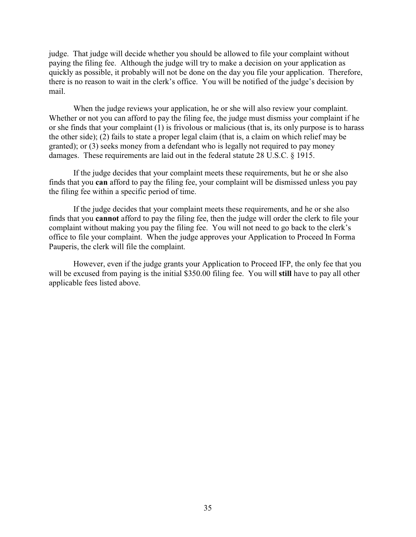judge. That judge will decide whether you should be allowed to file your complaint without paying the filing fee. Although the judge will try to make a decision on your application as quickly as possible, it probably will not be done on the day you file your application. Therefore, there is no reason to wait in the clerk's office. You will be notified of the judge's decision by mail.

When the judge reviews your application, he or she will also review your complaint. Whether or not you can afford to pay the filing fee, the judge must dismiss your complaint if he or she finds that your complaint (1) is frivolous or malicious (that is, its only purpose is to harass the other side); (2) fails to state a proper legal claim (that is, a claim on which relief may be granted); or (3) seeks money from a defendant who is legally not required to pay money damages. These requirements are laid out in the federal statute 28 U.S.C. § 1915.

If the judge decides that your complaint meets these requirements, but he or she also finds that you **can** afford to pay the filing fee, your complaint will be dismissed unless you pay the filing fee within a specific period of time.

If the judge decides that your complaint meets these requirements, and he or she also finds that you **cannot** afford to pay the filing fee, then the judge will order the clerk to file your complaint without making you pay the filing fee. You will not need to go back to the clerk's office to file your complaint. When the judge approves your Application to Proceed In Forma Pauperis, the clerk will file the complaint.

However, even if the judge grants your Application to Proceed IFP, the only fee that you will be excused from paying is the initial \$350.00 filing fee. You will **still** have to pay all other applicable fees listed above.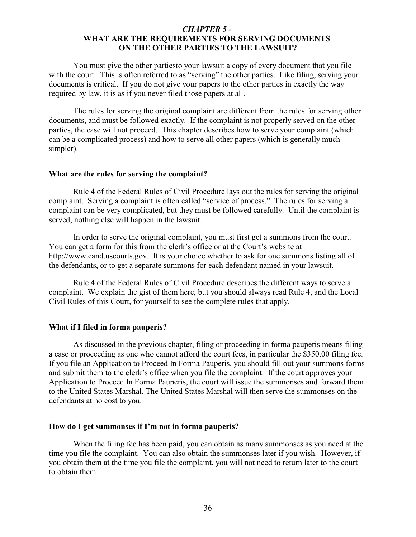## *CHAPTER 5 -*  **WHAT ARE THE REQUIREMENTS FOR SERVING DOCUMENTS ON THE OTHER PARTIES TO THE LAWSUIT?**

You must give the other partiesto your lawsuit a copy of every document that you file with the court. This is often referred to as "serving" the other parties. Like filing, serving your documents is critical. If you do not give your papers to the other parties in exactly the way required by law, it is as if you never filed those papers at all.

The rules for serving the original complaint are different from the rules for serving other documents, and must be followed exactly. If the complaint is not properly served on the other parties, the case will not proceed. This chapter describes how to serve your complaint (which can be a complicated process) and how to serve all other papers (which is generally much simpler).

#### **What are the rules for serving the complaint?**

Rule 4 of the Federal Rules of Civil Procedure lays out the rules for serving the original complaint. Serving a complaint is often called "service of process." The rules for serving a complaint can be very complicated, but they must be followed carefully. Until the complaint is served, nothing else will happen in the lawsuit.

In order to serve the original complaint, you must first get a summons from the court. You can get a form for this from the clerk's office or at the Court's website at http://www.cand.uscourts.gov. It is your choice whether to ask for one summons listing all of the defendants, or to get a separate summons for each defendant named in your lawsuit.

Rule 4 of the Federal Rules of Civil Procedure describes the different ways to serve a complaint. We explain the gist of them here, but you should always read Rule 4, and the Local Civil Rules of this Court, for yourself to see the complete rules that apply.

#### **What if I filed in forma pauperis?**

As discussed in the previous chapter, filing or proceeding in forma pauperis means filing a case or proceeding as one who cannot afford the court fees, in particular the \$350.00 filing fee. If you file an Application to Proceed In Forma Pauperis, you should fill out your summons forms and submit them to the clerk's office when you file the complaint. If the court approves your Application to Proceed In Forma Pauperis, the court will issue the summonses and forward them to the United States Marshal. The United States Marshal will then serve the summonses on the defendants at no cost to you.

# **How do I get summonses if I'm not in forma pauperis?**

When the filing fee has been paid, you can obtain as many summonses as you need at the time you file the complaint. You can also obtain the summonses later if you wish. However, if you obtain them at the time you file the complaint, you will not need to return later to the court to obtain them.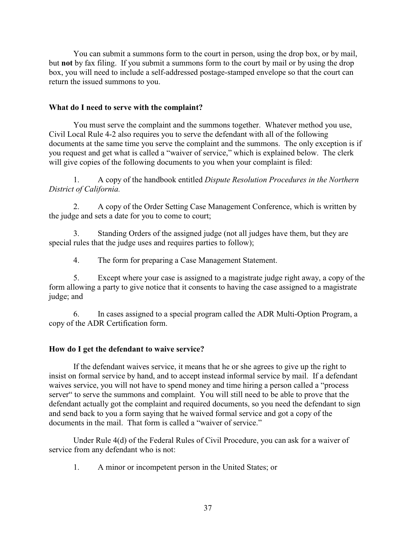You can submit a summons form to the court in person, using the drop box, or by mail, but **not** by fax filing. If you submit a summons form to the court by mail or by using the drop box, you will need to include a self-addressed postage-stamped envelope so that the court can return the issued summons to you.

## **What do I need to serve with the complaint?**

You must serve the complaint and the summons together. Whatever method you use, Civil Local Rule 4-2 also requires you to serve the defendant with all of the following documents at the same time you serve the complaint and the summons. The only exception is if you request and get what is called a "waiver of service," which is explained below. The clerk will give copies of the following documents to you when your complaint is filed:

1. A copy of the handbook entitled *Dispute Resolution Procedures in the Northern District of California.*

2. A copy of the Order Setting Case Management Conference, which is written by the judge and sets a date for you to come to court;

3. Standing Orders of the assigned judge (not all judges have them, but they are special rules that the judge uses and requires parties to follow);

4. The form for preparing a Case Management Statement.

5. Except where your case is assigned to a magistrate judge right away, a copy of the form allowing a party to give notice that it consents to having the case assigned to a magistrate judge; and

6. In cases assigned to a special program called the ADR Multi-Option Program, a copy of the ADR Certification form.

# **How do I get the defendant to waive service?**

If the defendant waives service, it means that he or she agrees to give up the right to insist on formal service by hand, and to accept instead informal service by mail. If a defendant waives service, you will not have to spend money and time hiring a person called a "process server" to serve the summons and complaint. You will still need to be able to prove that the defendant actually got the complaint and required documents, so you need the defendant to sign and send back to you a form saying that he waived formal service and got a copy of the documents in the mail. That form is called a "waiver of service."

Under Rule 4(d) of the Federal Rules of Civil Procedure, you can ask for a waiver of service from any defendant who is not:

1. A minor or incompetent person in the United States; or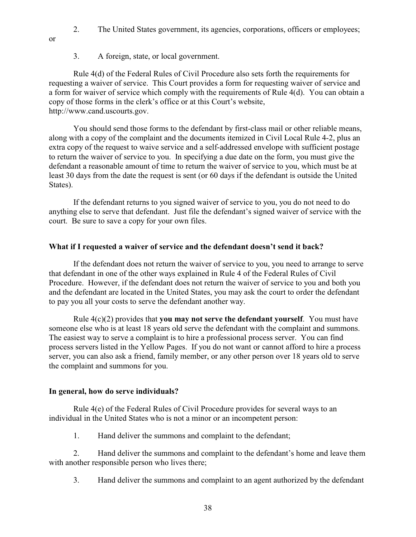- 2. The United States government, its agencies, corporations, officers or employees;
- or
- 3. A foreign, state, or local government.

Rule 4(d) of the Federal Rules of Civil Procedure also sets forth the requirements for requesting a waiver of service. This Court provides a form for requesting waiver of service and a form for waiver of service which comply with the requirements of Rule 4(d). You can obtain a copy of those forms in the clerk's office or at this Court's website, http://www.cand.uscourts.gov.

You should send those forms to the defendant by first-class mail or other reliable means, along with a copy of the complaint and the documents itemized in Civil Local Rule 4-2, plus an extra copy of the request to waive service and a self-addressed envelope with sufficient postage to return the waiver of service to you. In specifying a due date on the form, you must give the defendant a reasonable amount of time to return the waiver of service to you, which must be at least 30 days from the date the request is sent (or 60 days if the defendant is outside the United States).

If the defendant returns to you signed waiver of service to you, you do not need to do anything else to serve that defendant. Just file the defendant's signed waiver of service with the court. Be sure to save a copy for your own files.

## **What if I requested a waiver of service and the defendant doesn't send it back?**

If the defendant does not return the waiver of service to you, you need to arrange to serve that defendant in one of the other ways explained in Rule 4 of the Federal Rules of Civil Procedure. However, if the defendant does not return the waiver of service to you and both you and the defendant are located in the United States, you may ask the court to order the defendant to pay you all your costs to serve the defendant another way.

Rule 4(c)(2) provides that **you may not serve the defendant yourself**. You must have someone else who is at least 18 years old serve the defendant with the complaint and summons. The easiest way to serve a complaint is to hire a professional process server. You can find process servers listed in the Yellow Pages. If you do not want or cannot afford to hire a process server, you can also ask a friend, family member, or any other person over 18 years old to serve the complaint and summons for you.

## **In general, how do serve individuals?**

Rule 4(e) of the Federal Rules of Civil Procedure provides for several ways to an individual in the United States who is not a minor or an incompetent person:

1. Hand deliver the summons and complaint to the defendant;

2. Hand deliver the summons and complaint to the defendant's home and leave them with another responsible person who lives there;

3. Hand deliver the summons and complaint to an agent authorized by the defendant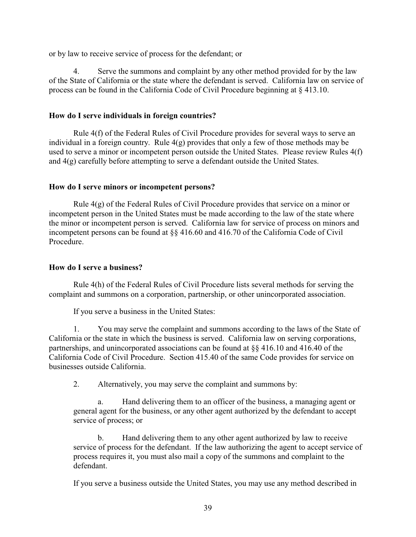or by law to receive service of process for the defendant; or

4. Serve the summons and complaint by any other method provided for by the law of the State of California or the state where the defendant is served. California law on service of process can be found in the California Code of Civil Procedure beginning at § 413.10.

# **How do I serve individuals in foreign countries?**

Rule 4(f) of the Federal Rules of Civil Procedure provides for several ways to serve an individual in a foreign country. Rule  $4(g)$  provides that only a few of those methods may be used to serve a minor or incompetent person outside the United States. Please review Rules 4(f) and 4(g) carefully before attempting to serve a defendant outside the United States.

# **How do I serve minors or incompetent persons?**

Rule  $4(g)$  of the Federal Rules of Civil Procedure provides that service on a minor or incompetent person in the United States must be made according to the law of the state where the minor or incompetent person is served. California law for service of process on minors and incompetent persons can be found at §§ 416.60 and 416.70 of the California Code of Civil Procedure.

# **How do I serve a business?**

Rule 4(h) of the Federal Rules of Civil Procedure lists several methods for serving the complaint and summons on a corporation, partnership, or other unincorporated association.

If you serve a business in the United States:

1. You may serve the complaint and summons according to the laws of the State of California or the state in which the business is served. California law on serving corporations, partnerships, and unincorporated associations can be found at §§ 416.10 and 416.40 of the California Code of Civil Procedure. Section 415.40 of the same Code provides for service on businesses outside California.

2. Alternatively, you may serve the complaint and summons by:

a. Hand delivering them to an officer of the business, a managing agent or general agent for the business, or any other agent authorized by the defendant to accept service of process; or

b. Hand delivering them to any other agent authorized by law to receive service of process for the defendant. If the law authorizing the agent to accept service of process requires it, you must also mail a copy of the summons and complaint to the defendant.

If you serve a business outside the United States, you may use any method described in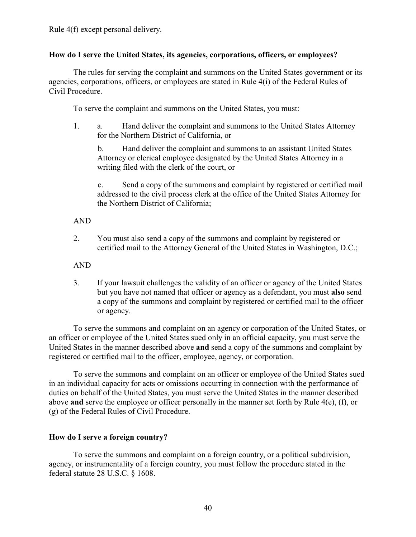# **How do I serve the United States, its agencies, corporations, officers, or employees?**

The rules for serving the complaint and summons on the United States government or its agencies, corporations, officers, or employees are stated in Rule 4(i) of the Federal Rules of Civil Procedure.

To serve the complaint and summons on the United States, you must:

1. a. Hand deliver the complaint and summons to the United States Attorney for the Northern District of California, or

b. Hand deliver the complaint and summons to an assistant United States Attorney or clerical employee designated by the United States Attorney in a writing filed with the clerk of the court, or

c. Send a copy of the summons and complaint by registered or certified mail addressed to the civil process clerk at the office of the United States Attorney for the Northern District of California;

# AND

2. You must also send a copy of the summons and complaint by registered or certified mail to the Attorney General of the United States in Washington, D.C.;

AND

3. If your lawsuit challenges the validity of an officer or agency of the United States but you have not named that officer or agency as a defendant, you must **also** send a copy of the summons and complaint by registered or certified mail to the officer or agency.

To serve the summons and complaint on an agency or corporation of the United States, or an officer or employee of the United States sued only in an official capacity, you must serve the United States in the manner described above **and** send a copy of the summons and complaint by registered or certified mail to the officer, employee, agency, or corporation.

To serve the summons and complaint on an officer or employee of the United States sued in an individual capacity for acts or omissions occurring in connection with the performance of duties on behalf of the United States, you must serve the United States in the manner described above **and** serve the employee or officer personally in the manner set forth by Rule 4(e), (f), or (g) of the Federal Rules of Civil Procedure.

# **How do I serve a foreign country?**

To serve the summons and complaint on a foreign country, or a political subdivision, agency, or instrumentality of a foreign country, you must follow the procedure stated in the federal statute 28 U.S.C. § 1608.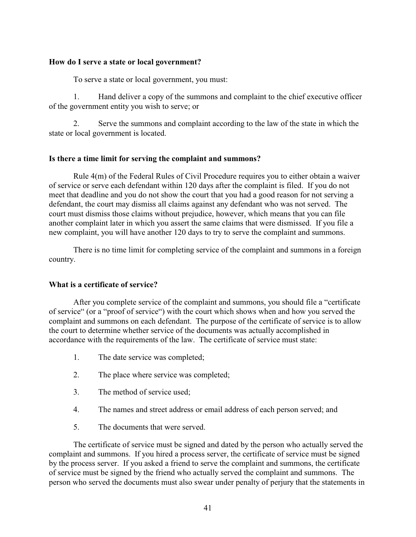## **How do I serve a state or local government?**

To serve a state or local government, you must:

1. Hand deliver a copy of the summons and complaint to the chief executive officer of the government entity you wish to serve; or

2. Serve the summons and complaint according to the law of the state in which the state or local government is located.

## **Is there a time limit for serving the complaint and summons?**

Rule 4(m) of the Federal Rules of Civil Procedure requires you to either obtain a waiver of service or serve each defendant within 120 days after the complaint is filed. If you do not meet that deadline and you do not show the court that you had a good reason for not serving a defendant, the court may dismiss all claims against any defendant who was not served. The court must dismiss those claims without prejudice, however, which means that you can file another complaint later in which you assert the same claims that were dismissed. If you file a new complaint, you will have another 120 days to try to serve the complaint and summons.

There is no time limit for completing service of the complaint and summons in a foreign country.

## **What is a certificate of service?**

After you complete service of the complaint and summons, you should file a "certificate of service" (or a "proof of service") with the court which shows when and how you served the complaint and summons on each defendant. The purpose of the certificate of service is to allow the court to determine whether service of the documents was actually accomplished in accordance with the requirements of the law. The certificate of service must state:

- 1. The date service was completed;
- 2. The place where service was completed;
- 3. The method of service used;
- 4. The names and street address or email address of each person served; and
- 5. The documents that were served.

The certificate of service must be signed and dated by the person who actually served the complaint and summons. If you hired a process server, the certificate of service must be signed by the process server. If you asked a friend to serve the complaint and summons, the certificate of service must be signed by the friend who actually served the complaint and summons. The person who served the documents must also swear under penalty of perjury that the statements in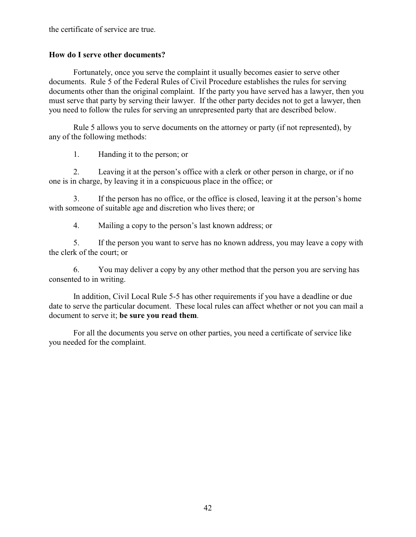the certificate of service are true.

## **How do I serve other documents?**

Fortunately, once you serve the complaint it usually becomes easier to serve other documents. Rule 5 of the Federal Rules of Civil Procedure establishes the rules for serving documents other than the original complaint. If the party you have served has a lawyer, then you must serve that party by serving their lawyer. If the other party decides not to get a lawyer, then you need to follow the rules for serving an unrepresented party that are described below.

Rule 5 allows you to serve documents on the attorney or party (if not represented), by any of the following methods:

1. Handing it to the person; or

2. Leaving it at the person's office with a clerk or other person in charge, or if no one is in charge, by leaving it in a conspicuous place in the office; or

3. If the person has no office, or the office is closed, leaving it at the person's home with someone of suitable age and discretion who lives there; or

4. Mailing a copy to the person's last known address; or

5. If the person you want to serve has no known address, you may leave a copy with the clerk of the court; or

6. You may deliver a copy by any other method that the person you are serving has consented to in writing.

In addition, Civil Local Rule 5-5 has other requirements if you have a deadline or due date to serve the particular document. These local rules can affect whether or not you can mail a document to serve it; **be sure you read them**.

For all the documents you serve on other parties, you need a certificate of service like you needed for the complaint.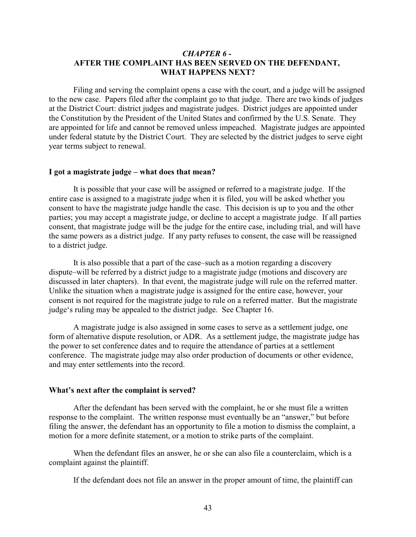## *CHAPTER 6 -*  **AFTER THE COMPLAINT HAS BEEN SERVED ON THE DEFENDANT, WHAT HAPPENS NEXT?**

Filing and serving the complaint opens a case with the court, and a judge will be assigned to the new case. Papers filed after the complaint go to that judge. There are two kinds of judges at the District Court: district judges and magistrate judges. District judges are appointed under the Constitution by the President of the United States and confirmed by the U.S. Senate. They are appointed for life and cannot be removed unless impeached. Magistrate judges are appointed under federal statute by the District Court. They are selected by the district judges to serve eight year terms subject to renewal.

## **I got a magistrate judge – what does that mean?**

It is possible that your case will be assigned or referred to a magistrate judge. If the entire case is assigned to a magistrate judge when it is filed, you will be asked whether you consent to have the magistrate judge handle the case. This decision is up to you and the other parties; you may accept a magistrate judge, or decline to accept a magistrate judge. If all parties consent, that magistrate judge will be the judge for the entire case, including trial, and will have the same powers as a district judge. If any party refuses to consent, the case will be reassigned to a district judge.

It is also possible that a part of the case–such as a motion regarding a discovery dispute–will be referred by a district judge to a magistrate judge (motions and discovery are discussed in later chapters). In that event, the magistrate judge will rule on the referred matter. Unlike the situation when a magistrate judge is assigned for the entire case, however, your consent is not required for the magistrate judge to rule on a referred matter. But the magistrate judge's ruling may be appealed to the district judge. See Chapter 16.

A magistrate judge is also assigned in some cases to serve as a settlement judge, one form of alternative dispute resolution, or ADR. As a settlement judge, the magistrate judge has the power to set conference dates and to require the attendance of parties at a settlement conference. The magistrate judge may also order production of documents or other evidence, and may enter settlements into the record.

#### **What's next after the complaint is served?**

After the defendant has been served with the complaint, he or she must file a written response to the complaint. The written response must eventually be an "answer," but before filing the answer, the defendant has an opportunity to file a motion to dismiss the complaint, a motion for a more definite statement, or a motion to strike parts of the complaint.

When the defendant files an answer, he or she can also file a counterclaim, which is a complaint against the plaintiff.

If the defendant does not file an answer in the proper amount of time, the plaintiff can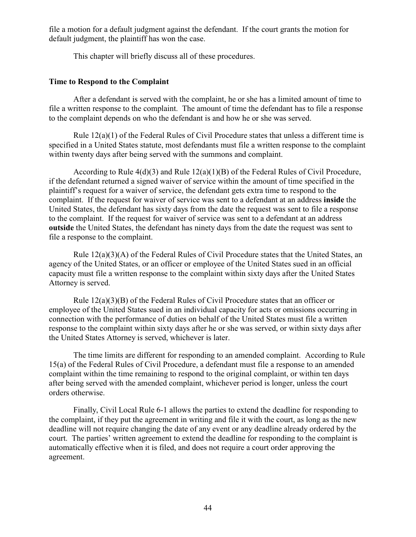file a motion for a default judgment against the defendant. If the court grants the motion for default judgment, the plaintiff has won the case.

This chapter will briefly discuss all of these procedures.

## **Time to Respond to the Complaint**

After a defendant is served with the complaint, he or she has a limited amount of time to file a written response to the complaint. The amount of time the defendant has to file a response to the complaint depends on who the defendant is and how he or she was served.

Rule  $12(a)(1)$  of the Federal Rules of Civil Procedure states that unless a different time is specified in a United States statute, most defendants must file a written response to the complaint within twenty days after being served with the summons and complaint.

According to Rule 4(d)(3) and Rule 12(a)(1)(B) of the Federal Rules of Civil Procedure, if the defendant returned a signed waiver of service within the amount of time specified in the plaintiff's request for a waiver of service, the defendant gets extra time to respond to the complaint. If the request for waiver of service was sent to a defendant at an address **inside** the United States, the defendant has sixty days from the date the request was sent to file a response to the complaint. If the request for waiver of service was sent to a defendant at an address **outside** the United States, the defendant has ninety days from the date the request was sent to file a response to the complaint.

Rule 12(a)(3)(A) of the Federal Rules of Civil Procedure states that the United States, an agency of the United States, or an officer or employee of the United States sued in an official capacity must file a written response to the complaint within sixty days after the United States Attorney is served.

Rule 12(a)(3)(B) of the Federal Rules of Civil Procedure states that an officer or employee of the United States sued in an individual capacity for acts or omissions occurring in connection with the performance of duties on behalf of the United States must file a written response to the complaint within sixty days after he or she was served, or within sixty days after the United States Attorney is served, whichever is later.

The time limits are different for responding to an amended complaint. According to Rule 15(a) of the Federal Rules of Civil Procedure, a defendant must file a response to an amended complaint within the time remaining to respond to the original complaint, or within ten days after being served with the amended complaint, whichever period is longer, unless the court orders otherwise.

Finally, Civil Local Rule 6-1 allows the parties to extend the deadline for responding to the complaint, if they put the agreement in writing and file it with the court, as long as the new deadline will not require changing the date of any event or any deadline already ordered by the court. The parties' written agreement to extend the deadline for responding to the complaint is automatically effective when it is filed, and does not require a court order approving the agreement.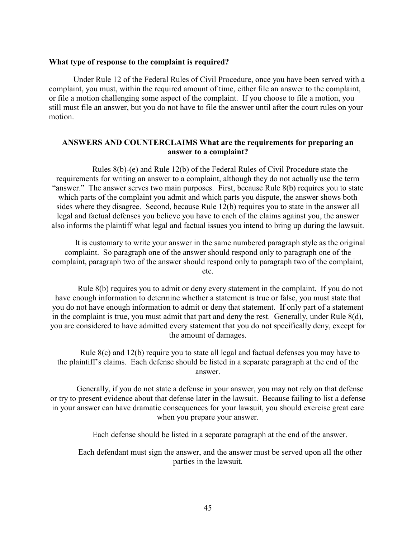## **What type of response to the complaint is required?**

Under Rule 12 of the Federal Rules of Civil Procedure, once you have been served with a complaint, you must, within the required amount of time, either file an answer to the complaint, or file a motion challenging some aspect of the complaint. If you choose to file a motion, you still must file an answer, but you do not have to file the answer until after the court rules on your motion.

## **ANSWERS AND COUNTERCLAIMS What are the requirements for preparing an answer to a complaint?**

Rules 8(b)-(e) and Rule 12(b) of the Federal Rules of Civil Procedure state the requirements for writing an answer to a complaint, although they do not actually use the term "answer." The answer serves two main purposes. First, because Rule 8(b) requires you to state which parts of the complaint you admit and which parts you dispute, the answer shows both sides where they disagree. Second, because Rule 12(b) requires you to state in the answer all legal and factual defenses you believe you have to each of the claims against you, the answer also informs the plaintiff what legal and factual issues you intend to bring up during the lawsuit.

It is customary to write your answer in the same numbered paragraph style as the original complaint. So paragraph one of the answer should respond only to paragraph one of the complaint, paragraph two of the answer should respond only to paragraph two of the complaint, etc.

Rule 8(b) requires you to admit or deny every statement in the complaint. If you do not have enough information to determine whether a statement is true or false, you must state that you do not have enough information to admit or deny that statement. If only part of a statement in the complaint is true, you must admit that part and deny the rest. Generally, under Rule 8(d), you are considered to have admitted every statement that you do not specifically deny, except for the amount of damages.

Rule 8(c) and 12(b) require you to state all legal and factual defenses you may have to the plaintiff's claims. Each defense should be listed in a separate paragraph at the end of the answer.

Generally, if you do not state a defense in your answer, you may not rely on that defense or try to present evidence about that defense later in the lawsuit. Because failing to list a defense in your answer can have dramatic consequences for your lawsuit, you should exercise great care when you prepare your answer.

Each defense should be listed in a separate paragraph at the end of the answer.

Each defendant must sign the answer, and the answer must be served upon all the other parties in the lawsuit.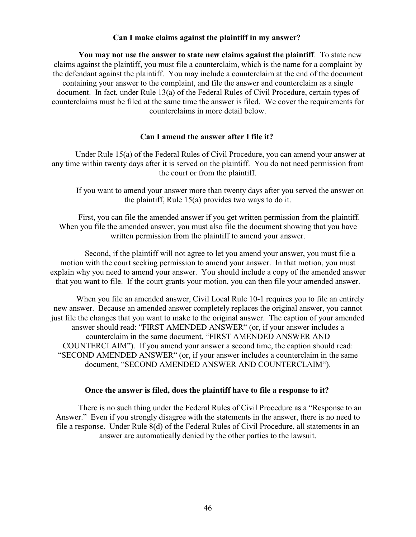## **Can I make claims against the plaintiff in my answer?**

**You may not use the answer to state new claims against the plaintiff**. To state new claims against the plaintiff, you must file a counterclaim, which is the name for a complaint by the defendant against the plaintiff. You may include a counterclaim at the end of the document containing your answer to the complaint, and file the answer and counterclaim as a single document. In fact, under Rule 13(a) of the Federal Rules of Civil Procedure, certain types of counterclaims must be filed at the same time the answer is filed. We cover the requirements for counterclaims in more detail below.

## **Can I amend the answer after I file it?**

Under Rule 15(a) of the Federal Rules of Civil Procedure, you can amend your answer at any time within twenty days after it is served on the plaintiff. You do not need permission from the court or from the plaintiff.

If you want to amend your answer more than twenty days after you served the answer on the plaintiff, Rule 15(a) provides two ways to do it.

First, you can file the amended answer if you get written permission from the plaintiff. When you file the amended answer, you must also file the document showing that you have written permission from the plaintiff to amend your answer.

Second, if the plaintiff will not agree to let you amend your answer, you must file a motion with the court seeking permission to amend your answer. In that motion, you must explain why you need to amend your answer. You should include a copy of the amended answer that you want to file. If the court grants your motion, you can then file your amended answer.

When you file an amended answer, Civil Local Rule 10-1 requires you to file an entirely new answer. Because an amended answer completely replaces the original answer, you cannot just file the changes that you want to make to the original answer. The caption of your amended answer should read: "FIRST AMENDED ANSWER" (or, if your answer includes a counterclaim in the same document, "FIRST AMENDED ANSWER AND COUNTERCLAIM"). If you amend your answer a second time, the caption should read: "SECOND AMENDED ANSWER" (or, if your answer includes a counterclaim in the same document, "SECOND AMENDED ANSWER AND COUNTERCLAIM").

#### **Once the answer is filed, does the plaintiff have to file a response to it?**

There is no such thing under the Federal Rules of Civil Procedure as a "Response to an Answer." Even if you strongly disagree with the statements in the answer, there is no need to file a response. Under Rule 8(d) of the Federal Rules of Civil Procedure, all statements in an answer are automatically denied by the other parties to the lawsuit.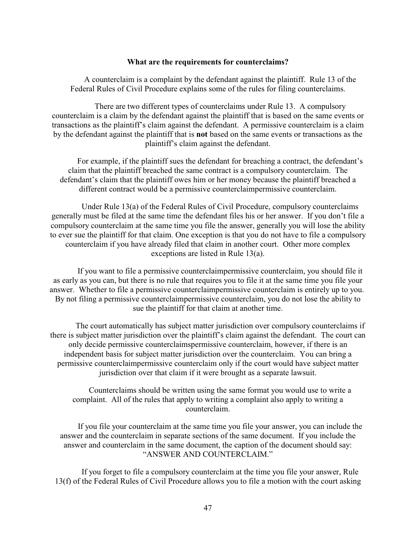#### **What are the requirements for counterclaims?**

A counterclaim is a complaint by the defendant against the plaintiff. Rule 13 of the Federal Rules of Civil Procedure explains some of the rules for filing counterclaims.

There are two different types of counterclaims under Rule 13. A compulsory counterclaim is a claim by the defendant against the plaintiff that is based on the same events or transactions as the plaintiff's claim against the defendant. A permissive counterclaim is a claim by the defendant against the plaintiff that is **not** based on the same events or transactions as the plaintiff's claim against the defendant.

For example, if the plaintiff sues the defendant for breaching a contract, the defendant's claim that the plaintiff breached the same contract is a compulsory counterclaim. The defendant's claim that the plaintiff owes him or her money because the plaintiff breached a different contract would be a permissive counterclaimpermissive counterclaim.

Under Rule 13(a) of the Federal Rules of Civil Procedure, compulsory counterclaims generally must be filed at the same time the defendant files his or her answer. If you don't file a compulsory counterclaim at the same time you file the answer, generally you will lose the ability to ever sue the plaintiff for that claim. One exception is that you do not have to file a compulsory counterclaim if you have already filed that claim in another court. Other more complex exceptions are listed in Rule 13(a).

If you want to file a permissive counterclaimpermissive counterclaim, you should file it as early as you can, but there is no rule that requires you to file it at the same time you file your answer. Whether to file a permissive counterclaimpermissive counterclaim is entirely up to you. By not filing a permissive counterclaimpermissive counterclaim, you do not lose the ability to sue the plaintiff for that claim at another time.

The court automatically has subject matter jurisdiction over compulsory counterclaims if there is subject matter jurisdiction over the plaintiff's claim against the defendant. The court can only decide permissive counterclaimspermissive counterclaim, however, if there is an independent basis for subject matter jurisdiction over the counterclaim. You can bring a permissive counterclaimpermissive counterclaim only if the court would have subject matter jurisdiction over that claim if it were brought as a separate lawsuit.

Counterclaims should be written using the same format you would use to write a complaint. All of the rules that apply to writing a complaint also apply to writing a counterclaim.

If you file your counterclaim at the same time you file your answer, you can include the answer and the counterclaim in separate sections of the same document. If you include the answer and counterclaim in the same document, the caption of the document should say: "ANSWER AND COUNTERCLAIM."

If you forget to file a compulsory counterclaim at the time you file your answer, Rule 13(f) of the Federal Rules of Civil Procedure allows you to file a motion with the court asking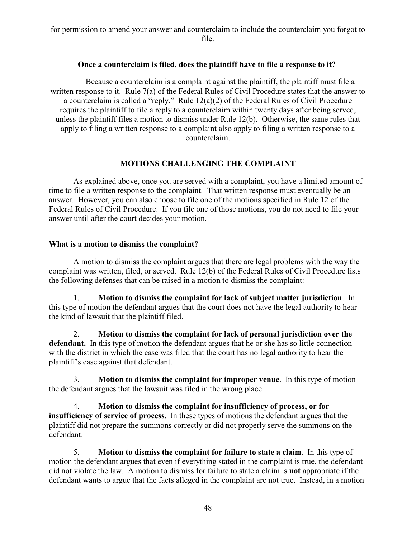for permission to amend your answer and counterclaim to include the counterclaim you forgot to file.

## **Once a counterclaim is filed, does the plaintiff have to file a response to it?**

Because a counterclaim is a complaint against the plaintiff, the plaintiff must file a written response to it. Rule 7(a) of the Federal Rules of Civil Procedure states that the answer to a counterclaim is called a "reply." Rule 12(a)(2) of the Federal Rules of Civil Procedure requires the plaintiff to file a reply to a counterclaim within twenty days after being served, unless the plaintiff files a motion to dismiss under Rule 12(b). Otherwise, the same rules that apply to filing a written response to a complaint also apply to filing a written response to a counterclaim.

# **MOTIONS CHALLENGING THE COMPLAINT**

As explained above, once you are served with a complaint, you have a limited amount of time to file a written response to the complaint. That written response must eventually be an answer. However, you can also choose to file one of the motions specified in Rule 12 of the Federal Rules of Civil Procedure. If you file one of those motions, you do not need to file your answer until after the court decides your motion.

## **What is a motion to dismiss the complaint?**

A motion to dismiss the complaint argues that there are legal problems with the way the complaint was written, filed, or served. Rule 12(b) of the Federal Rules of Civil Procedure lists the following defenses that can be raised in a motion to dismiss the complaint:

1. **Motion to dismiss the complaint for lack of subject matter jurisdiction**. In this type of motion the defendant argues that the court does not have the legal authority to hear the kind of lawsuit that the plaintiff filed.

2. **Motion to dismiss the complaint for lack of personal jurisdiction over the defendant.** In this type of motion the defendant argues that he or she has so little connection with the district in which the case was filed that the court has no legal authority to hear the plaintiff's case against that defendant.

3. **Motion to dismiss the complaint for improper venue**. In this type of motion the defendant argues that the lawsuit was filed in the wrong place.

4. **Motion to dismiss the complaint for insufficiency of process, or for insufficiency of service of process**. In these types of motions the defendant argues that the plaintiff did not prepare the summons correctly or did not properly serve the summons on the defendant.

5. **Motion to dismiss the complaint for failure to state a claim**. In this type of motion the defendant argues that even if everything stated in the complaint is true, the defendant did not violate the law. A motion to dismiss for failure to state a claim is **not** appropriate if the defendant wants to argue that the facts alleged in the complaint are not true. Instead, in a motion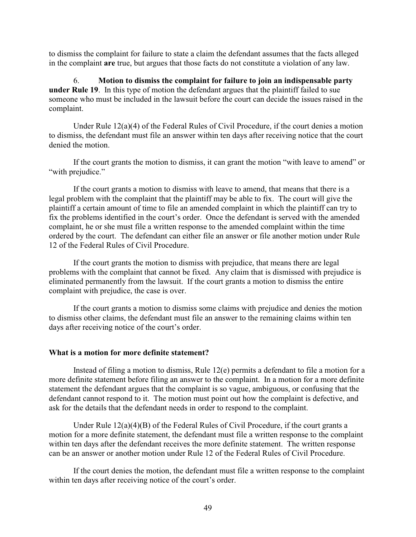to dismiss the complaint for failure to state a claim the defendant assumes that the facts alleged in the complaint **are** true, but argues that those facts do not constitute a violation of any law.

6. **Motion to dismiss the complaint for failure to join an indispensable party under Rule 19**. In this type of motion the defendant argues that the plaintiff failed to sue someone who must be included in the lawsuit before the court can decide the issues raised in the complaint.

Under Rule 12(a)(4) of the Federal Rules of Civil Procedure, if the court denies a motion to dismiss, the defendant must file an answer within ten days after receiving notice that the court denied the motion.

If the court grants the motion to dismiss, it can grant the motion "with leave to amend" or "with prejudice."

If the court grants a motion to dismiss with leave to amend, that means that there is a legal problem with the complaint that the plaintiff may be able to fix. The court will give the plaintiff a certain amount of time to file an amended complaint in which the plaintiff can try to fix the problems identified in the court's order. Once the defendant is served with the amended complaint, he or she must file a written response to the amended complaint within the time ordered by the court. The defendant can either file an answer or file another motion under Rule 12 of the Federal Rules of Civil Procedure.

If the court grants the motion to dismiss with prejudice, that means there are legal problems with the complaint that cannot be fixed. Any claim that is dismissed with prejudice is eliminated permanently from the lawsuit. If the court grants a motion to dismiss the entire complaint with prejudice, the case is over.

If the court grants a motion to dismiss some claims with prejudice and denies the motion to dismiss other claims, the defendant must file an answer to the remaining claims within ten days after receiving notice of the court's order.

### **What is a motion for more definite statement?**

Instead of filing a motion to dismiss, Rule 12(e) permits a defendant to file a motion for a more definite statement before filing an answer to the complaint. In a motion for a more definite statement the defendant argues that the complaint is so vague, ambiguous, or confusing that the defendant cannot respond to it. The motion must point out how the complaint is defective, and ask for the details that the defendant needs in order to respond to the complaint.

Under Rule 12(a)(4)(B) of the Federal Rules of Civil Procedure, if the court grants a motion for a more definite statement, the defendant must file a written response to the complaint within ten days after the defendant receives the more definite statement. The written response can be an answer or another motion under Rule 12 of the Federal Rules of Civil Procedure.

If the court denies the motion, the defendant must file a written response to the complaint within ten days after receiving notice of the court's order.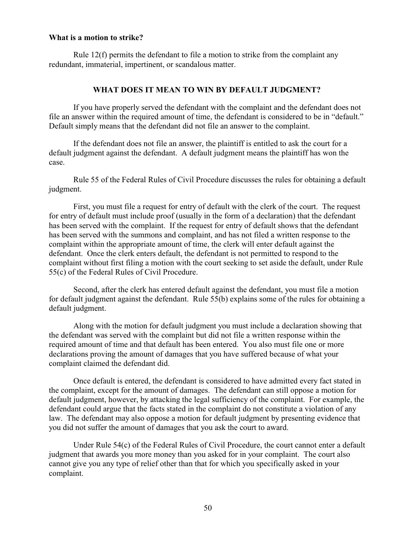## **What is a motion to strike?**

Rule  $12(f)$  permits the defendant to file a motion to strike from the complaint any redundant, immaterial, impertinent, or scandalous matter.

## **WHAT DOES IT MEAN TO WIN BY DEFAULT JUDGMENT?**

If you have properly served the defendant with the complaint and the defendant does not file an answer within the required amount of time, the defendant is considered to be in "default." Default simply means that the defendant did not file an answer to the complaint.

If the defendant does not file an answer, the plaintiff is entitled to ask the court for a default judgment against the defendant. A default judgment means the plaintiff has won the case.

Rule 55 of the Federal Rules of Civil Procedure discusses the rules for obtaining a default judgment.

First, you must file a request for entry of default with the clerk of the court. The request for entry of default must include proof (usually in the form of a declaration) that the defendant has been served with the complaint. If the request for entry of default shows that the defendant has been served with the summons and complaint, and has not filed a written response to the complaint within the appropriate amount of time, the clerk will enter default against the defendant. Once the clerk enters default, the defendant is not permitted to respond to the complaint without first filing a motion with the court seeking to set aside the default, under Rule 55(c) of the Federal Rules of Civil Procedure.

Second, after the clerk has entered default against the defendant, you must file a motion for default judgment against the defendant. Rule 55(b) explains some of the rules for obtaining a default judgment.

Along with the motion for default judgment you must include a declaration showing that the defendant was served with the complaint but did not file a written response within the required amount of time and that default has been entered. You also must file one or more declarations proving the amount of damages that you have suffered because of what your complaint claimed the defendant did.

Once default is entered, the defendant is considered to have admitted every fact stated in the complaint, except for the amount of damages. The defendant can still oppose a motion for default judgment, however, by attacking the legal sufficiency of the complaint. For example, the defendant could argue that the facts stated in the complaint do not constitute a violation of any law. The defendant may also oppose a motion for default judgment by presenting evidence that you did not suffer the amount of damages that you ask the court to award.

Under Rule 54(c) of the Federal Rules of Civil Procedure, the court cannot enter a default judgment that awards you more money than you asked for in your complaint. The court also cannot give you any type of relief other than that for which you specifically asked in your complaint.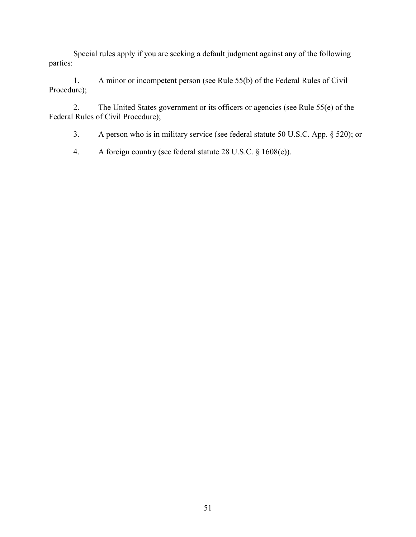Special rules apply if you are seeking a default judgment against any of the following parties:

1. A minor or incompetent person (see Rule 55(b) of the Federal Rules of Civil Procedure);

2. The United States government or its officers or agencies (see Rule 55(e) of the Federal Rules of Civil Procedure);

3. A person who is in military service (see federal statute 50 U.S.C. App. § 520); or

4. A foreign country (see federal statute 28 U.S.C. § 1608(e)).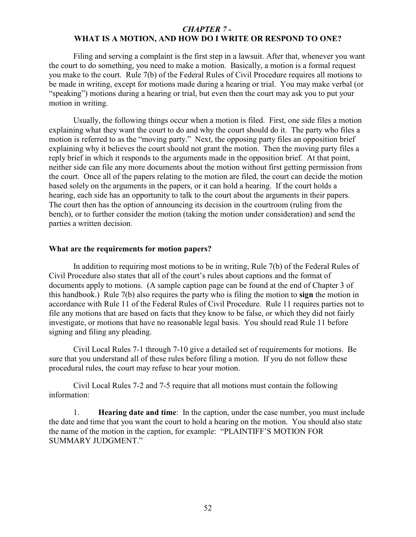## *CHAPTER 7 -*  **WHAT IS A MOTION, AND HOW DO I WRITE OR RESPOND TO ONE?**

Filing and serving a complaint is the first step in a lawsuit. After that, whenever you want the court to do something, you need to make a motion. Basically, a motion is a formal request you make to the court. Rule 7(b) of the Federal Rules of Civil Procedure requires all motions to be made in writing, except for motions made during a hearing or trial. You may make verbal (or "speaking") motions during a hearing or trial, but even then the court may ask you to put your motion in writing.

Usually, the following things occur when a motion is filed. First, one side files a motion explaining what they want the court to do and why the court should do it. The party who files a motion is referred to as the "moving party." Next, the opposing party files an opposition brief explaining why it believes the court should not grant the motion. Then the moving party files a reply brief in which it responds to the arguments made in the opposition brief. At that point, neither side can file any more documents about the motion without first getting permission from the court. Once all of the papers relating to the motion are filed, the court can decide the motion based solely on the arguments in the papers, or it can hold a hearing. If the court holds a hearing, each side has an opportunity to talk to the court about the arguments in their papers. The court then has the option of announcing its decision in the courtroom (ruling from the bench), or to further consider the motion (taking the motion under consideration) and send the parties a written decision.

### **What are the requirements for motion papers?**

In addition to requiring most motions to be in writing, Rule 7(b) of the Federal Rules of Civil Procedure also states that all of the court's rules about captions and the format of documents apply to motions. (A sample caption page can be found at the end of Chapter 3 of this handbook.) Rule 7(b) also requires the party who is filing the motion to **sign** the motion in accordance with Rule 11 of the Federal Rules of Civil Procedure. Rule 11 requires parties not to file any motions that are based on facts that they know to be false, or which they did not fairly investigate, or motions that have no reasonable legal basis. You should read Rule 11 before signing and filing any pleading.

Civil Local Rules 7-1 through 7-10 give a detailed set of requirements for motions. Be sure that you understand all of these rules before filing a motion. If you do not follow these procedural rules, the court may refuse to hear your motion.

Civil Local Rules 7-2 and 7-5 require that all motions must contain the following information:

1. **Hearing date and time**: In the caption, under the case number, you must include the date and time that you want the court to hold a hearing on the motion. You should also state the name of the motion in the caption, for example: "PLAINTIFF'S MOTION FOR SUMMARY JUDGMENT."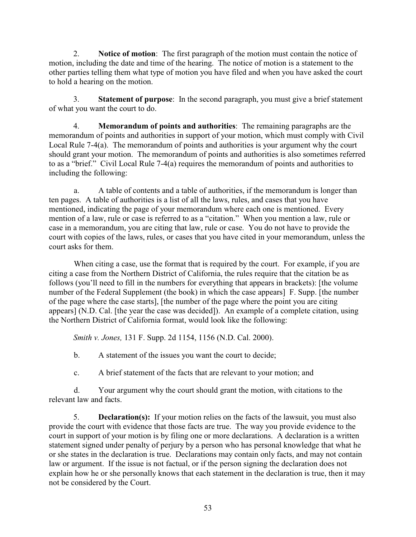2. **Notice of motion**: The first paragraph of the motion must contain the notice of motion, including the date and time of the hearing. The notice of motion is a statement to the other parties telling them what type of motion you have filed and when you have asked the court to hold a hearing on the motion.

3. **Statement of purpose**: In the second paragraph, you must give a brief statement of what you want the court to do.

4. **Memorandum of points and authorities**: The remaining paragraphs are the memorandum of points and authorities in support of your motion, which must comply with Civil Local Rule 7-4(a). The memorandum of points and authorities is your argument why the court should grant your motion. The memorandum of points and authorities is also sometimes referred to as a "brief." Civil Local Rule 7-4(a) requires the memorandum of points and authorities to including the following:

a. A table of contents and a table of authorities, if the memorandum is longer than ten pages. A table of authorities is a list of all the laws, rules, and cases that you have mentioned, indicating the page of your memorandum where each one is mentioned. Every mention of a law, rule or case is referred to as a "citation." When you mention a law, rule or case in a memorandum, you are citing that law, rule or case. You do not have to provide the court with copies of the laws, rules, or cases that you have cited in your memorandum, unless the court asks for them.

When citing a case, use the format that is required by the court. For example, if you are citing a case from the Northern District of California, the rules require that the citation be as follows (you'll need to fill in the numbers for everything that appears in brackets): [the volume number of the Federal Supplement (the book) in which the case appears] F. Supp. [the number of the page where the case starts], [the number of the page where the point you are citing appears] (N.D. Cal. [the year the case was decided]). An example of a complete citation, using the Northern District of California format, would look like the following:

*Smith v. Jones,* 131 F. Supp. 2d 1154, 1156 (N.D. Cal. 2000).

b. A statement of the issues you want the court to decide;

c. A brief statement of the facts that are relevant to your motion; and

d. Your argument why the court should grant the motion, with citations to the relevant law and facts.

5. **Declaration(s):** If your motion relies on the facts of the lawsuit, you must also provide the court with evidence that those facts are true. The way you provide evidence to the court in support of your motion is by filing one or more declarations. A declaration is a written statement signed under penalty of perjury by a person who has personal knowledge that what he or she states in the declaration is true. Declarations may contain only facts, and may not contain law or argument. If the issue is not factual, or if the person signing the declaration does not explain how he or she personally knows that each statement in the declaration is true, then it may not be considered by the Court.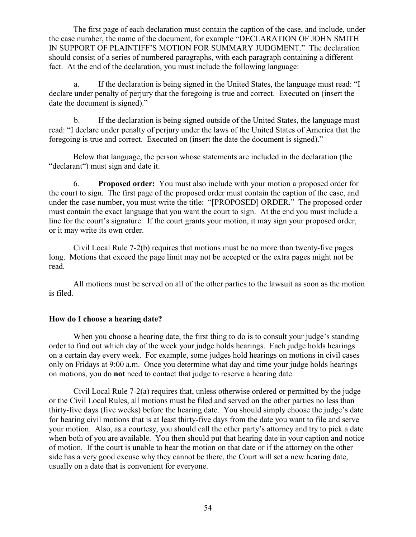The first page of each declaration must contain the caption of the case, and include, under the case number, the name of the document, for example "DECLARATION OF JOHN SMITH IN SUPPORT OF PLAINTIFF'S MOTION FOR SUMMARY JUDGMENT." The declaration should consist of a series of numbered paragraphs, with each paragraph containing a different fact. At the end of the declaration, you must include the following language:

a. If the declaration is being signed in the United States, the language must read: "I declare under penalty of perjury that the foregoing is true and correct. Executed on (insert the date the document is signed)."

b. If the declaration is being signed outside of the United States, the language must read: "I declare under penalty of perjury under the laws of the United States of America that the foregoing is true and correct. Executed on (insert the date the document is signed)."

Below that language, the person whose statements are included in the declaration (the "declarant") must sign and date it.

6. **Proposed order:** You must also include with your motion a proposed order for the court to sign. The first page of the proposed order must contain the caption of the case, and under the case number, you must write the title: "[PROPOSED] ORDER." The proposed order must contain the exact language that you want the court to sign. At the end you must include a line for the court's signature. If the court grants your motion, it may sign your proposed order, or it may write its own order.

Civil Local Rule 7-2(b) requires that motions must be no more than twenty-five pages long. Motions that exceed the page limit may not be accepted or the extra pages might not be read.

All motions must be served on all of the other parties to the lawsuit as soon as the motion is filed.

## **How do I choose a hearing date?**

When you choose a hearing date, the first thing to do is to consult your judge's standing order to find out which day of the week your judge holds hearings. Each judge holds hearings on a certain day every week. For example, some judges hold hearings on motions in civil cases only on Fridays at 9:00 a.m. Once you determine what day and time your judge holds hearings on motions, you do **not** need to contact that judge to reserve a hearing date.

Civil Local Rule 7-2(a) requires that, unless otherwise ordered or permitted by the judge or the Civil Local Rules, all motions must be filed and served on the other parties no less than thirty-five days (five weeks) before the hearing date. You should simply choose the judge's date for hearing civil motions that is at least thirty-five days from the date you want to file and serve your motion. Also, as a courtesy, you should call the other party's attorney and try to pick a date when both of you are available. You then should put that hearing date in your caption and notice of motion. If the court is unable to hear the motion on that date or if the attorney on the other side has a very good excuse why they cannot be there, the Court will set a new hearing date, usually on a date that is convenient for everyone.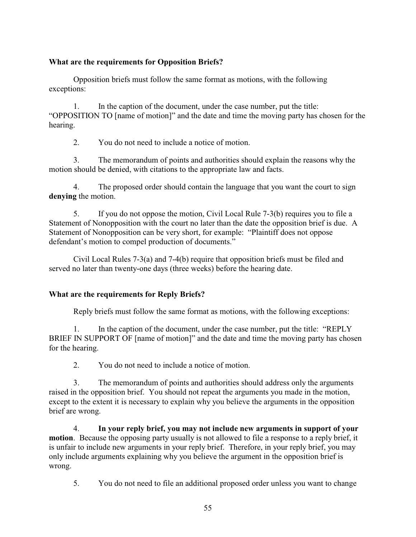# **What are the requirements for Opposition Briefs?**

Opposition briefs must follow the same format as motions, with the following exceptions:

1. In the caption of the document, under the case number, put the title: "OPPOSITION TO [name of motion]" and the date and time the moving party has chosen for the hearing.

2. You do not need to include a notice of motion.

3. The memorandum of points and authorities should explain the reasons why the motion should be denied, with citations to the appropriate law and facts.

4. The proposed order should contain the language that you want the court to sign **denying** the motion.

5. If you do not oppose the motion, Civil Local Rule 7-3(b) requires you to file a Statement of Nonopposition with the court no later than the date the opposition brief is due. A Statement of Nonopposition can be very short, for example: "Plaintiff does not oppose defendant's motion to compel production of documents."

Civil Local Rules 7-3(a) and 7-4(b) require that opposition briefs must be filed and served no later than twenty-one days (three weeks) before the hearing date.

# **What are the requirements for Reply Briefs?**

Reply briefs must follow the same format as motions, with the following exceptions:

1. In the caption of the document, under the case number, put the title: "REPLY BRIEF IN SUPPORT OF [name of motion]" and the date and time the moving party has chosen for the hearing.

2. You do not need to include a notice of motion.

3. The memorandum of points and authorities should address only the arguments raised in the opposition brief. You should not repeat the arguments you made in the motion, except to the extent it is necessary to explain why you believe the arguments in the opposition brief are wrong.

4. **In your reply brief, you may not include new arguments in support of your motion**. Because the opposing party usually is not allowed to file a response to a reply brief, it is unfair to include new arguments in your reply brief. Therefore, in your reply brief, you may only include arguments explaining why you believe the argument in the opposition brief is wrong.

5. You do not need to file an additional proposed order unless you want to change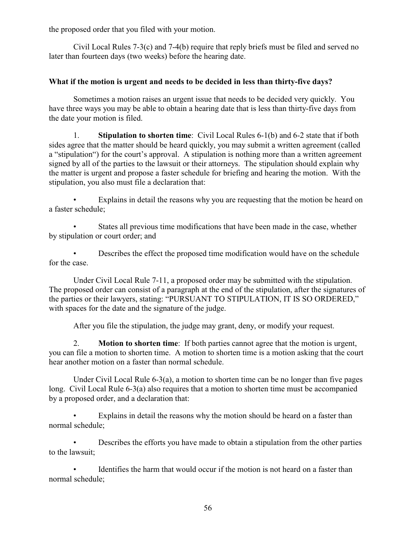the proposed order that you filed with your motion.

Civil Local Rules 7-3(c) and 7-4(b) require that reply briefs must be filed and served no later than fourteen days (two weeks) before the hearing date.

# **What if the motion is urgent and needs to be decided in less than thirty-five days?**

Sometimes a motion raises an urgent issue that needs to be decided very quickly. You have three ways you may be able to obtain a hearing date that is less than thirty-five days from the date your motion is filed.

1. **Stipulation to shorten time**: Civil Local Rules 6-1(b) and 6-2 state that if both sides agree that the matter should be heard quickly, you may submit a written agreement (called a "stipulation") for the court's approval. A stipulation is nothing more than a written agreement signed by all of the parties to the lawsuit or their attorneys. The stipulation should explain why the matter is urgent and propose a faster schedule for briefing and hearing the motion. With the stipulation, you also must file a declaration that:

Explains in detail the reasons why you are requesting that the motion be heard on a faster schedule;

States all previous time modifications that have been made in the case, whether by stipulation or court order; and

• Describes the effect the proposed time modification would have on the schedule for the case.

Under Civil Local Rule 7-11, a proposed order may be submitted with the stipulation. The proposed order can consist of a paragraph at the end of the stipulation, after the signatures of the parties or their lawyers, stating: "PURSUANT TO STIPULATION, IT IS SO ORDERED," with spaces for the date and the signature of the judge.

After you file the stipulation, the judge may grant, deny, or modify your request.

2. **Motion to shorten time**: If both parties cannot agree that the motion is urgent, you can file a motion to shorten time. A motion to shorten time is a motion asking that the court hear another motion on a faster than normal schedule.

Under Civil Local Rule 6-3(a), a motion to shorten time can be no longer than five pages long. Civil Local Rule 6-3(a) also requires that a motion to shorten time must be accompanied by a proposed order, and a declaration that:

• Explains in detail the reasons why the motion should be heard on a faster than normal schedule;

• Describes the efforts you have made to obtain a stipulation from the other parties to the lawsuit;

Identifies the harm that would occur if the motion is not heard on a faster than normal schedule;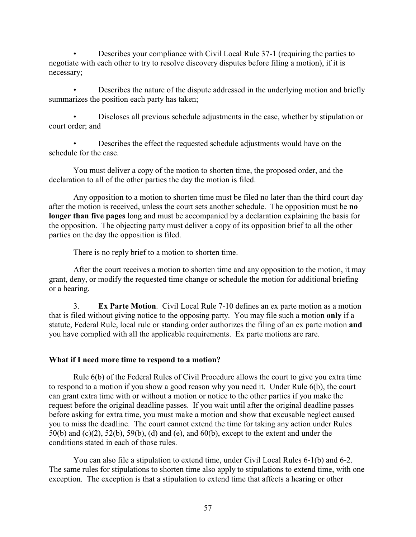• Describes your compliance with Civil Local Rule 37-1 (requiring the parties to negotiate with each other to try to resolve discovery disputes before filing a motion), if it is necessary;

• Describes the nature of the dispute addressed in the underlying motion and briefly summarizes the position each party has taken;

• Discloses all previous schedule adjustments in the case, whether by stipulation or court order; and

• Describes the effect the requested schedule adjustments would have on the schedule for the case.

You must deliver a copy of the motion to shorten time, the proposed order, and the declaration to all of the other parties the day the motion is filed.

Any opposition to a motion to shorten time must be filed no later than the third court day after the motion is received, unless the court sets another schedule. The opposition must be **no longer than five pages** long and must be accompanied by a declaration explaining the basis for the opposition. The objecting party must deliver a copy of its opposition brief to all the other parties on the day the opposition is filed.

There is no reply brief to a motion to shorten time.

After the court receives a motion to shorten time and any opposition to the motion, it may grant, deny, or modify the requested time change or schedule the motion for additional briefing or a hearing.

3. **Ex Parte Motion**. Civil Local Rule 7-10 defines an ex parte motion as a motion that is filed without giving notice to the opposing party. You may file such a motion **only** if a statute, Federal Rule, local rule or standing order authorizes the filing of an ex parte motion **and** you have complied with all the applicable requirements. Ex parte motions are rare.

### **What if I need more time to respond to a motion?**

Rule 6(b) of the Federal Rules of Civil Procedure allows the court to give you extra time to respond to a motion if you show a good reason why you need it. Under Rule 6(b), the court can grant extra time with or without a motion or notice to the other parties if you make the request before the original deadline passes. If you wait until after the original deadline passes before asking for extra time, you must make a motion and show that excusable neglect caused you to miss the deadline. The court cannot extend the time for taking any action under Rules 50(b) and (c)(2), 52(b), 59(b), (d) and (e), and 60(b), except to the extent and under the conditions stated in each of those rules.

You can also file a stipulation to extend time, under Civil Local Rules 6-1(b) and 6-2. The same rules for stipulations to shorten time also apply to stipulations to extend time, with one exception. The exception is that a stipulation to extend time that affects a hearing or other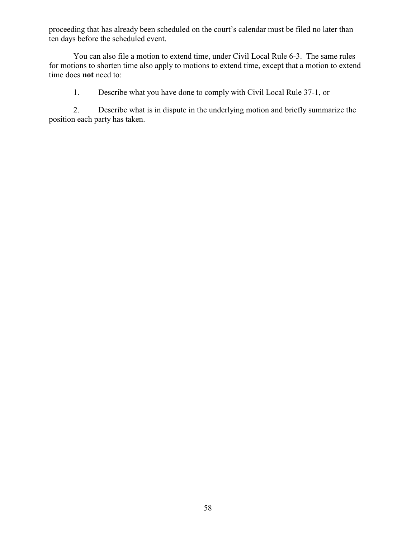proceeding that has already been scheduled on the court's calendar must be filed no later than ten days before the scheduled event.

You can also file a motion to extend time, under Civil Local Rule 6-3. The same rules for motions to shorten time also apply to motions to extend time, except that a motion to extend time does **not** need to:

1. Describe what you have done to comply with Civil Local Rule 37-1, or

2. Describe what is in dispute in the underlying motion and briefly summarize the position each party has taken.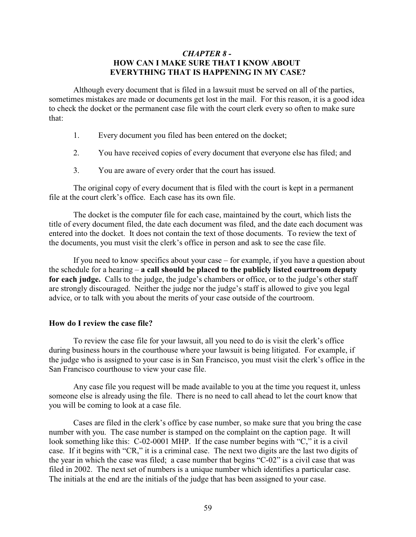## *CHAPTER 8 -*  **HOW CAN I MAKE SURE THAT I KNOW ABOUT EVERYTHING THAT IS HAPPENING IN MY CASE?**

Although every document that is filed in a lawsuit must be served on all of the parties, sometimes mistakes are made or documents get lost in the mail. For this reason, it is a good idea to check the docket or the permanent case file with the court clerk every so often to make sure that:

- 1. Every document you filed has been entered on the docket;
- 2. You have received copies of every document that everyone else has filed; and
- 3. You are aware of every order that the court has issued.

The original copy of every document that is filed with the court is kept in a permanent file at the court clerk's office. Each case has its own file.

The docket is the computer file for each case, maintained by the court, which lists the title of every document filed, the date each document was filed, and the date each document was entered into the docket. It does not contain the text of those documents. To review the text of the documents, you must visit the clerk's office in person and ask to see the case file.

If you need to know specifics about your case – for example, if you have a question about the schedule for a hearing – **a call should be placed to the publicly listed courtroom deputy for each judge.** Calls to the judge, the judge's chambers or office, or to the judge's other staff are strongly discouraged. Neither the judge nor the judge's staff is allowed to give you legal advice, or to talk with you about the merits of your case outside of the courtroom.

#### **How do I review the case file?**

To review the case file for your lawsuit, all you need to do is visit the clerk's office during business hours in the courthouse where your lawsuit is being litigated. For example, if the judge who is assigned to your case is in San Francisco, you must visit the clerk's office in the San Francisco courthouse to view your case file.

Any case file you request will be made available to you at the time you request it, unless someone else is already using the file. There is no need to call ahead to let the court know that you will be coming to look at a case file.

Cases are filed in the clerk's office by case number, so make sure that you bring the case number with you. The case number is stamped on the complaint on the caption page. It will look something like this: C-02-0001 MHP. If the case number begins with "C," it is a civil case. If it begins with "CR," it is a criminal case. The next two digits are the last two digits of the year in which the case was filed; a case number that begins "C-02" is a civil case that was filed in 2002. The next set of numbers is a unique number which identifies a particular case. The initials at the end are the initials of the judge that has been assigned to your case.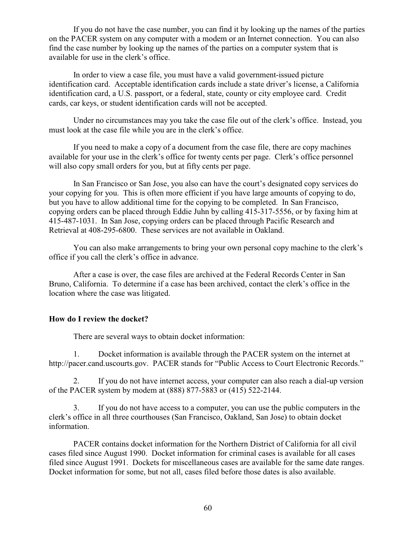If you do not have the case number, you can find it by looking up the names of the parties on the PACER system on any computer with a modem or an Internet connection. You can also find the case number by looking up the names of the parties on a computer system that is available for use in the clerk's office.

In order to view a case file, you must have a valid government-issued picture identification card. Acceptable identification cards include a state driver's license, a California identification card, a U.S. passport, or a federal, state, county or city employee card. Credit cards, car keys, or student identification cards will not be accepted.

Under no circumstances may you take the case file out of the clerk's office. Instead, you must look at the case file while you are in the clerk's office.

If you need to make a copy of a document from the case file, there are copy machines available for your use in the clerk's office for twenty cents per page. Clerk's office personnel will also copy small orders for you, but at fifty cents per page.

In San Francisco or San Jose, you also can have the court's designated copy services do your copying for you. This is often more efficient if you have large amounts of copying to do, but you have to allow additional time for the copying to be completed. In San Francisco, copying orders can be placed through Eddie Juhn by calling 415-317-5556, or by faxing him at 415-487-1031. In San Jose, copying orders can be placed through Pacific Research and Retrieval at 408-295-6800. These services are not available in Oakland.

You can also make arrangements to bring your own personal copy machine to the clerk's office if you call the clerk's office in advance.

After a case is over, the case files are archived at the Federal Records Center in San Bruno, California. To determine if a case has been archived, contact the clerk's office in the location where the case was litigated.

## **How do I review the docket?**

There are several ways to obtain docket information:

1. Docket information is available through the PACER system on the internet at http://pacer.cand.uscourts.gov. PACER stands for "Public Access to Court Electronic Records."

2. If you do not have internet access, your computer can also reach a dial-up version of the PACER system by modem at (888) 877-5883 or (415) 522-2144.

3. If you do not have access to a computer, you can use the public computers in the clerk's office in all three courthouses (San Francisco, Oakland, San Jose) to obtain docket information.

PACER contains docket information for the Northern District of California for all civil cases filed since August 1990. Docket information for criminal cases is available for all cases filed since August 1991. Dockets for miscellaneous cases are available for the same date ranges. Docket information for some, but not all, cases filed before those dates is also available.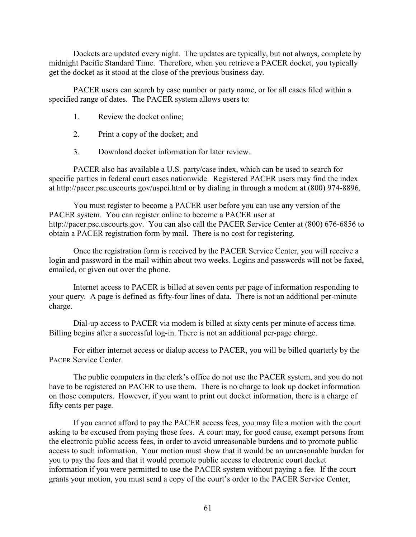Dockets are updated every night. The updates are typically, but not always, complete by midnight Pacific Standard Time. Therefore, when you retrieve a PACER docket, you typically get the docket as it stood at the close of the previous business day.

PACER users can search by case number or party name, or for all cases filed within a specified range of dates. The PACER system allows users to:

- 1. Review the docket online;
- 2. Print a copy of the docket; and
- 3. Download docket information for later review.

PACER also has available a U.S. party/case index, which can be used to search for specific parties in federal court cases nationwide. Registered PACER users may find the index at http://pacer.psc.uscourts.gov/uspci.html or by dialing in through a modem at (800) 974-8896.

You must register to become a PACER user before you can use any version of the PACER system. You can register online to become a PACER user at http://pacer.psc.uscourts.gov. You can also call the PACER Service Center at (800) 676-6856 to obtain a PACER registration form by mail. There is no cost for registering.

Once the registration form is received by the PACER Service Center, you will receive a login and password in the mail within about two weeks. Logins and passwords will not be faxed, emailed, or given out over the phone.

Internet access to PACER is billed at seven cents per page of information responding to your query. A page is defined as fifty-four lines of data. There is not an additional per-minute charge.

Dial-up access to PACER via modem is billed at sixty cents per minute of access time. Billing begins after a successful log-in. There is not an additional per-page charge.

For either internet access or dialup access to PACER, you will be billed quarterly by the PACER Service Center.

The public computers in the clerk's office do not use the PACER system, and you do not have to be registered on PACER to use them. There is no charge to look up docket information on those computers. However, if you want to print out docket information, there is a charge of fifty cents per page.

If you cannot afford to pay the PACER access fees, you may file a motion with the court asking to be excused from paying those fees. A court may, for good cause, exempt persons from the electronic public access fees, in order to avoid unreasonable burdens and to promote public access to such information. Your motion must show that it would be an unreasonable burden for you to pay the fees and that it would promote public access to electronic court docket information if you were permitted to use the PACER system without paying a fee. If the court grants your motion, you must send a copy of the court's order to the PACER Service Center,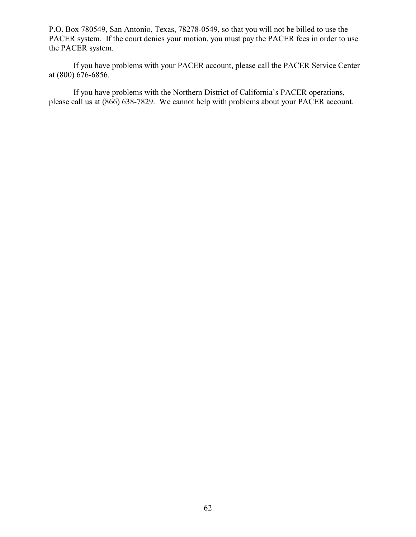P.O. Box 780549, San Antonio, Texas, 78278-0549, so that you will not be billed to use the PACER system. If the court denies your motion, you must pay the PACER fees in order to use the PACER system.

If you have problems with your PACER account, please call the PACER Service Center at (800) 676-6856.

If you have problems with the Northern District of California's PACER operations, please call us at (866) 638-7829. We cannot help with problems about your PACER account.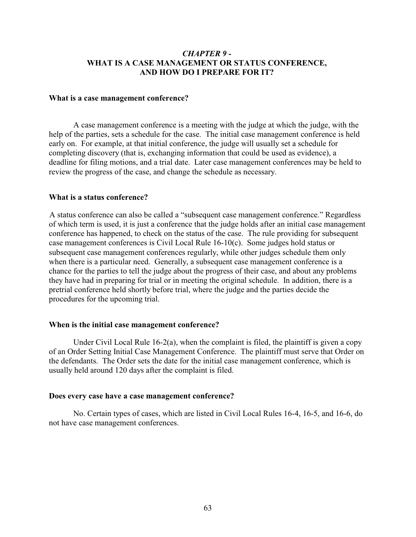## *CHAPTER 9 -*  **WHAT IS A CASE MANAGEMENT OR STATUS CONFERENCE, AND HOW DO I PREPARE FOR IT?**

#### **What is a case management conference?**

A case management conference is a meeting with the judge at which the judge, with the help of the parties, sets a schedule for the case. The initial case management conference is held early on. For example, at that initial conference, the judge will usually set a schedule for completing discovery (that is, exchanging information that could be used as evidence), a deadline for filing motions, and a trial date. Later case management conferences may be held to review the progress of the case, and change the schedule as necessary.

#### **What is a status conference?**

A status conference can also be called a "subsequent case management conference." Regardless of which term is used, it is just a conference that the judge holds after an initial case management conference has happened, to check on the status of the case. The rule providing for subsequent case management conferences is Civil Local Rule 16-10(c). Some judges hold status or subsequent case management conferences regularly, while other judges schedule them only when there is a particular need. Generally, a subsequent case management conference is a chance for the parties to tell the judge about the progress of their case, and about any problems they have had in preparing for trial or in meeting the original schedule. In addition, there is a pretrial conference held shortly before trial, where the judge and the parties decide the procedures for the upcoming trial.

#### **When is the initial case management conference?**

Under Civil Local Rule  $16-2(a)$ , when the complaint is filed, the plaintiff is given a copy of an Order Setting Initial Case Management Conference. The plaintiff must serve that Order on the defendants. The Order sets the date for the initial case management conference, which is usually held around 120 days after the complaint is filed.

#### **Does every case have a case management conference?**

No. Certain types of cases, which are listed in Civil Local Rules 16-4, 16-5, and 16-6, do not have case management conferences.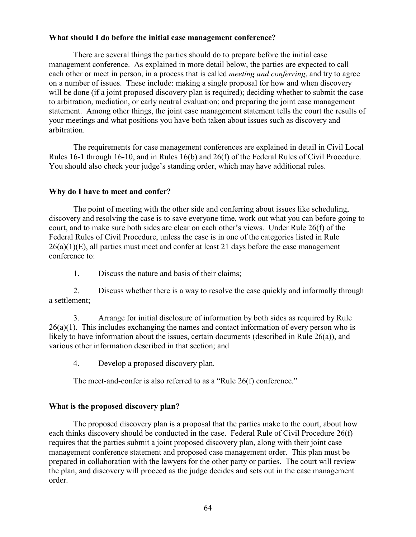## **What should I do before the initial case management conference?**

There are several things the parties should do to prepare before the initial case management conference. As explained in more detail below, the parties are expected to call each other or meet in person, in a process that is called *meeting and conferring*, and try to agree on a number of issues. These include: making a single proposal for how and when discovery will be done (if a joint proposed discovery plan is required); deciding whether to submit the case to arbitration, mediation, or early neutral evaluation; and preparing the joint case management statement. Among other things, the joint case management statement tells the court the results of your meetings and what positions you have both taken about issues such as discovery and arbitration.

The requirements for case management conferences are explained in detail in Civil Local Rules 16-1 through 16-10, and in Rules 16(b) and 26(f) of the Federal Rules of Civil Procedure. You should also check your judge's standing order, which may have additional rules.

## **Why do I have to meet and confer?**

The point of meeting with the other side and conferring about issues like scheduling, discovery and resolving the case is to save everyone time, work out what you can before going to court, and to make sure both sides are clear on each other's views. Under Rule 26(f) of the Federal Rules of Civil Procedure, unless the case is in one of the categories listed in Rule  $26(a)(1)(E)$ , all parties must meet and confer at least 21 days before the case management conference to:

1. Discuss the nature and basis of their claims;

2. Discuss whether there is a way to resolve the case quickly and informally through a settlement;

3. Arrange for initial disclosure of information by both sides as required by Rule  $26(a)(1)$ . This includes exchanging the names and contact information of every person who is likely to have information about the issues, certain documents (described in Rule 26(a)), and various other information described in that section; and

4. Develop a proposed discovery plan.

The meet-and-confer is also referred to as a "Rule 26(f) conference."

### **What is the proposed discovery plan?**

The proposed discovery plan is a proposal that the parties make to the court, about how each thinks discovery should be conducted in the case. Federal Rule of Civil Procedure 26(f) requires that the parties submit a joint proposed discovery plan, along with their joint case management conference statement and proposed case management order. This plan must be prepared in collaboration with the lawyers for the other party or parties. The court will review the plan, and discovery will proceed as the judge decides and sets out in the case management order.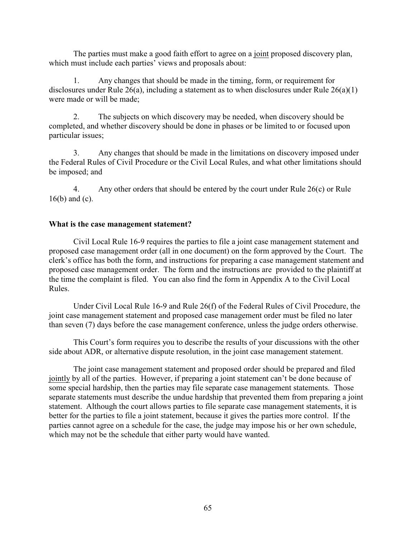The parties must make a good faith effort to agree on a joint proposed discovery plan, which must include each parties' views and proposals about:

1. Any changes that should be made in the timing, form, or requirement for disclosures under Rule 26(a), including a statement as to when disclosures under Rule 26(a)(1) were made or will be made;

2. The subjects on which discovery may be needed, when discovery should be completed, and whether discovery should be done in phases or be limited to or focused upon particular issues;

3. Any changes that should be made in the limitations on discovery imposed under the Federal Rules of Civil Procedure or the Civil Local Rules, and what other limitations should be imposed; and

4. Any other orders that should be entered by the court under Rule 26(c) or Rule 16(b) and (c).

## **What is the case management statement?**

Civil Local Rule 16-9 requires the parties to file a joint case management statement and proposed case management order (all in one document) on the form approved by the Court. The clerk's office has both the form, and instructions for preparing a case management statement and proposed case management order. The form and the instructions are provided to the plaintiff at the time the complaint is filed. You can also find the form in Appendix A to the Civil Local Rules.

Under Civil Local Rule 16-9 and Rule 26(f) of the Federal Rules of Civil Procedure, the joint case management statement and proposed case management order must be filed no later than seven (7) days before the case management conference, unless the judge orders otherwise.

This Court's form requires you to describe the results of your discussions with the other side about ADR, or alternative dispute resolution, in the joint case management statement.

The joint case management statement and proposed order should be prepared and filed jointly by all of the parties. However, if preparing a joint statement can't be done because of some special hardship, then the parties may file separate case management statements. Those separate statements must describe the undue hardship that prevented them from preparing a joint statement. Although the court allows parties to file separate case management statements, it is better for the parties to file a joint statement, because it gives the parties more control. If the parties cannot agree on a schedule for the case, the judge may impose his or her own schedule, which may not be the schedule that either party would have wanted.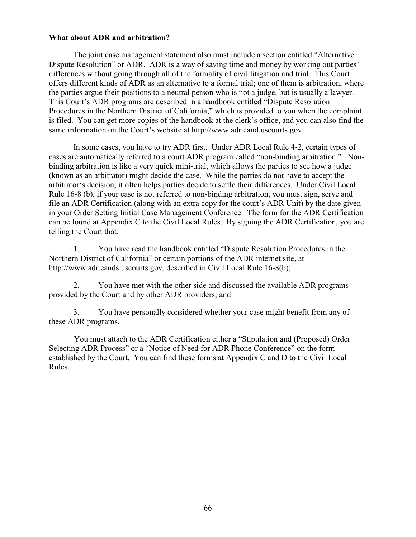## **What about ADR and arbitration?**

The joint case management statement also must include a section entitled "Alternative Dispute Resolution" or ADR. ADR is a way of saving time and money by working out parties' differences without going through all of the formality of civil litigation and trial. This Court offers different kinds of ADR as an alternative to a formal trial; one of them is arbitration, where the parties argue their positions to a neutral person who is not a judge, but is usually a lawyer. This Court's ADR programs are described in a handbook entitled "Dispute Resolution Procedures in the Northern District of California," which is provided to you when the complaint is filed. You can get more copies of the handbook at the clerk's office, and you can also find the same information on the Court's website at http://www.adr.cand.uscourts.gov.

In some cases, you have to try ADR first. Under ADR Local Rule 4-2, certain types of cases are automatically referred to a court ADR program called "non-binding arbitration." Nonbinding arbitration is like a very quick mini-trial, which allows the parties to see how a judge (known as an arbitrator) might decide the case. While the parties do not have to accept the arbitrator's decision, it often helps parties decide to settle their differences. Under Civil Local Rule 16-8 (b), if your case is not referred to non-binding arbitration, you must sign, serve and file an ADR Certification (along with an extra copy for the court's ADR Unit) by the date given in your Order Setting Initial Case Management Conference. The form for the ADR Certification can be found at Appendix C to the Civil Local Rules. By signing the ADR Certification, you are telling the Court that:

1. You have read the handbook entitled "Dispute Resolution Procedures in the Northern District of California" or certain portions of the ADR internet site, at http://www.adr.cands.uscourts.gov, described in Civil Local Rule 16-8(b);

2. You have met with the other side and discussed the available ADR programs provided by the Court and by other ADR providers; and

3. You have personally considered whether your case might benefit from any of these ADR programs.

You must attach to the ADR Certification either a "Stipulation and (Proposed) Order Selecting ADR Process" or a "Notice of Need for ADR Phone Conference" on the form established by the Court. You can find these forms at Appendix C and D to the Civil Local Rules.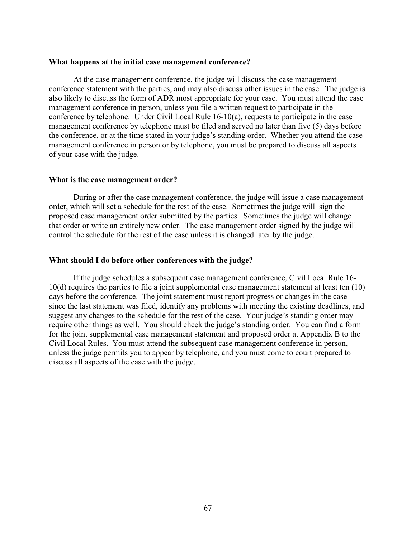#### **What happens at the initial case management conference?**

At the case management conference, the judge will discuss the case management conference statement with the parties, and may also discuss other issues in the case. The judge is also likely to discuss the form of ADR most appropriate for your case. You must attend the case management conference in person, unless you file a written request to participate in the conference by telephone. Under Civil Local Rule 16-10(a), requests to participate in the case management conference by telephone must be filed and served no later than five (5) days before the conference, or at the time stated in your judge's standing order. Whether you attend the case management conference in person or by telephone, you must be prepared to discuss all aspects of your case with the judge.

#### **What is the case management order?**

During or after the case management conference, the judge will issue a case management order, which will set a schedule for the rest of the case. Sometimes the judge will sign the proposed case management order submitted by the parties. Sometimes the judge will change that order or write an entirely new order. The case management order signed by the judge will control the schedule for the rest of the case unless it is changed later by the judge.

### **What should I do before other conferences with the judge?**

If the judge schedules a subsequent case management conference, Civil Local Rule 16- 10(d) requires the parties to file a joint supplemental case management statement at least ten (10) days before the conference. The joint statement must report progress or changes in the case since the last statement was filed, identify any problems with meeting the existing deadlines, and suggest any changes to the schedule for the rest of the case. Your judge's standing order may require other things as well. You should check the judge's standing order. You can find a form for the joint supplemental case management statement and proposed order at Appendix B to the Civil Local Rules. You must attend the subsequent case management conference in person, unless the judge permits you to appear by telephone, and you must come to court prepared to discuss all aspects of the case with the judge.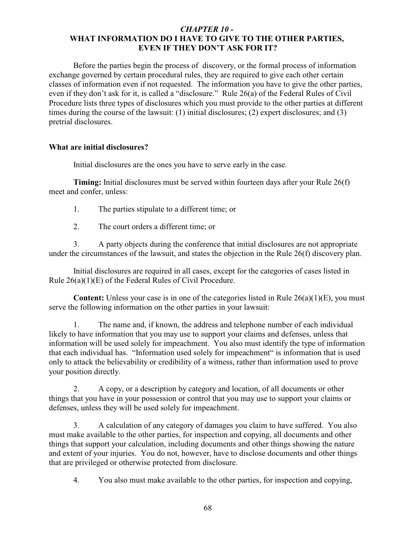## *CHAPTER 10 -*  **WHAT INFORMATION DO I HAVE TO GIVE TO THE OTHER PARTIES, EVEN IF THEY DON'T ASK FOR IT?**

Before the parties begin the process of discovery, or the formal process of information exchange governed by certain procedural rules, they are required to give each other certain classes of information even if not requested. The information you have to give the other parties, even if they don't ask for it, is called a "disclosure." Rule 26(a) of the Federal Rules of Civil Procedure lists three types of disclosures which you must provide to the other parties at different times during the course of the lawsuit: (1) initial disclosures; (2) expert disclosures; and (3) pretrial disclosures.

## **What are initial disclosures?**

Initial disclosures are the ones you have to serve early in the case.

**Timing:** Initial disclosures must be served within fourteen days after your Rule 26(f) meet and confer, unless:

- 1. The parties stipulate to a different time; or
- 2. The court orders a different time; or

3. A party objects during the conference that initial disclosures are not appropriate under the circumstances of the lawsuit, and states the objection in the Rule 26(f) discovery plan.

Initial disclosures are required in all cases, except for the categories of cases listed in Rule 26(a)(1)(E) of the Federal Rules of Civil Procedure.

**Content:** Unless your case is in one of the categories listed in Rule 26(a)(1)(E), you must serve the following information on the other parties in your lawsuit:

1. The name and, if known, the address and telephone number of each individual likely to have information that you may use to support your claims and defenses, unless that information will be used solely for impeachment. You also must identify the type of information that each individual has. "Information used solely for impeachment" is information that is used only to attack the believability or credibility of a witness, rather than information used to prove your position directly.

2. A copy, or a description by category and location, of all documents or other things that you have in your possession or control that you may use to support your claims or defenses, unless they will be used solely for impeachment.

3. A calculation of any category of damages you claim to have suffered. You also must make available to the other parties, for inspection and copying, all documents and other things that support your calculation, including documents and other things showing the nature and extent of your injuries. You do not, however, have to disclose documents and other things that are privileged or otherwise protected from disclosure.

4. You also must make available to the other parties, for inspection and copying,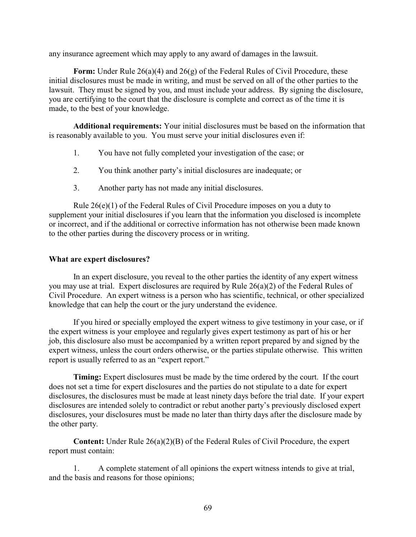any insurance agreement which may apply to any award of damages in the lawsuit.

**Form:** Under Rule 26(a)(4) and 26(g) of the Federal Rules of Civil Procedure, these initial disclosures must be made in writing, and must be served on all of the other parties to the lawsuit. They must be signed by you, and must include your address. By signing the disclosure, you are certifying to the court that the disclosure is complete and correct as of the time it is made, to the best of your knowledge.

**Additional requirements:** Your initial disclosures must be based on the information that is reasonably available to you. You must serve your initial disclosures even if:

- 1. You have not fully completed your investigation of the case; or
- 2. You think another party's initial disclosures are inadequate; or
- 3. Another party has not made any initial disclosures.

Rule  $26(e)(1)$  of the Federal Rules of Civil Procedure imposes on you a duty to supplement your initial disclosures if you learn that the information you disclosed is incomplete or incorrect, and if the additional or corrective information has not otherwise been made known to the other parties during the discovery process or in writing.

## **What are expert disclosures?**

In an expert disclosure, you reveal to the other parties the identity of any expert witness you may use at trial. Expert disclosures are required by Rule 26(a)(2) of the Federal Rules of Civil Procedure. An expert witness is a person who has scientific, technical, or other specialized knowledge that can help the court or the jury understand the evidence.

If you hired or specially employed the expert witness to give testimony in your case, or if the expert witness is your employee and regularly gives expert testimony as part of his or her job, this disclosure also must be accompanied by a written report prepared by and signed by the expert witness, unless the court orders otherwise, or the parties stipulate otherwise. This written report is usually referred to as an "expert report."

**Timing:** Expert disclosures must be made by the time ordered by the court. If the court does not set a time for expert disclosures and the parties do not stipulate to a date for expert disclosures, the disclosures must be made at least ninety days before the trial date. If your expert disclosures are intended solely to contradict or rebut another party's previously disclosed expert disclosures, your disclosures must be made no later than thirty days after the disclosure made by the other party.

**Content:** Under Rule 26(a)(2)(B) of the Federal Rules of Civil Procedure, the expert report must contain:

1. A complete statement of all opinions the expert witness intends to give at trial, and the basis and reasons for those opinions;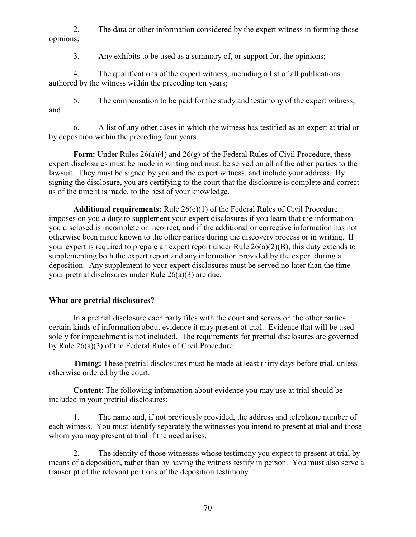2. The data or other information considered by the expert witness in forming those opinions;

3. Any exhibits to be used as a summary of, or support for, the opinions;

4. The qualifications of the expert witness, including a list of all publications authored by the witness within the preceding ten years;

5. The compensation to be paid for the study and testimony of the expert witness; and

6. A list of any other cases in which the witness has testified as an expert at trial or by deposition within the preceding four years.

**Form:** Under Rules 26(a)(4) and 26(g) of the Federal Rules of Civil Procedure, these expert disclosures must be made in writing and must be served on all of the other parties to the lawsuit. They must be signed by you and the expert witness, and include your address. By signing the disclosure, you are certifying to the court that the disclosure is complete and correct as of the time it is made, to the best of your knowledge.

**Additional requirements:** Rule 26(e)(1) of the Federal Rules of Civil Procedure imposes on you a duty to supplement your expert disclosures if you learn that the information you disclosed is incomplete or incorrect, and if the additional or corrective information has not otherwise been made known to the other parties during the discovery process or in writing. If your expert is required to prepare an expert report under Rule 26(a)(2)(B), this duty extends to supplementing both the expert report and any information provided by the expert during a deposition. Any supplement to your expert disclosures must be served no later than the time your pretrial disclosures under Rule 26(a)(3) are due.

## **What are pretrial disclosures?**

In a pretrial disclosure each party files with the court and serves on the other parties certain kinds of information about evidence it may present at trial. Evidence that will be used solely for impeachment is not included. The requirements for pretrial disclosures are governed by Rule 26(a)(3) of the Federal Rules of Civil Procedure.

**Timing:** These pretrial disclosures must be made at least thirty days before trial, unless otherwise ordered by the court.

**Content**: The following information about evidence you may use at trial should be included in your pretrial disclosures:

1. The name and, if not previously provided, the address and telephone number of each witness. You must identify separately the witnesses you intend to present at trial and those whom you may present at trial if the need arises.

2. The identity of those witnesses whose testimony you expect to present at trial by means of a deposition, rather than by having the witness testify in person. You must also serve a transcript of the relevant portions of the deposition testimony.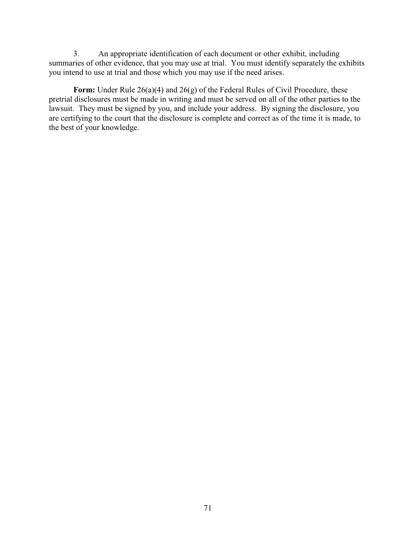3. An appropriate identification of each document or other exhibit, including summaries of other evidence, that you may use at trial. You must identify separately the exhibits you intend to use at trial and those which you may use if the need arises.

Form: Under Rule 26(a)(4) and 26(g) of the Federal Rules of Civil Procedure, these pretrial disclosures must be made in writing and must be served on all of the other parties to the lawsuit. They must be signed by you, and include your address. By signing the disclosure, you are certifying to the court that the disclosure is complete and correct as of the time it is made, to the best of your knowledge.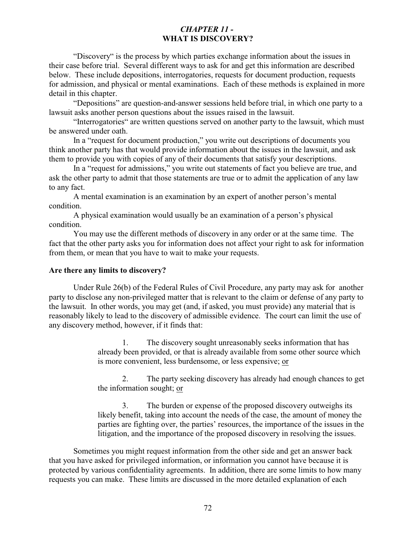## *CHAPTER 11 -*  **WHAT IS DISCOVERY?**

"Discovery" is the process by which parties exchange information about the issues in their case before trial. Several different ways to ask for and get this information are described below. These include depositions, interrogatories, requests for document production, requests for admission, and physical or mental examinations. Each of these methods is explained in more detail in this chapter.

"Depositions" are question-and-answer sessions held before trial, in which one party to a lawsuit asks another person questions about the issues raised in the lawsuit.

"Interrogatories" are written questions served on another party to the lawsuit, which must be answered under oath.

In a "request for document production," you write out descriptions of documents you think another party has that would provide information about the issues in the lawsuit, and ask them to provide you with copies of any of their documents that satisfy your descriptions.

In a "request for admissions," you write out statements of fact you believe are true, and ask the other party to admit that those statements are true or to admit the application of any law to any fact.

A mental examination is an examination by an expert of another person's mental condition.

A physical examination would usually be an examination of a person's physical condition.

You may use the different methods of discovery in any order or at the same time. The fact that the other party asks you for information does not affect your right to ask for information from them, or mean that you have to wait to make your requests.

## **Are there any limits to discovery?**

Under Rule 26(b) of the Federal Rules of Civil Procedure, any party may ask for another party to disclose any non-privileged matter that is relevant to the claim or defense of any party to the lawsuit. In other words, you may get (and, if asked, you must provide) any material that is reasonably likely to lead to the discovery of admissible evidence. The court can limit the use of any discovery method, however, if it finds that:

> 1. The discovery sought unreasonably seeks information that has already been provided, or that is already available from some other source which is more convenient, less burdensome, or less expensive; or

2. The party seeking discovery has already had enough chances to get the information sought; or

3. The burden or expense of the proposed discovery outweighs its likely benefit, taking into account the needs of the case, the amount of money the parties are fighting over, the parties' resources, the importance of the issues in the litigation, and the importance of the proposed discovery in resolving the issues.

Sometimes you might request information from the other side and get an answer back that you have asked for privileged information, or information you cannot have because it is protected by various confidentiality agreements. In addition, there are some limits to how many requests you can make. These limits are discussed in the more detailed explanation of each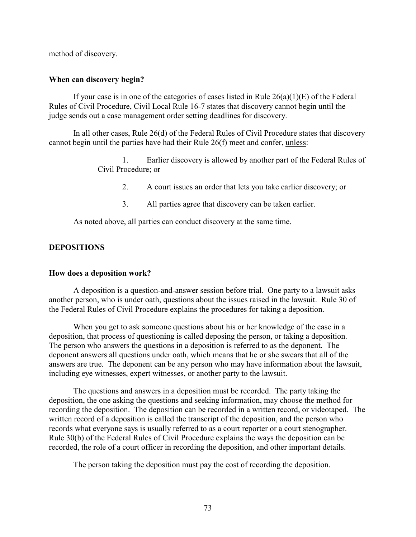method of discovery.

## **When can discovery begin?**

If your case is in one of the categories of cases listed in Rule  $26(a)(1)(E)$  of the Federal Rules of Civil Procedure, Civil Local Rule 16-7 states that discovery cannot begin until the judge sends out a case management order setting deadlines for discovery.

In all other cases, Rule 26(d) of the Federal Rules of Civil Procedure states that discovery cannot begin until the parties have had their Rule 26(f) meet and confer, unless:

> 1. Earlier discovery is allowed by another part of the Federal Rules of Civil Procedure; or

- 2. A court issues an order that lets you take earlier discovery; or
- 3. All parties agree that discovery can be taken earlier.

As noted above, all parties can conduct discovery at the same time.

## **DEPOSITIONS**

### **How does a deposition work?**

A deposition is a question-and-answer session before trial. One party to a lawsuit asks another person, who is under oath, questions about the issues raised in the lawsuit. Rule 30 of the Federal Rules of Civil Procedure explains the procedures for taking a deposition.

When you get to ask someone questions about his or her knowledge of the case in a deposition, that process of questioning is called deposing the person, or taking a deposition. The person who answers the questions in a deposition is referred to as the deponent. The deponent answers all questions under oath, which means that he or she swears that all of the answers are true. The deponent can be any person who may have information about the lawsuit, including eye witnesses, expert witnesses, or another party to the lawsuit.

The questions and answers in a deposition must be recorded. The party taking the deposition, the one asking the questions and seeking information, may choose the method for recording the deposition. The deposition can be recorded in a written record, or videotaped. The written record of a deposition is called the transcript of the deposition, and the person who records what everyone says is usually referred to as a court reporter or a court stenographer. Rule 30(b) of the Federal Rules of Civil Procedure explains the ways the deposition can be recorded, the role of a court officer in recording the deposition, and other important details.

The person taking the deposition must pay the cost of recording the deposition.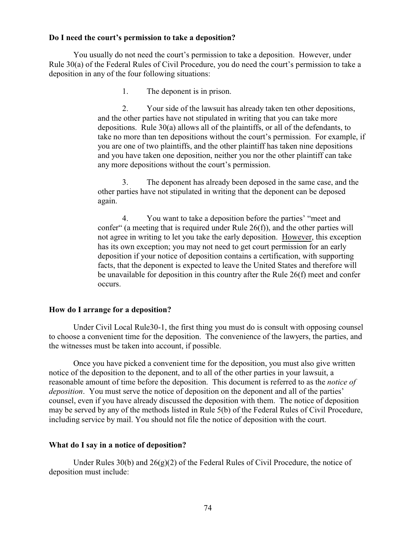### **Do I need the court's permission to take a deposition?**

You usually do not need the court's permission to take a deposition. However, under Rule 30(a) of the Federal Rules of Civil Procedure, you do need the court's permission to take a deposition in any of the four following situations:

1. The deponent is in prison.

2. Your side of the lawsuit has already taken ten other depositions, and the other parties have not stipulated in writing that you can take more depositions. Rule 30(a) allows all of the plaintiffs, or all of the defendants, to take no more than ten depositions without the court's permission. For example, if you are one of two plaintiffs, and the other plaintiff has taken nine depositions and you have taken one deposition, neither you nor the other plaintiff can take any more depositions without the court's permission.

3. The deponent has already been deposed in the same case, and the other parties have not stipulated in writing that the deponent can be deposed again.

4. You want to take a deposition before the parties' "meet and confer" (a meeting that is required under Rule 26(f)), and the other parties will not agree in writing to let you take the early deposition. However, this exception has its own exception; you may not need to get court permission for an early deposition if your notice of deposition contains a certification, with supporting facts, that the deponent is expected to leave the United States and therefore will be unavailable for deposition in this country after the Rule 26(f) meet and confer occurs.

## **How do I arrange for a deposition?**

Under Civil Local Rule30-1, the first thing you must do is consult with opposing counsel to choose a convenient time for the deposition. The convenience of the lawyers, the parties, and the witnesses must be taken into account, if possible.

Once you have picked a convenient time for the deposition, you must also give written notice of the deposition to the deponent, and to all of the other parties in your lawsuit, a reasonable amount of time before the deposition. This document is referred to as the *notice of deposition*. You must serve the notice of deposition on the deponent and all of the parties' counsel, even if you have already discussed the deposition with them. The notice of deposition may be served by any of the methods listed in Rule 5(b) of the Federal Rules of Civil Procedure, including service by mail. You should not file the notice of deposition with the court.

### **What do I say in a notice of deposition?**

Under Rules  $30(b)$  and  $26(g)(2)$  of the Federal Rules of Civil Procedure, the notice of deposition must include: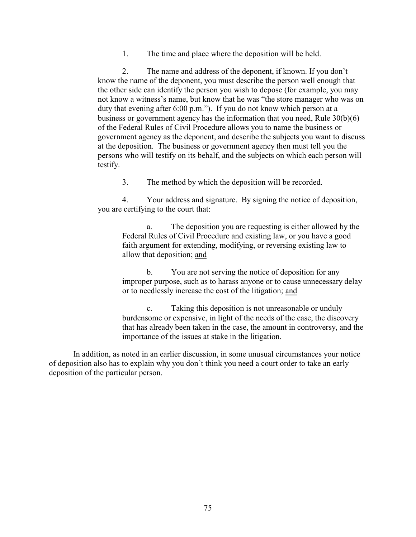1. The time and place where the deposition will be held.

2. The name and address of the deponent, if known. If you don't know the name of the deponent, you must describe the person well enough that the other side can identify the person you wish to depose (for example, you may not know a witness's name, but know that he was "the store manager who was on duty that evening after 6:00 p.m."). If you do not know which person at a business or government agency has the information that you need, Rule 30(b)(6) of the Federal Rules of Civil Procedure allows you to name the business or government agency as the deponent, and describe the subjects you want to discuss at the deposition. The business or government agency then must tell you the persons who will testify on its behalf, and the subjects on which each person will testify.

3. The method by which the deposition will be recorded.

4. Your address and signature. By signing the notice of deposition, you are certifying to the court that:

a. The deposition you are requesting is either allowed by the Federal Rules of Civil Procedure and existing law, or you have a good faith argument for extending, modifying, or reversing existing law to allow that deposition; and

b. You are not serving the notice of deposition for any improper purpose, such as to harass anyone or to cause unnecessary delay or to needlessly increase the cost of the litigation; and

c. Taking this deposition is not unreasonable or unduly burdensome or expensive, in light of the needs of the case, the discovery that has already been taken in the case, the amount in controversy, and the importance of the issues at stake in the litigation.

In addition, as noted in an earlier discussion, in some unusual circumstances your notice of deposition also has to explain why you don't think you need a court order to take an early deposition of the particular person.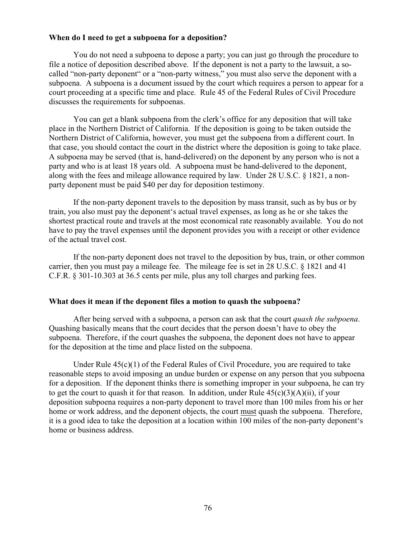### **When do I need to get a subpoena for a deposition?**

You do not need a subpoena to depose a party; you can just go through the procedure to file a notice of deposition described above. If the deponent is not a party to the lawsuit, a socalled "non-party deponent" or a "non-party witness," you must also serve the deponent with a subpoena. A subpoena is a document issued by the court which requires a person to appear for a court proceeding at a specific time and place. Rule 45 of the Federal Rules of Civil Procedure discusses the requirements for subpoenas.

You can get a blank subpoena from the clerk's office for any deposition that will take place in the Northern District of California. If the deposition is going to be taken outside the Northern District of California, however, you must get the subpoena from a different court. In that case, you should contact the court in the district where the deposition is going to take place. A subpoena may be served (that is, hand-delivered) on the deponent by any person who is not a party and who is at least 18 years old. A subpoena must be hand-delivered to the deponent, along with the fees and mileage allowance required by law. Under 28 U.S.C. § 1821, a nonparty deponent must be paid \$40 per day for deposition testimony.

If the non-party deponent travels to the deposition by mass transit, such as by bus or by train, you also must pay the deponent's actual travel expenses, as long as he or she takes the shortest practical route and travels at the most economical rate reasonably available. You do not have to pay the travel expenses until the deponent provides you with a receipt or other evidence of the actual travel cost.

If the non-party deponent does not travel to the deposition by bus, train, or other common carrier, then you must pay a mileage fee. The mileage fee is set in 28 U.S.C. § 1821 and 41 C.F.R. § 301-10.303 at 36.5 cents per mile, plus any toll charges and parking fees.

### **What does it mean if the deponent files a motion to quash the subpoena?**

After being served with a subpoena, a person can ask that the court *quash the subpoena*. Quashing basically means that the court decides that the person doesn't have to obey the subpoena. Therefore, if the court quashes the subpoena, the deponent does not have to appear for the deposition at the time and place listed on the subpoena.

Under Rule  $45(c)(1)$  of the Federal Rules of Civil Procedure, you are required to take reasonable steps to avoid imposing an undue burden or expense on any person that you subpoena for a deposition. If the deponent thinks there is something improper in your subpoena, he can try to get the court to quash it for that reason. In addition, under Rule  $45(c)(3)(A)(ii)$ , if your deposition subpoena requires a non-party deponent to travel more than 100 miles from his or her home or work address, and the deponent objects, the court must quash the subpoena. Therefore, it is a good idea to take the deposition at a location within 100 miles of the non-party deponent's home or business address.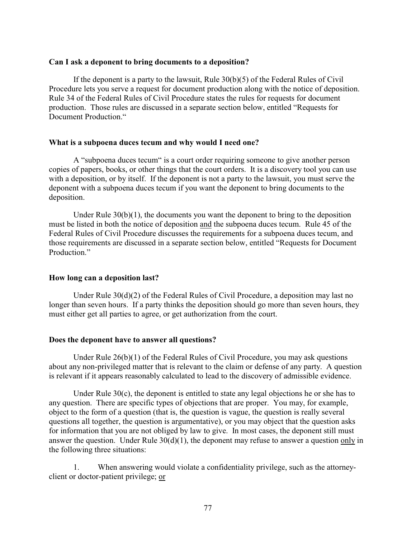### **Can I ask a deponent to bring documents to a deposition?**

If the deponent is a party to the lawsuit, Rule  $30(b)(5)$  of the Federal Rules of Civil Procedure lets you serve a request for document production along with the notice of deposition. Rule 34 of the Federal Rules of Civil Procedure states the rules for requests for document production. Those rules are discussed in a separate section below, entitled "Requests for Document Production."

## **What is a subpoena duces tecum and why would I need one?**

A "subpoena duces tecum" is a court order requiring someone to give another person copies of papers, books, or other things that the court orders. It is a discovery tool you can use with a deposition, or by itself. If the deponent is not a party to the lawsuit, you must serve the deponent with a subpoena duces tecum if you want the deponent to bring documents to the deposition.

Under Rule  $30(b)(1)$ , the documents you want the deponent to bring to the deposition must be listed in both the notice of deposition and the subpoena duces tecum. Rule 45 of the Federal Rules of Civil Procedure discusses the requirements for a subpoena duces tecum, and those requirements are discussed in a separate section below, entitled "Requests for Document Production"

## **How long can a deposition last?**

Under Rule  $30(d)(2)$  of the Federal Rules of Civil Procedure, a deposition may last no longer than seven hours. If a party thinks the deposition should go more than seven hours, they must either get all parties to agree, or get authorization from the court.

## **Does the deponent have to answer all questions?**

Under Rule  $26(b)(1)$  of the Federal Rules of Civil Procedure, you may ask questions about any non-privileged matter that is relevant to the claim or defense of any party. A question is relevant if it appears reasonably calculated to lead to the discovery of admissible evidence.

Under Rule 30(c), the deponent is entitled to state any legal objections he or she has to any question. There are specific types of objections that are proper. You may, for example, object to the form of a question (that is, the question is vague, the question is really several questions all together, the question is argumentative), or you may object that the question asks for information that you are not obliged by law to give. In most cases, the deponent still must answer the question. Under Rule  $30(d)(1)$ , the deponent may refuse to answer a question only in the following three situations:

1. When answering would violate a confidentiality privilege, such as the attorneyclient or doctor-patient privilege; or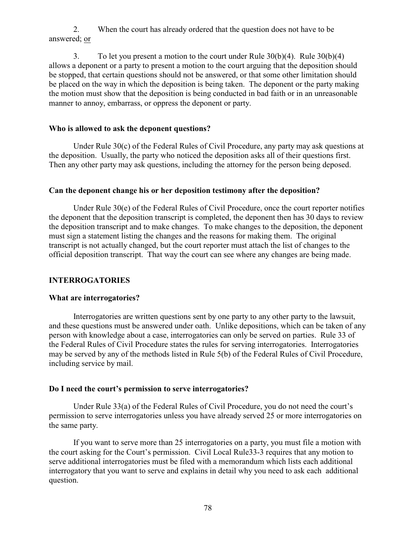2. When the court has already ordered that the question does not have to be answered; or

3. To let you present a motion to the court under Rule 30(b)(4). Rule 30(b)(4) allows a deponent or a party to present a motion to the court arguing that the deposition should be stopped, that certain questions should not be answered, or that some other limitation should be placed on the way in which the deposition is being taken. The deponent or the party making the motion must show that the deposition is being conducted in bad faith or in an unreasonable manner to annoy, embarrass, or oppress the deponent or party.

## **Who is allowed to ask the deponent questions?**

Under Rule 30(c) of the Federal Rules of Civil Procedure, any party may ask questions at the deposition. Usually, the party who noticed the deposition asks all of their questions first. Then any other party may ask questions, including the attorney for the person being deposed.

### **Can the deponent change his or her deposition testimony after the deposition?**

Under Rule 30(e) of the Federal Rules of Civil Procedure, once the court reporter notifies the deponent that the deposition transcript is completed, the deponent then has 30 days to review the deposition transcript and to make changes. To make changes to the deposition, the deponent must sign a statement listing the changes and the reasons for making them. The original transcript is not actually changed, but the court reporter must attach the list of changes to the official deposition transcript. That way the court can see where any changes are being made.

### **INTERROGATORIES**

### **What are interrogatories?**

Interrogatories are written questions sent by one party to any other party to the lawsuit, and these questions must be answered under oath. Unlike depositions, which can be taken of any person with knowledge about a case, interrogatories can only be served on parties. Rule 33 of the Federal Rules of Civil Procedure states the rules for serving interrogatories. Interrogatories may be served by any of the methods listed in Rule 5(b) of the Federal Rules of Civil Procedure, including service by mail.

### **Do I need the court's permission to serve interrogatories?**

Under Rule 33(a) of the Federal Rules of Civil Procedure, you do not need the court's permission to serve interrogatories unless you have already served 25 or more interrogatories on the same party.

If you want to serve more than 25 interrogatories on a party, you must file a motion with the court asking for the Court's permission. Civil Local Rule33-3 requires that any motion to serve additional interrogatories must be filed with a memorandum which lists each additional interrogatory that you want to serve and explains in detail why you need to ask each additional question.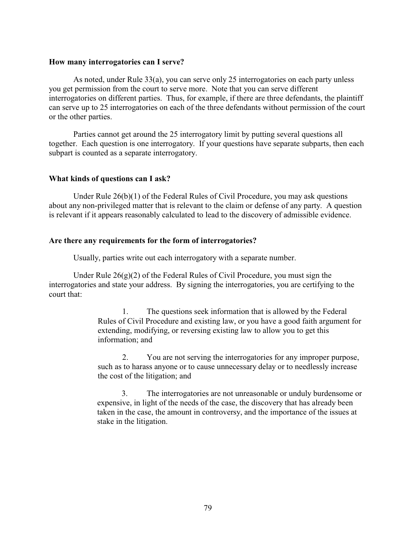### **How many interrogatories can I serve?**

As noted, under Rule 33(a), you can serve only 25 interrogatories on each party unless you get permission from the court to serve more. Note that you can serve different interrogatories on different parties. Thus, for example, if there are three defendants, the plaintiff can serve up to 25 interrogatories on each of the three defendants without permission of the court or the other parties.

Parties cannot get around the 25 interrogatory limit by putting several questions all together. Each question is one interrogatory. If your questions have separate subparts, then each subpart is counted as a separate interrogatory.

### **What kinds of questions can I ask?**

Under Rule  $26(b)(1)$  of the Federal Rules of Civil Procedure, you may ask questions about any non-privileged matter that is relevant to the claim or defense of any party. A question is relevant if it appears reasonably calculated to lead to the discovery of admissible evidence.

## **Are there any requirements for the form of interrogatories?**

Usually, parties write out each interrogatory with a separate number.

Under Rule  $26(g)(2)$  of the Federal Rules of Civil Procedure, you must sign the interrogatories and state your address. By signing the interrogatories, you are certifying to the court that:

> 1. The questions seek information that is allowed by the Federal Rules of Civil Procedure and existing law, or you have a good faith argument for extending, modifying, or reversing existing law to allow you to get this information; and

2. You are not serving the interrogatories for any improper purpose, such as to harass anyone or to cause unnecessary delay or to needlessly increase the cost of the litigation; and

3. The interrogatories are not unreasonable or unduly burdensome or expensive, in light of the needs of the case, the discovery that has already been taken in the case, the amount in controversy, and the importance of the issues at stake in the litigation.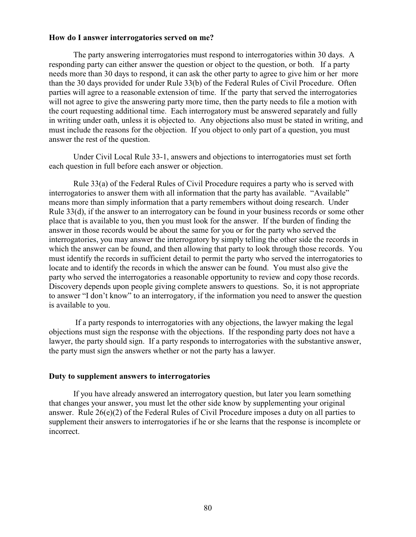### **How do I answer interrogatories served on me?**

The party answering interrogatories must respond to interrogatories within 30 days. A responding party can either answer the question or object to the question, or both. If a party needs more than 30 days to respond, it can ask the other party to agree to give him or her more than the 30 days provided for under Rule 33(b) of the Federal Rules of Civil Procedure. Often parties will agree to a reasonable extension of time. If the party that served the interrogatories will not agree to give the answering party more time, then the party needs to file a motion with the court requesting additional time. Each interrogatory must be answered separately and fully in writing under oath, unless it is objected to. Any objections also must be stated in writing, and must include the reasons for the objection. If you object to only part of a question, you must answer the rest of the question.

Under Civil Local Rule 33-1, answers and objections to interrogatories must set forth each question in full before each answer or objection.

Rule 33(a) of the Federal Rules of Civil Procedure requires a party who is served with interrogatories to answer them with all information that the party has available. "Available" means more than simply information that a party remembers without doing research. Under Rule 33(d), if the answer to an interrogatory can be found in your business records or some other place that is available to you, then you must look for the answer. If the burden of finding the answer in those records would be about the same for you or for the party who served the interrogatories, you may answer the interrogatory by simply telling the other side the records in which the answer can be found, and then allowing that party to look through those records. You must identify the records in sufficient detail to permit the party who served the interrogatories to locate and to identify the records in which the answer can be found. You must also give the party who served the interrogatories a reasonable opportunity to review and copy those records. Discovery depends upon people giving complete answers to questions. So, it is not appropriate to answer "I don't know" to an interrogatory, if the information you need to answer the question is available to you.

 If a party responds to interrogatories with any objections, the lawyer making the legal objections must sign the response with the objections. If the responding party does not have a lawyer, the party should sign. If a party responds to interrogatories with the substantive answer, the party must sign the answers whether or not the party has a lawyer.

#### **Duty to supplement answers to interrogatories**

If you have already answered an interrogatory question, but later you learn something that changes your answer, you must let the other side know by supplementing your original answer. Rule 26(e)(2) of the Federal Rules of Civil Procedure imposes a duty on all parties to supplement their answers to interrogatories if he or she learns that the response is incomplete or incorrect.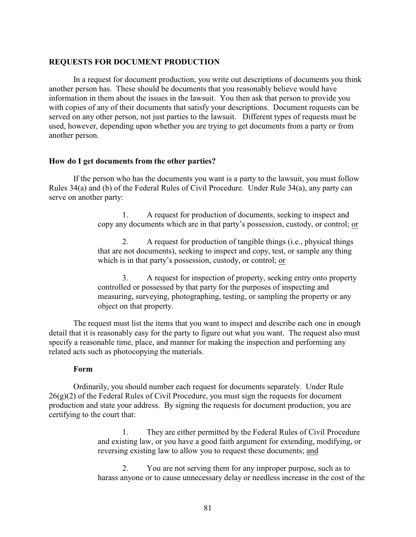### **REQUESTS FOR DOCUMENT PRODUCTION**

In a request for document production, you write out descriptions of documents you think another person has. These should be documents that you reasonably believe would have information in them about the issues in the lawsuit. You then ask that person to provide you with copies of any of their documents that satisfy your descriptions. Document requests can be served on any other person, not just parties to the lawsuit. Different types of requests must be used, however, depending upon whether you are trying to get documents from a party or from another person.

#### **How do I get documents from the other parties?**

If the person who has the documents you want is a party to the lawsuit, you must follow Rules 34(a) and (b) of the Federal Rules of Civil Procedure. Under Rule 34(a), any party can serve on another party:

> 1. A request for production of documents, seeking to inspect and copy any documents which are in that party's possession, custody, or control; or

2. A request for production of tangible things (i.e., physical things that are not documents), seeking to inspect and copy, test, or sample any thing which is in that party's possession, custody, or control; or

3. A request for inspection of property, seeking entry onto property controlled or possessed by that party for the purposes of inspecting and measuring, surveying, photographing, testing, or sampling the property or any object on that property.

The request must list the items that you want to inspect and describe each one in enough detail that it is reasonably easy for the party to figure out what you want. The request also must specify a reasonable time, place, and manner for making the inspection and performing any related acts such as photocopying the materials.

### **Form**

Ordinarily, you should number each request for documents separately. Under Rule  $26(g)(2)$  of the Federal Rules of Civil Procedure, you must sign the requests for document production and state your address. By signing the requests for document production, you are certifying to the court that:

> 1. They are either permitted by the Federal Rules of Civil Procedure and existing law, or you have a good faith argument for extending, modifying, or reversing existing law to allow you to request these documents; and

2. You are not serving them for any improper purpose, such as to harass anyone or to cause unnecessary delay or needless increase in the cost of the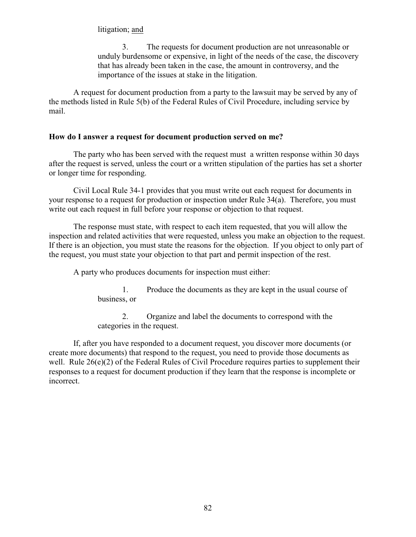## litigation; and

3. The requests for document production are not unreasonable or unduly burdensome or expensive, in light of the needs of the case, the discovery that has already been taken in the case, the amount in controversy, and the importance of the issues at stake in the litigation.

A request for document production from a party to the lawsuit may be served by any of the methods listed in Rule 5(b) of the Federal Rules of Civil Procedure, including service by mail.

### **How do I answer a request for document production served on me?**

The party who has been served with the request must a written response within 30 days after the request is served, unless the court or a written stipulation of the parties has set a shorter or longer time for responding.

Civil Local Rule 34-1 provides that you must write out each request for documents in your response to a request for production or inspection under Rule 34(a). Therefore, you must write out each request in full before your response or objection to that request.

The response must state, with respect to each item requested, that you will allow the inspection and related activities that were requested, unless you make an objection to the request. If there is an objection, you must state the reasons for the objection. If you object to only part of the request, you must state your objection to that part and permit inspection of the rest.

A party who produces documents for inspection must either:

1. Produce the documents as they are kept in the usual course of business, or

2. Organize and label the documents to correspond with the categories in the request.

If, after you have responded to a document request, you discover more documents (or create more documents) that respond to the request, you need to provide those documents as well. Rule 26(e)(2) of the Federal Rules of Civil Procedure requires parties to supplement their responses to a request for document production if they learn that the response is incomplete or incorrect.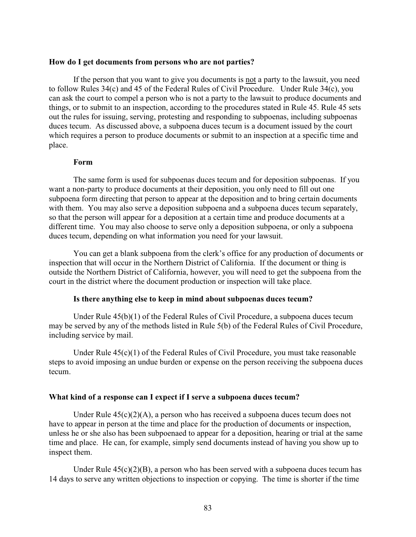#### **How do I get documents from persons who are not parties?**

If the person that you want to give you documents is not a party to the lawsuit, you need to follow Rules 34(c) and 45 of the Federal Rules of Civil Procedure. Under Rule 34(c), you can ask the court to compel a person who is not a party to the lawsuit to produce documents and things, or to submit to an inspection, according to the procedures stated in Rule 45. Rule 45 sets out the rules for issuing, serving, protesting and responding to subpoenas, including subpoenas duces tecum. As discussed above, a subpoena duces tecum is a document issued by the court which requires a person to produce documents or submit to an inspection at a specific time and place.

## **Form**

The same form is used for subpoenas duces tecum and for deposition subpoenas. If you want a non-party to produce documents at their deposition, you only need to fill out one subpoena form directing that person to appear at the deposition and to bring certain documents with them. You may also serve a deposition subpoena and a subpoena duces tecum separately, so that the person will appear for a deposition at a certain time and produce documents at a different time. You may also choose to serve only a deposition subpoena, or only a subpoena duces tecum, depending on what information you need for your lawsuit.

You can get a blank subpoena from the clerk's office for any production of documents or inspection that will occur in the Northern District of California. If the document or thing is outside the Northern District of California, however, you will need to get the subpoena from the court in the district where the document production or inspection will take place.

### **Is there anything else to keep in mind about subpoenas duces tecum?**

Under Rule 45(b)(1) of the Federal Rules of Civil Procedure, a subpoena duces tecum may be served by any of the methods listed in Rule 5(b) of the Federal Rules of Civil Procedure, including service by mail.

Under Rule  $45(c)(1)$  of the Federal Rules of Civil Procedure, you must take reasonable steps to avoid imposing an undue burden or expense on the person receiving the subpoena duces tecum.

### **What kind of a response can I expect if I serve a subpoena duces tecum?**

Under Rule  $45(c)(2)(A)$ , a person who has received a subpoena duces tecum does not have to appear in person at the time and place for the production of documents or inspection, unless he or she also has been subpoenaed to appear for a deposition, hearing or trial at the same time and place. He can, for example, simply send documents instead of having you show up to inspect them.

Under Rule  $45(c)(2)(B)$ , a person who has been served with a subpoena duces tecum has 14 days to serve any written objections to inspection or copying. The time is shorter if the time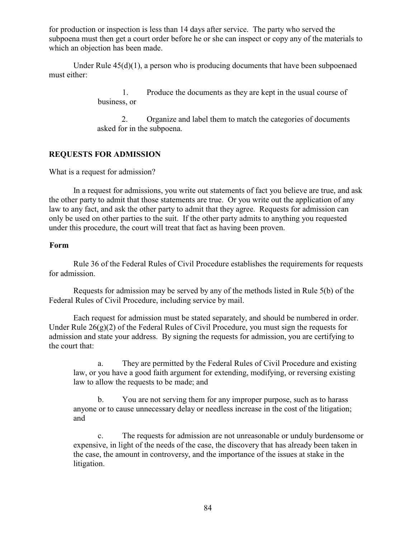for production or inspection is less than 14 days after service. The party who served the subpoena must then get a court order before he or she can inspect or copy any of the materials to which an objection has been made.

Under Rule  $45(d)(1)$ , a person who is producing documents that have been subpoenaed must either:

> 1. Produce the documents as they are kept in the usual course of business, or

2. Organize and label them to match the categories of documents asked for in the subpoena.

## **REQUESTS FOR ADMISSION**

What is a request for admission?

In a request for admissions, you write out statements of fact you believe are true, and ask the other party to admit that those statements are true. Or you write out the application of any law to any fact, and ask the other party to admit that they agree. Requests for admission can only be used on other parties to the suit. If the other party admits to anything you requested under this procedure, the court will treat that fact as having been proven.

## **Form**

Rule 36 of the Federal Rules of Civil Procedure establishes the requirements for requests for admission.

Requests for admission may be served by any of the methods listed in Rule 5(b) of the Federal Rules of Civil Procedure, including service by mail.

Each request for admission must be stated separately, and should be numbered in order. Under Rule  $26(g)(2)$  of the Federal Rules of Civil Procedure, you must sign the requests for admission and state your address. By signing the requests for admission, you are certifying to the court that:

a. They are permitted by the Federal Rules of Civil Procedure and existing law, or you have a good faith argument for extending, modifying, or reversing existing law to allow the requests to be made; and

b. You are not serving them for any improper purpose, such as to harass anyone or to cause unnecessary delay or needless increase in the cost of the litigation; and

c. The requests for admission are not unreasonable or unduly burdensome or expensive, in light of the needs of the case, the discovery that has already been taken in the case, the amount in controversy, and the importance of the issues at stake in the litigation.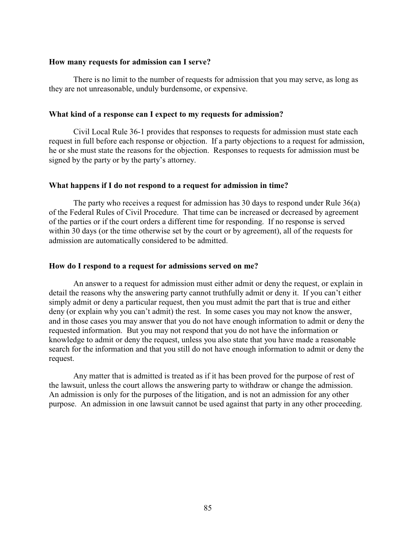#### **How many requests for admission can I serve?**

There is no limit to the number of requests for admission that you may serve, as long as they are not unreasonable, unduly burdensome, or expensive.

#### **What kind of a response can I expect to my requests for admission?**

Civil Local Rule 36-1 provides that responses to requests for admission must state each request in full before each response or objection. If a party objections to a request for admission, he or she must state the reasons for the objection. Responses to requests for admission must be signed by the party or by the party's attorney.

#### **What happens if I do not respond to a request for admission in time?**

The party who receives a request for admission has 30 days to respond under Rule 36(a) of the Federal Rules of Civil Procedure. That time can be increased or decreased by agreement of the parties or if the court orders a different time for responding. If no response is served within 30 days (or the time otherwise set by the court or by agreement), all of the requests for admission are automatically considered to be admitted.

#### **How do I respond to a request for admissions served on me?**

An answer to a request for admission must either admit or deny the request, or explain in detail the reasons why the answering party cannot truthfully admit or deny it. If you can't either simply admit or deny a particular request, then you must admit the part that is true and either deny (or explain why you can't admit) the rest. In some cases you may not know the answer, and in those cases you may answer that you do not have enough information to admit or deny the requested information. But you may not respond that you do not have the information or knowledge to admit or deny the request, unless you also state that you have made a reasonable search for the information and that you still do not have enough information to admit or deny the request.

Any matter that is admitted is treated as if it has been proved for the purpose of rest of the lawsuit, unless the court allows the answering party to withdraw or change the admission. An admission is only for the purposes of the litigation, and is not an admission for any other purpose. An admission in one lawsuit cannot be used against that party in any other proceeding.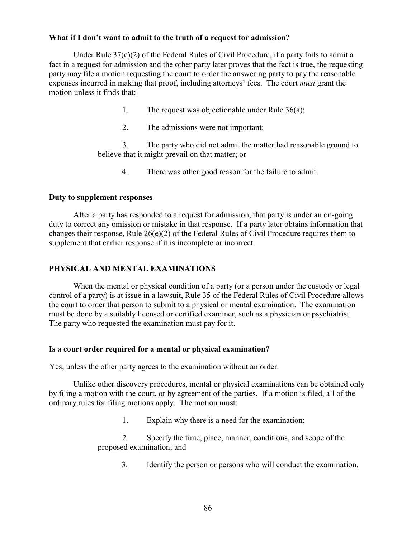## **What if I don't want to admit to the truth of a request for admission?**

Under Rule  $37(c)(2)$  of the Federal Rules of Civil Procedure, if a party fails to admit a fact in a request for admission and the other party later proves that the fact is true, the requesting party may file a motion requesting the court to order the answering party to pay the reasonable expenses incurred in making that proof, including attorneys' fees. The court *must* grant the motion unless it finds that:

- 1. The request was objectionable under Rule 36(a);
- 2. The admissions were not important;

3. The party who did not admit the matter had reasonable ground to believe that it might prevail on that matter; or

4. There was other good reason for the failure to admit.

## **Duty to supplement responses**

After a party has responded to a request for admission, that party is under an on-going duty to correct any omission or mistake in that response. If a party later obtains information that changes their response, Rule 26(e)(2) of the Federal Rules of Civil Procedure requires them to supplement that earlier response if it is incomplete or incorrect.

## **PHYSICAL AND MENTAL EXAMINATIONS**

When the mental or physical condition of a party (or a person under the custody or legal control of a party) is at issue in a lawsuit, Rule 35 of the Federal Rules of Civil Procedure allows the court to order that person to submit to a physical or mental examination. The examination must be done by a suitably licensed or certified examiner, such as a physician or psychiatrist. The party who requested the examination must pay for it.

## **Is a court order required for a mental or physical examination?**

Yes, unless the other party agrees to the examination without an order.

Unlike other discovery procedures, mental or physical examinations can be obtained only by filing a motion with the court, or by agreement of the parties. If a motion is filed, all of the ordinary rules for filing motions apply. The motion must:

1. Explain why there is a need for the examination;

2. Specify the time, place, manner, conditions, and scope of the proposed examination; and

3. Identify the person or persons who will conduct the examination.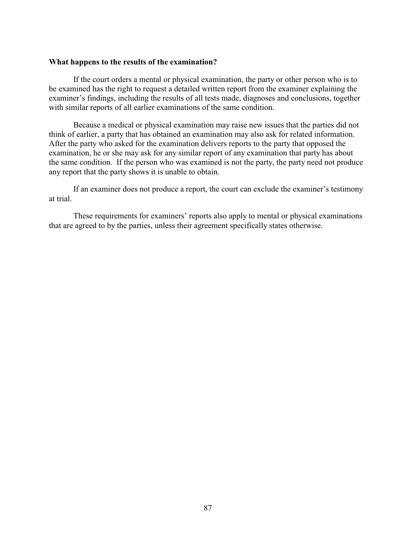#### **What happens to the results of the examination?**

If the court orders a mental or physical examination, the party or other person who is to be examined has the right to request a detailed written report from the examiner explaining the examiner's findings, including the results of all tests made, diagnoses and conclusions, together with similar reports of all earlier examinations of the same condition.

Because a medical or physical examination may raise new issues that the parties did not think of earlier, a party that has obtained an examination may also ask for related information. After the party who asked for the examination delivers reports to the party that opposed the examination, he or she may ask for any similar report of any examination that party has about the same condition. If the person who was examined is not the party, the party need not produce any report that the party shows it is unable to obtain.

If an examiner does not produce a report, the court can exclude the examiner's testimony at trial.

These requirements for examiners' reports also apply to mental or physical examinations that are agreed to by the parties, unless their agreement specifically states otherwise.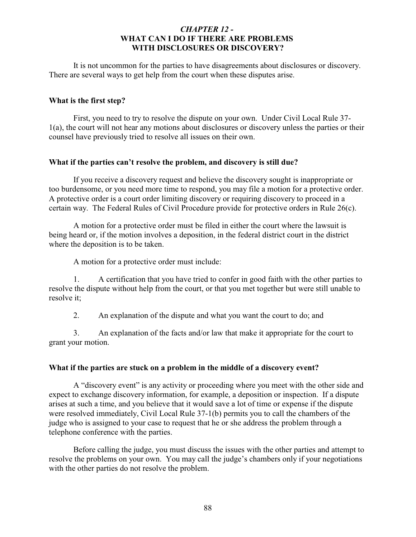## *CHAPTER 12 -*  **WHAT CAN I DO IF THERE ARE PROBLEMS WITH DISCLOSURES OR DISCOVERY?**

It is not uncommon for the parties to have disagreements about disclosures or discovery. There are several ways to get help from the court when these disputes arise.

## **What is the first step?**

First, you need to try to resolve the dispute on your own. Under Civil Local Rule 37- 1(a), the court will not hear any motions about disclosures or discovery unless the parties or their counsel have previously tried to resolve all issues on their own.

## **What if the parties can't resolve the problem, and discovery is still due?**

If you receive a discovery request and believe the discovery sought is inappropriate or too burdensome, or you need more time to respond, you may file a motion for a protective order. A protective order is a court order limiting discovery or requiring discovery to proceed in a certain way. The Federal Rules of Civil Procedure provide for protective orders in Rule 26(c).

A motion for a protective order must be filed in either the court where the lawsuit is being heard or, if the motion involves a deposition, in the federal district court in the district where the deposition is to be taken.

A motion for a protective order must include:

1. A certification that you have tried to confer in good faith with the other parties to resolve the dispute without help from the court, or that you met together but were still unable to resolve it;

2. An explanation of the dispute and what you want the court to do; and

3. An explanation of the facts and/or law that make it appropriate for the court to grant your motion.

## **What if the parties are stuck on a problem in the middle of a discovery event?**

A "discovery event" is any activity or proceeding where you meet with the other side and expect to exchange discovery information, for example, a deposition or inspection. If a dispute arises at such a time, and you believe that it would save a lot of time or expense if the dispute were resolved immediately, Civil Local Rule 37-1(b) permits you to call the chambers of the judge who is assigned to your case to request that he or she address the problem through a telephone conference with the parties.

Before calling the judge, you must discuss the issues with the other parties and attempt to resolve the problems on your own. You may call the judge's chambers only if your negotiations with the other parties do not resolve the problem.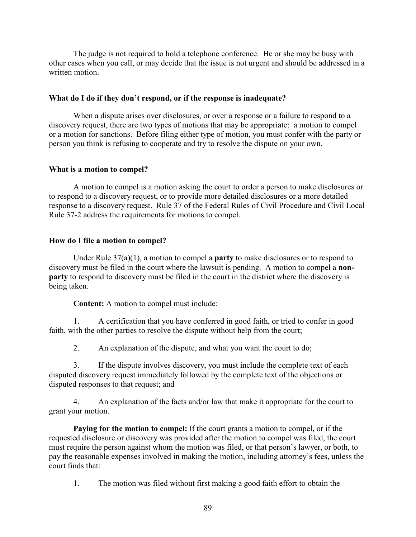The judge is not required to hold a telephone conference. He or she may be busy with other cases when you call, or may decide that the issue is not urgent and should be addressed in a written motion.

## **What do I do if they don't respond, or if the response is inadequate?**

When a dispute arises over disclosures, or over a response or a failure to respond to a discovery request, there are two types of motions that may be appropriate: a motion to compel or a motion for sanctions. Before filing either type of motion, you must confer with the party or person you think is refusing to cooperate and try to resolve the dispute on your own.

## **What is a motion to compel?**

A motion to compel is a motion asking the court to order a person to make disclosures or to respond to a discovery request, or to provide more detailed disclosures or a more detailed response to a discovery request. Rule 37 of the Federal Rules of Civil Procedure and Civil Local Rule 37-2 address the requirements for motions to compel.

## **How do I file a motion to compel?**

Under Rule 37(a)(1), a motion to compel a **party** to make disclosures or to respond to discovery must be filed in the court where the lawsuit is pending. A motion to compel a **nonparty** to respond to discovery must be filed in the court in the district where the discovery is being taken.

**Content:** A motion to compel must include:

1. A certification that you have conferred in good faith, or tried to confer in good faith, with the other parties to resolve the dispute without help from the court;

2. An explanation of the dispute, and what you want the court to do;

3. If the dispute involves discovery, you must include the complete text of each disputed discovery request immediately followed by the complete text of the objections or disputed responses to that request; and

4. An explanation of the facts and/or law that make it appropriate for the court to grant your motion.

**Paying for the motion to compel:** If the court grants a motion to compel, or if the requested disclosure or discovery was provided after the motion to compel was filed, the court must require the person against whom the motion was filed, or that person's lawyer, or both, to pay the reasonable expenses involved in making the motion, including attorney's fees, unless the court finds that:

1. The motion was filed without first making a good faith effort to obtain the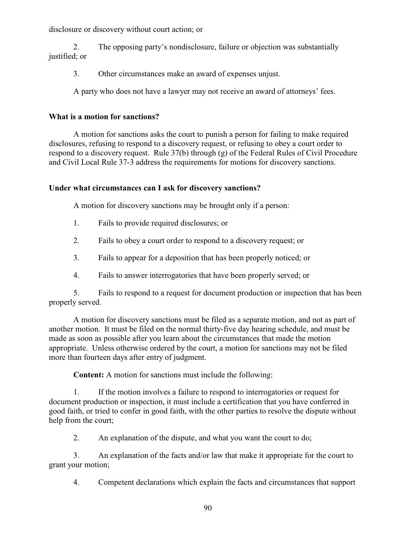disclosure or discovery without court action; or

2. The opposing party's nondisclosure, failure or objection was substantially justified; or

3. Other circumstances make an award of expenses unjust.

A party who does not have a lawyer may not receive an award of attorneys' fees.

# **What is a motion for sanctions?**

A motion for sanctions asks the court to punish a person for failing to make required disclosures, refusing to respond to a discovery request, or refusing to obey a court order to respond to a discovery request. Rule 37(b) through (g) of the Federal Rules of Civil Procedure and Civil Local Rule 37-3 address the requirements for motions for discovery sanctions.

# **Under what circumstances can I ask for discovery sanctions?**

A motion for discovery sanctions may be brought only if a person:

- 1. Fails to provide required disclosures; or
- 2. Fails to obey a court order to respond to a discovery request; or
- 3. Fails to appear for a deposition that has been properly noticed; or
- 4. Fails to answer interrogatories that have been properly served; or

5. Fails to respond to a request for document production or inspection that has been properly served.

A motion for discovery sanctions must be filed as a separate motion, and not as part of another motion. It must be filed on the normal thirty-five day hearing schedule, and must be made as soon as possible after you learn about the circumstances that made the motion appropriate. Unless otherwise ordered by the court, a motion for sanctions may not be filed more than fourteen days after entry of judgment.

**Content:** A motion for sanctions must include the following:

1. If the motion involves a failure to respond to interrogatories or request for document production or inspection, it must include a certification that you have conferred in good faith, or tried to confer in good faith, with the other parties to resolve the dispute without help from the court;

2. An explanation of the dispute, and what you want the court to do;

3. An explanation of the facts and/or law that make it appropriate for the court to grant your motion;

4. Competent declarations which explain the facts and circumstances that support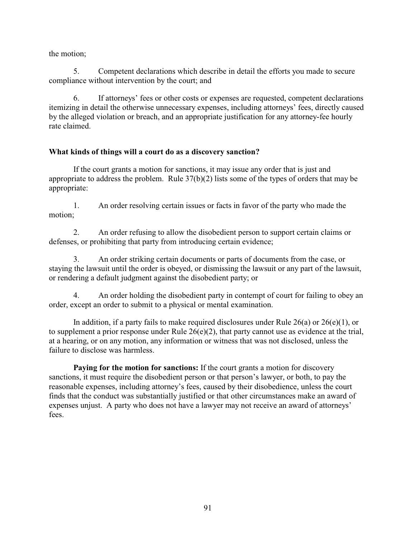the motion;

5. Competent declarations which describe in detail the efforts you made to secure compliance without intervention by the court; and

6. If attorneys' fees or other costs or expenses are requested, competent declarations itemizing in detail the otherwise unnecessary expenses, including attorneys' fees, directly caused by the alleged violation or breach, and an appropriate justification for any attorney-fee hourly rate claimed.

## **What kinds of things will a court do as a discovery sanction?**

If the court grants a motion for sanctions, it may issue any order that is just and appropriate to address the problem. Rule 37(b)(2) lists some of the types of orders that may be appropriate:

1. An order resolving certain issues or facts in favor of the party who made the motion;

2. An order refusing to allow the disobedient person to support certain claims or defenses, or prohibiting that party from introducing certain evidence;

3. An order striking certain documents or parts of documents from the case, or staying the lawsuit until the order is obeyed, or dismissing the lawsuit or any part of the lawsuit, or rendering a default judgment against the disobedient party; or

4. An order holding the disobedient party in contempt of court for failing to obey an order, except an order to submit to a physical or mental examination.

In addition, if a party fails to make required disclosures under Rule  $26(a)$  or  $26(e)(1)$ , or to supplement a prior response under Rule 26(e)(2), that party cannot use as evidence at the trial, at a hearing, or on any motion, any information or witness that was not disclosed, unless the failure to disclose was harmless.

**Paying for the motion for sanctions:** If the court grants a motion for discovery sanctions, it must require the disobedient person or that person's lawyer, or both, to pay the reasonable expenses, including attorney's fees, caused by their disobedience, unless the court finds that the conduct was substantially justified or that other circumstances make an award of expenses unjust. A party who does not have a lawyer may not receive an award of attorneys' fees.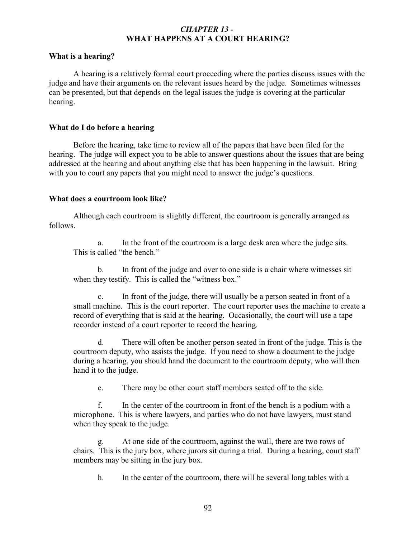## *CHAPTER 13 -*  **WHAT HAPPENS AT A COURT HEARING?**

## **What is a hearing?**

A hearing is a relatively formal court proceeding where the parties discuss issues with the judge and have their arguments on the relevant issues heard by the judge. Sometimes witnesses can be presented, but that depends on the legal issues the judge is covering at the particular hearing.

### **What do I do before a hearing**

Before the hearing, take time to review all of the papers that have been filed for the hearing. The judge will expect you to be able to answer questions about the issues that are being addressed at the hearing and about anything else that has been happening in the lawsuit. Bring with you to court any papers that you might need to answer the judge's questions.

### **What does a courtroom look like?**

Although each courtroom is slightly different, the courtroom is generally arranged as follows.

a. In the front of the courtroom is a large desk area where the judge sits. This is called "the bench."

b. In front of the judge and over to one side is a chair where witnesses sit when they testify. This is called the "witness box."

c. In front of the judge, there will usually be a person seated in front of a small machine. This is the court reporter. The court reporter uses the machine to create a record of everything that is said at the hearing. Occasionally, the court will use a tape recorder instead of a court reporter to record the hearing.

d. There will often be another person seated in front of the judge. This is the courtroom deputy, who assists the judge. If you need to show a document to the judge during a hearing, you should hand the document to the courtroom deputy, who will then hand it to the judge.

e. There may be other court staff members seated off to the side.

f. In the center of the courtroom in front of the bench is a podium with a microphone. This is where lawyers, and parties who do not have lawyers, must stand when they speak to the judge.

At one side of the courtroom, against the wall, there are two rows of chairs. This is the jury box, where jurors sit during a trial. During a hearing, court staff members may be sitting in the jury box.

h. In the center of the courtroom, there will be several long tables with a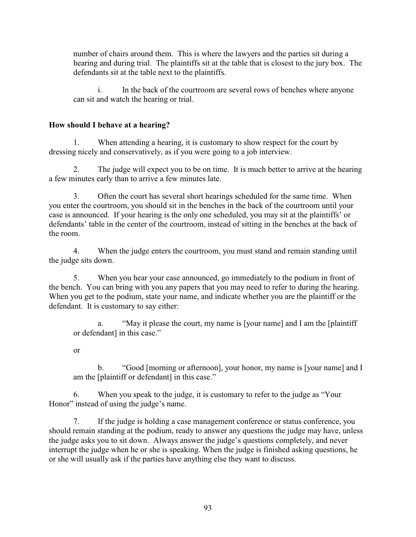number of chairs around them. This is where the lawyers and the parties sit during a hearing and during trial. The plaintiffs sit at the table that is closest to the jury box. The defendants sit at the table next to the plaintiffs.

i. In the back of the courtroom are several rows of benches where anyone can sit and watch the hearing or trial.

# **How should I behave at a hearing?**

1. When attending a hearing, it is customary to show respect for the court by dressing nicely and conservatively, as if you were going to a job interview.

2. The judge will expect you to be on time. It is much better to arrive at the hearing a few minutes early than to arrive a few minutes late.

3. Often the court has several short hearings scheduled for the same time. When you enter the courtroom, you should sit in the benches in the back of the courtroom until your case is announced. If your hearing is the only one scheduled, you may sit at the plaintiffs' or defendants' table in the center of the courtroom, instead of sitting in the benches at the back of the room.

4. When the judge enters the courtroom, you must stand and remain standing until the judge sits down.

5. When you hear your case announced, go immediately to the podium in front of the bench. You can bring with you any papers that you may need to refer to during the hearing. When you get to the podium, state your name, and indicate whether you are the plaintiff or the defendant. It is customary to say either:

a. "May it please the court, my name is [your name] and I am the [plaintiff or defendant] in this case."

or

b. "Good [morning or afternoon], your honor, my name is [your name] and I am the [plaintiff or defendant] in this case."

6. When you speak to the judge, it is customary to refer to the judge as "Your Honor" instead of using the judge's name.

7. If the judge is holding a case management conference or status conference, you should remain standing at the podium, ready to answer any questions the judge may have, unless the judge asks you to sit down. Always answer the judge's questions completely, and never interrupt the judge when he or she is speaking. When the judge is finished asking questions, he or she will usually ask if the parties have anything else they want to discuss.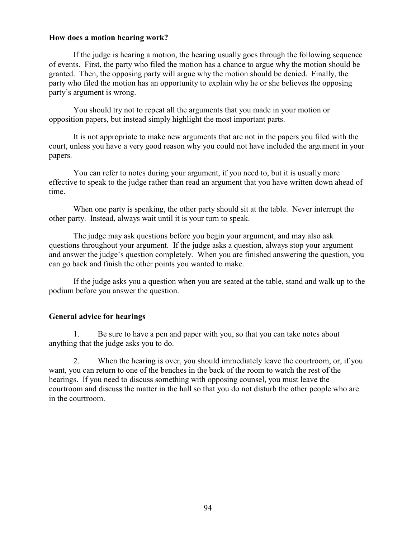## **How does a motion hearing work?**

If the judge is hearing a motion, the hearing usually goes through the following sequence of events. First, the party who filed the motion has a chance to argue why the motion should be granted. Then, the opposing party will argue why the motion should be denied. Finally, the party who filed the motion has an opportunity to explain why he or she believes the opposing party's argument is wrong.

You should try not to repeat all the arguments that you made in your motion or opposition papers, but instead simply highlight the most important parts.

It is not appropriate to make new arguments that are not in the papers you filed with the court, unless you have a very good reason why you could not have included the argument in your papers.

You can refer to notes during your argument, if you need to, but it is usually more effective to speak to the judge rather than read an argument that you have written down ahead of time.

When one party is speaking, the other party should sit at the table. Never interrupt the other party. Instead, always wait until it is your turn to speak.

The judge may ask questions before you begin your argument, and may also ask questions throughout your argument. If the judge asks a question, always stop your argument and answer the judge's question completely. When you are finished answering the question, you can go back and finish the other points you wanted to make.

If the judge asks you a question when you are seated at the table, stand and walk up to the podium before you answer the question.

### **General advice for hearings**

1. Be sure to have a pen and paper with you, so that you can take notes about anything that the judge asks you to do.

2. When the hearing is over, you should immediately leave the courtroom, or, if you want, you can return to one of the benches in the back of the room to watch the rest of the hearings. If you need to discuss something with opposing counsel, you must leave the courtroom and discuss the matter in the hall so that you do not disturb the other people who are in the courtroom.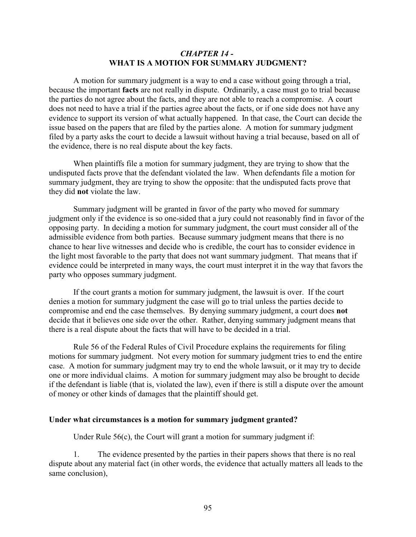## *CHAPTER 14 -*  **WHAT IS A MOTION FOR SUMMARY JUDGMENT?**

A motion for summary judgment is a way to end a case without going through a trial, because the important **facts** are not really in dispute. Ordinarily, a case must go to trial because the parties do not agree about the facts, and they are not able to reach a compromise. A court does not need to have a trial if the parties agree about the facts, or if one side does not have any evidence to support its version of what actually happened. In that case, the Court can decide the issue based on the papers that are filed by the parties alone. A motion for summary judgment filed by a party asks the court to decide a lawsuit without having a trial because, based on all of the evidence, there is no real dispute about the key facts.

When plaintiffs file a motion for summary judgment, they are trying to show that the undisputed facts prove that the defendant violated the law. When defendants file a motion for summary judgment, they are trying to show the opposite: that the undisputed facts prove that they did **not** violate the law.

Summary judgment will be granted in favor of the party who moved for summary judgment only if the evidence is so one-sided that a jury could not reasonably find in favor of the opposing party. In deciding a motion for summary judgment, the court must consider all of the admissible evidence from both parties. Because summary judgment means that there is no chance to hear live witnesses and decide who is credible, the court has to consider evidence in the light most favorable to the party that does not want summary judgment. That means that if evidence could be interpreted in many ways, the court must interpret it in the way that favors the party who opposes summary judgment.

If the court grants a motion for summary judgment, the lawsuit is over. If the court denies a motion for summary judgment the case will go to trial unless the parties decide to compromise and end the case themselves. By denying summary judgment, a court does **not** decide that it believes one side over the other. Rather, denying summary judgment means that there is a real dispute about the facts that will have to be decided in a trial.

Rule 56 of the Federal Rules of Civil Procedure explains the requirements for filing motions for summary judgment. Not every motion for summary judgment tries to end the entire case. A motion for summary judgment may try to end the whole lawsuit, or it may try to decide one or more individual claims. A motion for summary judgment may also be brought to decide if the defendant is liable (that is, violated the law), even if there is still a dispute over the amount of money or other kinds of damages that the plaintiff should get.

### **Under what circumstances is a motion for summary judgment granted?**

Under Rule 56(c), the Court will grant a motion for summary judgment if:

The evidence presented by the parties in their papers shows that there is no real dispute about any material fact (in other words, the evidence that actually matters all leads to the same conclusion),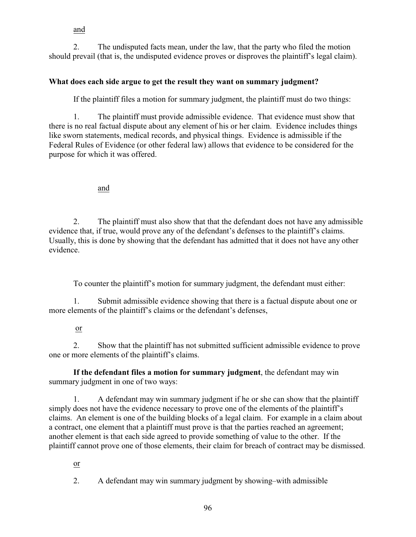## and

2. The undisputed facts mean, under the law, that the party who filed the motion should prevail (that is, the undisputed evidence proves or disproves the plaintiff's legal claim).

# **What does each side argue to get the result they want on summary judgment?**

If the plaintiff files a motion for summary judgment, the plaintiff must do two things:

1. The plaintiff must provide admissible evidence. That evidence must show that there is no real factual dispute about any element of his or her claim. Evidence includes things like sworn statements, medical records, and physical things. Evidence is admissible if the Federal Rules of Evidence (or other federal law) allows that evidence to be considered for the purpose for which it was offered.

## and

2. The plaintiff must also show that that the defendant does not have any admissible evidence that, if true, would prove any of the defendant's defenses to the plaintiff's claims. Usually, this is done by showing that the defendant has admitted that it does not have any other evidence.

To counter the plaintiff's motion for summary judgment, the defendant must either:

1. Submit admissible evidence showing that there is a factual dispute about one or more elements of the plaintiff's claims or the defendant's defenses,

## or

2. Show that the plaintiff has not submitted sufficient admissible evidence to prove one or more elements of the plaintiff's claims.

**If the defendant files a motion for summary judgment**, the defendant may win summary judgment in one of two ways:

1. A defendant may win summary judgment if he or she can show that the plaintiff simply does not have the evidence necessary to prove one of the elements of the plaintiff's claims. An element is one of the building blocks of a legal claim. For example in a claim about a contract, one element that a plaintiff must prove is that the parties reached an agreement; another element is that each side agreed to provide something of value to the other. If the plaintiff cannot prove one of those elements, their claim for breach of contract may be dismissed.

or

2. A defendant may win summary judgment by showing–with admissible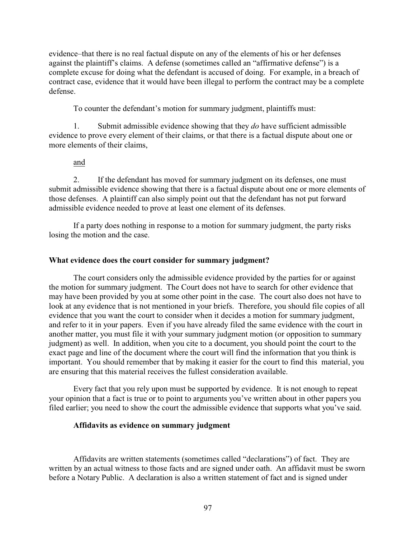evidence–that there is no real factual dispute on any of the elements of his or her defenses against the plaintiff's claims. A defense (sometimes called an "affirmative defense") is a complete excuse for doing what the defendant is accused of doing. For example, in a breach of contract case, evidence that it would have been illegal to perform the contract may be a complete defense.

To counter the defendant's motion for summary judgment, plaintiffs must:

1. Submit admissible evidence showing that they *do* have sufficient admissible evidence to prove every element of their claims, or that there is a factual dispute about one or more elements of their claims,

### and

2. If the defendant has moved for summary judgment on its defenses, one must submit admissible evidence showing that there is a factual dispute about one or more elements of those defenses. A plaintiff can also simply point out that the defendant has not put forward admissible evidence needed to prove at least one element of its defenses.

If a party does nothing in response to a motion for summary judgment, the party risks losing the motion and the case.

## **What evidence does the court consider for summary judgment?**

The court considers only the admissible evidence provided by the parties for or against the motion for summary judgment. The Court does not have to search for other evidence that may have been provided by you at some other point in the case. The court also does not have to look at any evidence that is not mentioned in your briefs. Therefore, you should file copies of all evidence that you want the court to consider when it decides a motion for summary judgment, and refer to it in your papers. Even if you have already filed the same evidence with the court in another matter, you must file it with your summary judgment motion (or opposition to summary judgment) as well. In addition, when you cite to a document, you should point the court to the exact page and line of the document where the court will find the information that you think is important. You should remember that by making it easier for the court to find this material, you are ensuring that this material receives the fullest consideration available.

Every fact that you rely upon must be supported by evidence. It is not enough to repeat your opinion that a fact is true or to point to arguments you've written about in other papers you filed earlier; you need to show the court the admissible evidence that supports what you've said.

### **Affidavits as evidence on summary judgment**

Affidavits are written statements (sometimes called "declarations") of fact. They are written by an actual witness to those facts and are signed under oath. An affidavit must be sworn before a Notary Public. A declaration is also a written statement of fact and is signed under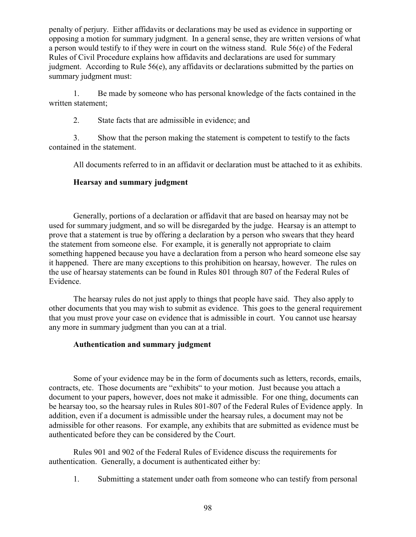penalty of perjury. Either affidavits or declarations may be used as evidence in supporting or opposing a motion for summary judgment. In a general sense, they are written versions of what a person would testify to if they were in court on the witness stand. Rule 56(e) of the Federal Rules of Civil Procedure explains how affidavits and declarations are used for summary judgment. According to Rule 56(e), any affidavits or declarations submitted by the parties on summary judgment must:

1. Be made by someone who has personal knowledge of the facts contained in the written statement;

2. State facts that are admissible in evidence; and

3. Show that the person making the statement is competent to testify to the facts contained in the statement.

All documents referred to in an affidavit or declaration must be attached to it as exhibits.

# **Hearsay and summary judgment**

Generally, portions of a declaration or affidavit that are based on hearsay may not be used for summary judgment, and so will be disregarded by the judge. Hearsay is an attempt to prove that a statement is true by offering a declaration by a person who swears that they heard the statement from someone else. For example, it is generally not appropriate to claim something happened because you have a declaration from a person who heard someone else say it happened. There are many exceptions to this prohibition on hearsay, however. The rules on the use of hearsay statements can be found in Rules 801 through 807 of the Federal Rules of Evidence.

The hearsay rules do not just apply to things that people have said. They also apply to other documents that you may wish to submit as evidence. This goes to the general requirement that you must prove your case on evidence that is admissible in court. You cannot use hearsay any more in summary judgment than you can at a trial.

## **Authentication and summary judgment**

Some of your evidence may be in the form of documents such as letters, records, emails, contracts, etc. Those documents are "exhibits" to your motion. Just because you attach a document to your papers, however, does not make it admissible. For one thing, documents can be hearsay too, so the hearsay rules in Rules 801-807 of the Federal Rules of Evidence apply. In addition, even if a document is admissible under the hearsay rules, a document may not be admissible for other reasons. For example, any exhibits that are submitted as evidence must be authenticated before they can be considered by the Court.

Rules 901 and 902 of the Federal Rules of Evidence discuss the requirements for authentication. Generally, a document is authenticated either by:

1. Submitting a statement under oath from someone who can testify from personal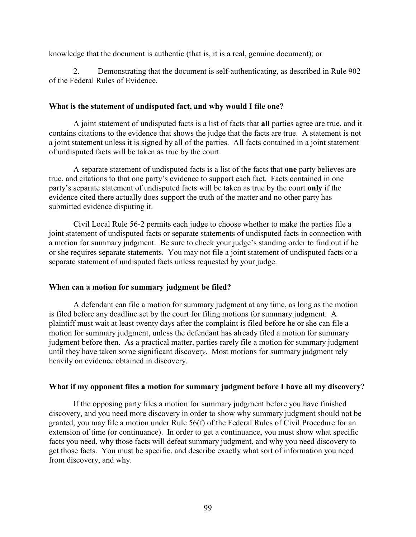knowledge that the document is authentic (that is, it is a real, genuine document); or

2. Demonstrating that the document is self-authenticating, as described in Rule 902 of the Federal Rules of Evidence.

## **What is the statement of undisputed fact, and why would I file one?**

A joint statement of undisputed facts is a list of facts that **all** parties agree are true, and it contains citations to the evidence that shows the judge that the facts are true. A statement is not a joint statement unless it is signed by all of the parties. All facts contained in a joint statement of undisputed facts will be taken as true by the court.

A separate statement of undisputed facts is a list of the facts that **one** party believes are true, and citations to that one party's evidence to support each fact. Facts contained in one party's separate statement of undisputed facts will be taken as true by the court **only** if the evidence cited there actually does support the truth of the matter and no other party has submitted evidence disputing it.

Civil Local Rule 56-2 permits each judge to choose whether to make the parties file a joint statement of undisputed facts or separate statements of undisputed facts in connection with a motion for summary judgment. Be sure to check your judge's standing order to find out if he or she requires separate statements. You may not file a joint statement of undisputed facts or a separate statement of undisputed facts unless requested by your judge.

## **When can a motion for summary judgment be filed?**

A defendant can file a motion for summary judgment at any time, as long as the motion is filed before any deadline set by the court for filing motions for summary judgment. A plaintiff must wait at least twenty days after the complaint is filed before he or she can file a motion for summary judgment, unless the defendant has already filed a motion for summary judgment before then. As a practical matter, parties rarely file a motion for summary judgment until they have taken some significant discover*y*. Most motions for summary judgment rely heavily on evidence obtained in discovery.

## **What if my opponent files a motion for summary judgment before I have all my discovery?**

If the opposing party files a motion for summary judgment before you have finished discovery, and you need more discovery in order to show why summary judgment should not be granted, you may file a motion under Rule 56(f) of the Federal Rules of Civil Procedure for an extension of time (or continuance). In order to get a continuance, you must show what specific facts you need, why those facts will defeat summary judgment, and why you need discovery to get those facts. You must be specific, and describe exactly what sort of information you need from discovery, and why.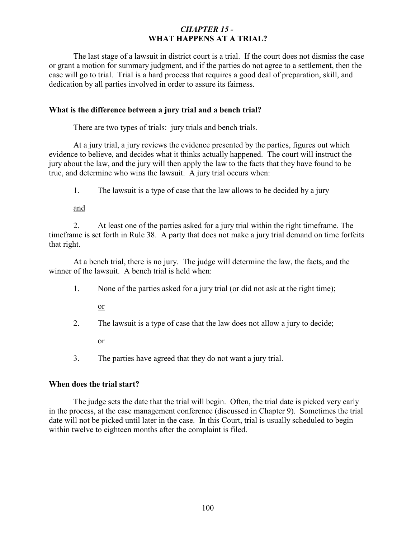# *CHAPTER 15 -*  **WHAT HAPPENS AT A TRIAL?**

The last stage of a lawsuit in district court is a trial. If the court does not dismiss the case or grant a motion for summary judgment, and if the parties do not agree to a settlement, then the case will go to trial. Trial is a hard process that requires a good deal of preparation, skill, and dedication by all parties involved in order to assure its fairness.

## **What is the difference between a jury trial and a bench trial?**

There are two types of trials: jury trials and bench trials.

At a jury trial, a jury reviews the evidence presented by the parties, figures out which evidence to believe, and decides what it thinks actually happened. The court will instruct the jury about the law, and the jury will then apply the law to the facts that they have found to be true, and determine who wins the lawsuit. A jury trial occurs when:

1. The lawsuit is a type of case that the law allows to be decided by a jury

and

2. At least one of the parties asked for a jury trial within the right timeframe. The timeframe is set forth in Rule 38. A party that does not make a jury trial demand on time forfeits that right.

At a bench trial, there is no jury. The judge will determine the law, the facts, and the winner of the lawsuit. A bench trial is held when:

1. None of the parties asked for a jury trial (or did not ask at the right time);

or

2. The lawsuit is a type of case that the law does not allow a jury to decide;

or

3. The parties have agreed that they do not want a jury trial.

## **When does the trial start?**

The judge sets the date that the trial will begin. Often, the trial date is picked very early in the process, at the case management conference (discussed in Chapter 9). Sometimes the trial date will not be picked until later in the case. In this Court, trial is usually scheduled to begin within twelve to eighteen months after the complaint is filed.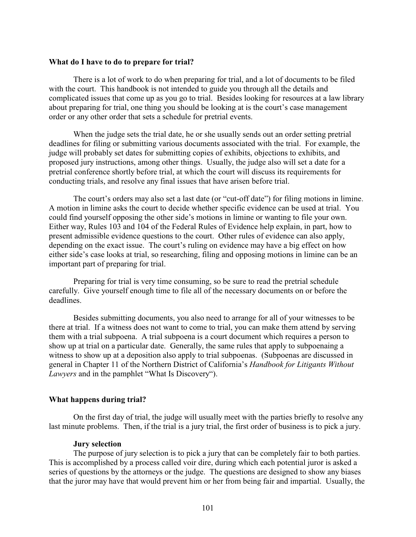#### **What do I have to do to prepare for trial?**

There is a lot of work to do when preparing for trial, and a lot of documents to be filed with the court. This handbook is not intended to guide you through all the details and complicated issues that come up as you go to trial. Besides looking for resources at a law library about preparing for trial, one thing you should be looking at is the court's case management order or any other order that sets a schedule for pretrial events.

When the judge sets the trial date, he or she usually sends out an order setting pretrial deadlines for filing or submitting various documents associated with the trial. For example, the judge will probably set dates for submitting copies of exhibits, objections to exhibits, and proposed jury instructions, among other things. Usually, the judge also will set a date for a pretrial conference shortly before trial, at which the court will discuss its requirements for conducting trials, and resolve any final issues that have arisen before trial.

The court's orders may also set a last date (or "cut-off date") for filing motions in limine. A motion in limine asks the court to decide whether specific evidence can be used at trial. You could find yourself opposing the other side's motions in limine or wanting to file your own. Either way, Rules 103 and 104 of the Federal Rules of Evidence help explain, in part, how to present admissible evidence questions to the court. Other rules of evidence can also apply, depending on the exact issue. The court's ruling on evidence may have a big effect on how either side's case looks at trial, so researching, filing and opposing motions in limine can be an important part of preparing for trial.

Preparing for trial is very time consuming, so be sure to read the pretrial schedule carefully. Give yourself enough time to file all of the necessary documents on or before the deadlines.

Besides submitting documents, you also need to arrange for all of your witnesses to be there at trial. If a witness does not want to come to trial, you can make them attend by serving them with a trial subpoena. A trial subpoena is a court document which requires a person to show up at trial on a particular date. Generally, the same rules that apply to subpoenaing a witness to show up at a deposition also apply to trial subpoenas. (Subpoenas are discussed in general in Chapter 11 of the Northern District of California's *Handbook for Litigants Without Lawyers* and in the pamphlet "What Is Discovery").

### **What happens during trial?**

On the first day of trial, the judge will usually meet with the parties briefly to resolve any last minute problems. Then, if the trial is a jury trial, the first order of business is to pick a jury.

### **Jury selection**

The purpose of jury selection is to pick a jury that can be completely fair to both parties. This is accomplished by a process called voir dire, during which each potential juror is asked a series of questions by the attorneys or the judge. The questions are designed to show any biases that the juror may have that would prevent him or her from being fair and impartial. Usually, the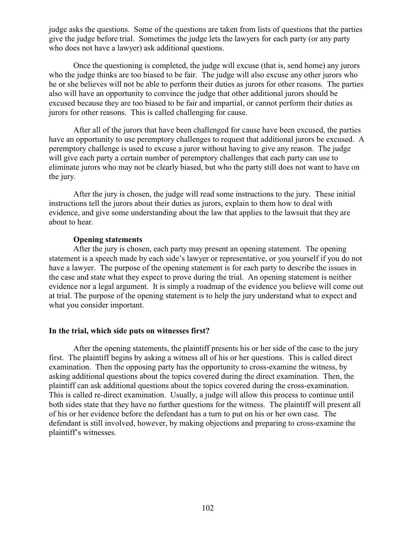judge asks the questions. Some of the questions are taken from lists of questions that the parties give the judge before trial. Sometimes the judge lets the lawyers for each party (or any party who does not have a lawyer) ask additional questions.

Once the questioning is completed, the judge will excuse (that is, send home) any jurors who the judge thinks are too biased to be fair. The judge will also excuse any other jurors who he or she believes will not be able to perform their duties as jurors for other reasons. The parties also will have an opportunity to convince the judge that other additional jurors should be excused because they are too biased to be fair and impartial, or cannot perform their duties as jurors for other reasons. This is called challenging for cause.

After all of the jurors that have been challenged for cause have been excused, the parties have an opportunity to use peremptory challenges to request that additional jurors be excused. A peremptory challenge is used to excuse a juror without having to give any reason. The judge will give each party a certain number of peremptory challenges that each party can use to eliminate jurors who may not be clearly biased, but who the party still does not want to have on the jury.

After the jury is chosen, the judge will read some instructions to the jury. These initial instructions tell the jurors about their duties as jurors, explain to them how to deal with evidence, and give some understanding about the law that applies to the lawsuit that they are about to hear.

## **Opening statements**

After the jury is chosen, each party may present an opening statement. The opening statement is a speech made by each side's lawyer or representative, or you yourself if you do not have a lawyer. The purpose of the opening statement is for each party to describe the issues in the case and state what they expect to prove during the trial. An opening statement is neither evidence nor a legal argument. It is simply a roadmap of the evidence you believe will come out at trial. The purpose of the opening statement is to help the jury understand what to expect and what you consider important.

### **In the trial, which side puts on witnesses first?**

After the opening statements, the plaintiff presents his or her side of the case to the jury first. The plaintiff begins by asking a witness all of his or her questions. This is called direct examination. Then the opposing party has the opportunity to cross-examine the witness, by asking additional questions about the topics covered during the direct examination. Then, the plaintiff can ask additional questions about the topics covered during the cross-examination. This is called re-direct examination. Usually, a judge will allow this process to continue until both sides state that they have no further questions for the witness. The plaintiff will present all of his or her evidence before the defendant has a turn to put on his or her own case. The defendant is still involved, however, by making objections and preparing to cross-examine the plaintiff's witnesses.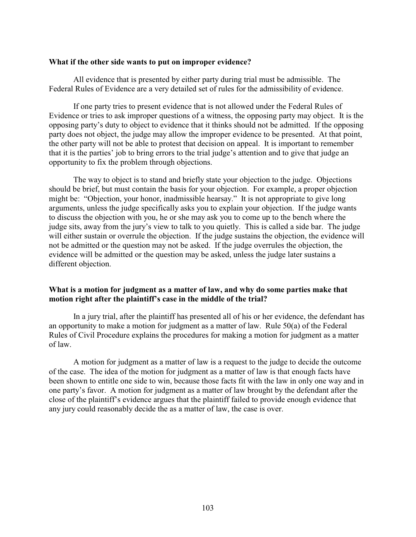#### **What if the other side wants to put on improper evidence?**

All evidence that is presented by either party during trial must be admissible. The Federal Rules of Evidence are a very detailed set of rules for the admissibility of evidence.

If one party tries to present evidence that is not allowed under the Federal Rules of Evidence or tries to ask improper questions of a witness, the opposing party may object. It is the opposing party's duty to object to evidence that it thinks should not be admitted. If the opposing party does not object, the judge may allow the improper evidence to be presented. At that point, the other party will not be able to protest that decision on appeal. It is important to remember that it is the parties' job to bring errors to the trial judge's attention and to give that judge an opportunity to fix the problem through objections.

The way to object is to stand and briefly state your objection to the judge. Objections should be brief, but must contain the basis for your objection. For example, a proper objection might be: "Objection, your honor, inadmissible hearsay." It is not appropriate to give long arguments, unless the judge specifically asks you to explain your objection. If the judge wants to discuss the objection with you, he or she may ask you to come up to the bench where the judge sits, away from the jury's view to talk to you quietly. This is called a side bar. The judge will either sustain or overrule the objection. If the judge sustains the objection, the evidence will not be admitted or the question may not be asked. If the judge overrules the objection, the evidence will be admitted or the question may be asked, unless the judge later sustains a different objection.

### **What is a motion for judgment as a matter of law, and why do some parties make that motion right after the plaintiff's case in the middle of the trial?**

In a jury trial, after the plaintiff has presented all of his or her evidence, the defendant has an opportunity to make a motion for judgment as a matter of law. Rule 50(a) of the Federal Rules of Civil Procedure explains the procedures for making a motion for judgment as a matter of law.

A motion for judgment as a matter of law is a request to the judge to decide the outcome of the case. The idea of the motion for judgment as a matter of law is that enough facts have been shown to entitle one side to win, because those facts fit with the law in only one way and in one party's favor. A motion for judgment as a matter of law brought by the defendant after the close of the plaintiff's evidence argues that the plaintiff failed to provide enough evidence that any jury could reasonably decide the as a matter of law, the case is over.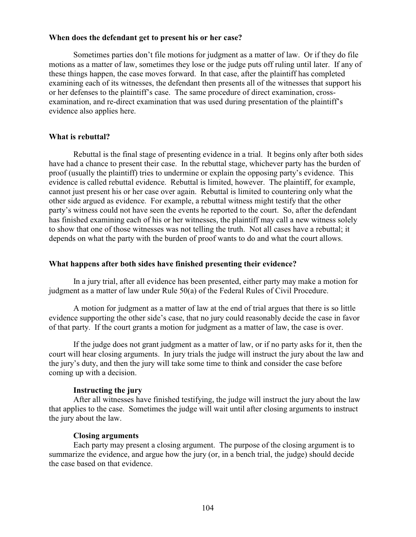### **When does the defendant get to present his or her case?**

<span id="page-108-11"></span><span id="page-108-7"></span><span id="page-108-4"></span><span id="page-108-3"></span>Sometimes parties don't file motions for judgment as a matter of law. Or if they do file motions as a matter of law, sometimes they lose or the judge puts off ruling until later. If any of these things happen, the case moves forward. In that case, after the plaintiff has completed examining each of its witnesses, the defendant then presents all of the witnesses that support his or her defenses to the plaintiff's case. The same procedure of direct examination, crossexamination, and re-direct examination that was used during presentation of the plaintiff's evidence also applies here.

### <span id="page-108-10"></span><span id="page-108-9"></span><span id="page-108-2"></span>**What is rebuttal?**

<span id="page-108-8"></span>Rebuttal is the final stage of presenting evidence in a trial. It begins only after both sides have had a chance to present their case. In the rebuttal stage, whichever party has the burden of proof (usually the plaintiff) tries to undermine or explain the opposing party's evidence. This evidence is called rebuttal evidence. Rebuttal is limited, however. The plaintiff, for example, cannot just present his or her case over again. Rebuttal is limited to countering only what the other side argued as evidence. For example, a rebuttal witness might testify that the other party's witness could not have seen the events he reported to the court. So, after the defendant has finished examining each of his or her witnesses, the plaintiff may call a new witness solely to show that one of those witnesses was not telling the truth. Not all cases have a rebuttal; it depends on what the party with the burden of proof wants to do and what the court allows.

#### **What happens after both sides have finished presenting their evidence?**

In a jury trial, after all evidence has been presented, either party may make a motion for judgment as a matter of law under Rule 50(a) of the Federal Rules of Civil Procedure.

A motion for judgment as a matter of law at the end of trial argues that there is so little evidence supporting the other side's case, that no jury could reasonably decide the case in favor of that party. If the court grants a motion for judgment as a matter of law, the case is over.

If the judge does not grant judgment as a matter of law, or if no party asks for it, then the court will hear closing arguments. In jury trials the judge will instruct the jury about the law and the jury's duty, and then the jury will take some time to think and consider the case before coming up with a decision.

### <span id="page-108-6"></span><span id="page-108-5"></span><span id="page-108-1"></span>**Instructing the jury**

After all witnesses have finished testifying, the judge will instruct the jury about the law that applies to the case. Sometimes the judge will wait until after closing arguments to instruct the jury about the law.

### <span id="page-108-0"></span>**Closing arguments**

Each party may present a closing argument. The purpose of the closing argument is to summarize the evidence, and argue how the jury (or, in a bench trial, the judge) should decide the case based on that evidence.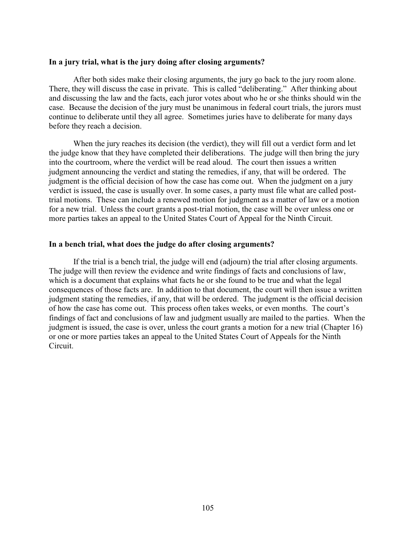#### <span id="page-109-6"></span><span id="page-109-1"></span>**In a jury trial, what is the jury doing after closing arguments?**

<span id="page-109-3"></span>After both sides make their closing arguments, the jury go back to the jury room alone. There, they will discuss the case in private. This is called "deliberating." After thinking about and discussing the law and the facts, each juror votes about who he or she thinks should win the case. Because the decision of the jury must be unanimous in federal court trials, the jurors must continue to deliberate until they all agree. Sometimes juries have to deliberate for many days before they reach a decision.

<span id="page-109-11"></span><span id="page-109-10"></span><span id="page-109-8"></span><span id="page-109-5"></span>When the jury reaches its decision (the verdict), they will fill out a verdict form and let the judge know that they have completed their deliberations. The judge will then bring the jury into the courtroom, where the verdict will be read aloud. The court then issues a written judgment announcing the verdict and stating the remedies, if any, that will be ordered. The judgment is the official decision of how the case has come out. When the judgment on a jury verdict is issued, the case is usually over. In some cases, a party must file what are called posttrial motions. These can include a renewed motion for judgment as a matter of law or a motion for a new trial. Unless the court grants a post-trial motion, the case will be over unless one or more parties takes an appeal to the United States Court of Appeal for the Ninth Circuit.

#### <span id="page-109-9"></span><span id="page-109-7"></span>**In a bench trial, what does the judge do after closing arguments?**

<span id="page-109-4"></span><span id="page-109-2"></span><span id="page-109-0"></span>If the trial is a bench trial, the judge will end (adjourn) the trial after closing arguments. The judge will then review the evidence and write findings of facts and conclusions of law, which is a document that explains what facts he or she found to be true and what the legal consequences of those facts are. In addition to that document, the court will then issue a written judgment stating the remedies, if any, that will be ordered. The judgment is the official decision of how the case has come out. This process often takes weeks, or even months. The court's findings of fact and conclusions of law and judgment usually are mailed to the parties. When the judgment is issued, the case is over, unless the court grants a motion for a new trial (Chapter 16) or one or more parties takes an appeal to the United States Court of Appeals for the Ninth Circuit.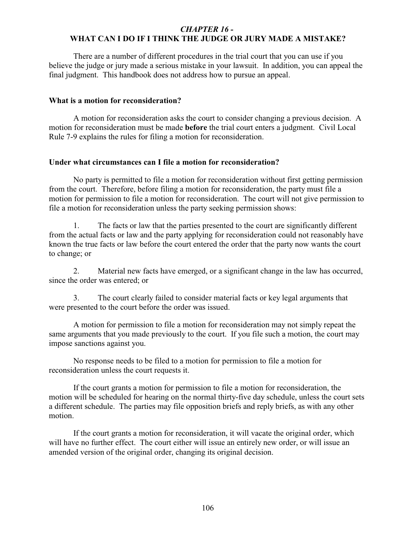# *CHAPTER 16 -*  **WHAT CAN I DO IF I THINK THE JUDGE OR JURY MADE A MISTAKE?**

<span id="page-110-1"></span>There are a number of different procedures in the trial court that you can use if you believe the judge or jury made a serious mistake in your lawsuit. In addition, you can appeal the final judgment. This handbook does not address how to pursue an appeal.

### <span id="page-110-5"></span>**What is a motion for reconsideration?**

<span id="page-110-2"></span>A motion for reconsideration asks the court to consider changing a previous decision. A motion for reconsideration must be made **before** the trial court enters a judgment. Civil Local Rule 7-9 explains the rules for filing a motion for reconsideration.

### **Under what circumstances can I file a motion for reconsideration?**

<span id="page-110-4"></span>No party is permitted to file a motion for reconsideration without first getting permission from the court. Therefore, before filing a motion for reconsideration, the party must file a motion for permission to file a motion for reconsideration. The court will not give permission to file a motion for reconsideration unless the party seeking permission shows:

1. The facts or law that the parties presented to the court are significantly different from the actual facts or law and the party applying for reconsideration could not reasonably have known the true facts or law before the court entered the order that the party now wants the court to change; or

2. Material new facts have emerged, or a significant change in the law has occurred, since the order was entered; or

<span id="page-110-3"></span>3. The court clearly failed to consider material facts or key legal arguments that were presented to the court before the order was issued.

<span id="page-110-8"></span>A motion for permission to file a motion for reconsideration may not simply repeat the same arguments that you made previously to the court. If you file such a motion, the court may impose sanctions against you.

No response needs to be filed to a motion for permission to file a motion for reconsideration unless the court requests it.

<span id="page-110-7"></span><span id="page-110-6"></span><span id="page-110-0"></span>If the court grants a motion for permission to file a motion for reconsideration, the motion will be scheduled for hearing on the normal thirty-five day schedule, unless the court sets a different schedule. The parties may file opposition briefs and reply briefs, as with any other motion.

<span id="page-110-9"></span>If the court grants a motion for reconsideration, it will vacate the original order, which will have no further effect. The court either will issue an entirely new order, or will issue an amended version of the original order, changing its original decision.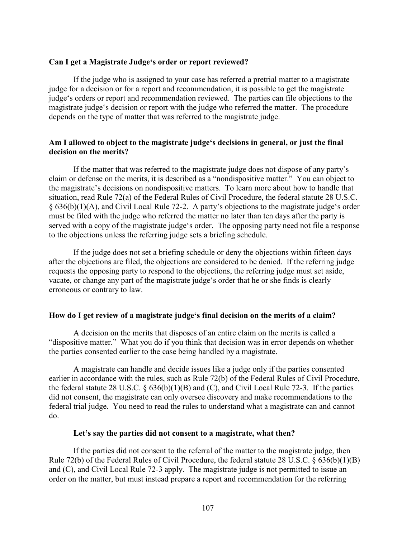### <span id="page-111-3"></span>**Can I get a Magistrate Judge's order or report reviewed?**

<span id="page-111-6"></span>If the judge who is assigned to your case has referred a pretrial matter to a magistrate judge for a decision or for a report and recommendation, it is possible to get the magistrate judge's orders or report and recommendation reviewed. The parties can file objections to the magistrate judge's decision or report with the judge who referred the matter. The procedure depends on the type of matter that was referred to the magistrate judge.

### **Am I allowed to object to the magistrate judge's decisions in general, or just the final decision on the merits?**

<span id="page-111-2"></span><span id="page-111-1"></span>If the matter that was referred to the magistrate judge does not dispose of any party's claim or defense on the merits, it is described as a "nondispositive matter." You can object to the magistrate's decisions on nondispositive matters. To learn more about how to handle that situation, read Rule 72(a) of the Federal Rules of Civil Procedure, the federal statute 28 U.S.C. § 636(b)(1)(A), and Civil Local Rule 72-2. A party's objections to the magistrate judge's order must be filed with the judge who referred the matter no later than ten days after the party is served with a copy of the magistrate judge's order. The opposing party need not file a response to the objections unless the referring judge sets a briefing schedule.

<span id="page-111-7"></span><span id="page-111-5"></span><span id="page-111-4"></span>If the judge does not set a briefing schedule or deny the objections within fifteen days after the objections are filed, the objections are considered to be denied. If the referring judge requests the opposing party to respond to the objections, the referring judge must set aside, vacate, or change any part of the magistrate judge's order that he or she finds is clearly erroneous or contrary to law.

### **How do I get review of a magistrate judge's final decision on the merits of a claim?**

A decision on the merits that disposes of an entire claim on the merits is called a "dispositive matter." What you do if you think that decision was in error depends on whether the parties consented earlier to the case being handled by a magistrate.

A magistrate can handle and decide issues like a judge only if the parties consented earlier in accordance with the rules, such as Rule 72(b) of the Federal Rules of Civil Procedure, the federal statute 28 U.S.C.  $\S$  636(b)(1)(B) and (C), and Civil Local Rule 72-3. If the parties did not consent, the magistrate can only oversee discovery and make recommendations to the federal trial judge. You need to read the rules to understand what a magistrate can and cannot do.

### <span id="page-111-0"></span>**Let's say the parties did not consent to a magistrate, what then?**

If the parties did not consent to the referral of the matter to the magistrate judge, then Rule 72(b) of the Federal Rules of Civil Procedure, the federal statute 28 U.S.C. § 636(b)(1)(B) and (C), and Civil Local Rule 72-3 apply. The magistrate judge is not permitted to issue an order on the matter, but must instead prepare a report and recommendation for the referring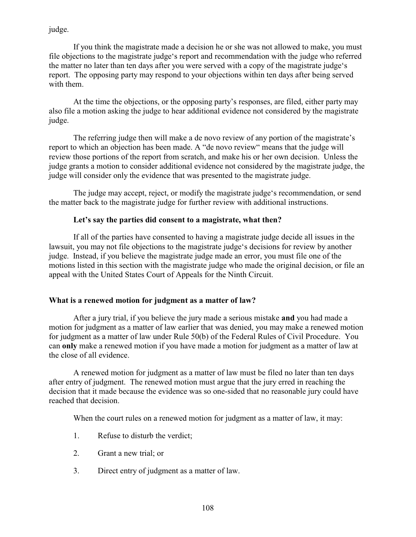judge.

<span id="page-112-9"></span><span id="page-112-4"></span>If you think the magistrate made a decision he or she was not allowed to make, you must file objections to the magistrate judge's report and recommendation with the judge who referred the matter no later than ten days after you were served with a copy of the magistrate judge's report. The opposing party may respond to your objections within ten days after being served with them.

<span id="page-112-6"></span>At the time the objections, or the opposing party's responses, are filed, either party may also file a motion asking the judge to hear additional evidence not considered by the magistrate judge.

<span id="page-112-7"></span>The referring judge then will make a de novo review of any portion of the magistrate's report to which an objection has been made. A "de novo review" means that the judge will review those portions of the report from scratch, and make his or her own decision. Unless the judge grants a motion to consider additional evidence not considered by the magistrate judge, the judge will consider only the evidence that was presented to the magistrate judge.

The judge may accept, reject, or modify the magistrate judge's recommendation, or send the matter back to the magistrate judge for further review with additional instructions.

## <span id="page-112-8"></span><span id="page-112-1"></span><span id="page-112-0"></span>**Let's say the parties did consent to a magistrate, what then?**

If all of the parties have consented to having a magistrate judge decide all issues in the lawsuit, you may not file objections to the magistrate judge's decisions for review by another judge. Instead, if you believe the magistrate judge made an error, you must file one of the motions listed in this section with the magistrate judge who made the original decision, or file an appeal with the United States Court of Appeals for the Ninth Circuit.

### **What is a renewed motion for judgment as a matter of law?**

<span id="page-112-5"></span><span id="page-112-3"></span>After a jury trial, if you believe the jury made a serious mistake **and** you had made a motion for judgment as a matter of law earlier that was denied, you may make a renewed motion for judgment as a matter of law under Rule 50(b) of the Federal Rules of Civil Procedure. You can **only** make a renewed motion if you have made a motion for judgment as a matter of law at the close of all evidence.

A renewed motion for judgment as a matter of law must be filed no later than ten days after entry of judgment. The renewed motion must argue that the jury erred in reaching the decision that it made because the evidence was so one-sided that no reasonable jury could have reached that decision.

<span id="page-112-2"></span>When the court rules on a renewed motion for judgment as a matter of law, it may:

- <span id="page-112-10"></span>1. Refuse to disturb the verdict;
- 2. Grant a new trial; or
- 3. Direct entry of judgment as a matter of law.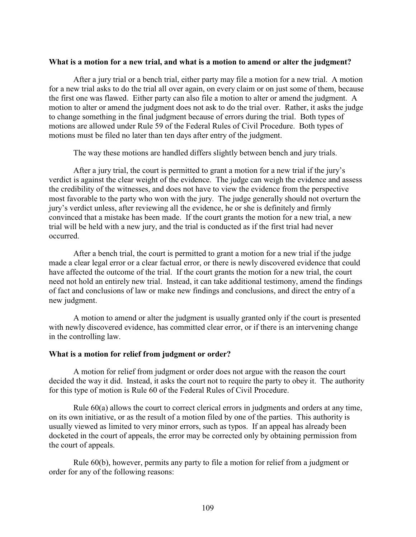### **What is a motion for a new trial, and what is a motion to amend or alter the judgment?**

<span id="page-113-3"></span><span id="page-113-0"></span>After a jury trial or a bench trial, either party may file a motion for a new trial. A motion for a new trial asks to do the trial all over again, on every claim or on just some of them, because the first one was flawed. Either party can also file a motion to alter or amend the judgment. A motion to alter or amend the judgment does not ask to do the trial over. Rather, it asks the judge to change something in the final judgment because of errors during the trial. Both types of motions are allowed under Rule 59 of the Federal Rules of Civil Procedure. Both types of motions must be filed no later than ten days after entry of the judgment.

<span id="page-113-8"></span><span id="page-113-6"></span><span id="page-113-4"></span>The way these motions are handled differs slightly between bench and jury trials.

<span id="page-113-7"></span>After a jury trial, the court is permitted to grant a motion for a new trial if the jury's verdict is against the clear weight of the evidence. The judge can weigh the evidence and assess the credibility of the witnesses, and does not have to view the evidence from the perspective most favorable to the party who won with the jury. The judge generally should not overturn the jury's verdict unless, after reviewing all the evidence, he or she is definitely and firmly convinced that a mistake has been made. If the court grants the motion for a new trial, a new trial will be held with a new jury, and the trial is conducted as if the first trial had never occurred.

After a bench trial, the court is permitted to grant a motion for a new trial if the judge made a clear legal error or a clear factual error, or there is newly discovered evidence that could have affected the outcome of the trial. If the court grants the motion for a new trial, the court need not hold an entirely new trial. Instead, it can take additional testimony, amend the findings of fact and conclusions of law or make new findings and conclusions, and direct the entry of a new judgment.

<span id="page-113-2"></span>A motion to amend or alter the judgment is usually granted only if the court is presented with newly discovered evidence, has committed clear error, or if there is an intervening change in the controlling law.

#### <span id="page-113-5"></span>**What is a motion for relief from judgment or order?**

A motion for relief from judgment or order does not argue with the reason the court decided the way it did. Instead, it asks the court not to require the party to obey it. The authority for this type of motion is Rule 60 of the Federal Rules of Civil Procedure.

<span id="page-113-1"></span>Rule 60(a) allows the court to correct clerical errors in judgments and orders at any time, on its own initiative, or as the result of a motion filed by one of the parties. This authority is usually viewed as limited to very minor errors, such as typos. If an appeal has already been docketed in the court of appeals, the error may be corrected only by obtaining permission from the court of appeals.

Rule 60(b), however, permits any party to file a motion for relief from a judgment or order for any of the following reasons: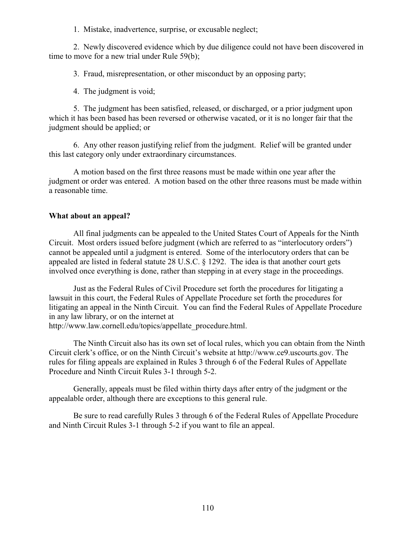1. Mistake, inadvertence, surprise, or excusable neglect;

2. Newly discovered evidence which by due diligence could not have been discovered in time to move for a new trial under Rule 59(b);

<span id="page-114-6"></span><span id="page-114-2"></span>3. Fraud, misrepresentation, or other misconduct by an opposing party;

<span id="page-114-7"></span><span id="page-114-4"></span>4. The judgment is void;

5. The judgment has been satisfied, released, or discharged, or a prior judgment upon which it has been based has been reversed or otherwise vacated, or it is no longer fair that the judgment should be applied; or

6. Any other reason justifying relief from the judgment. Relief will be granted under this last category only under extraordinary circumstances.

A motion based on the first three reasons must be made within one year after the judgment or order was entered. A motion based on the other three reasons must be made within a reasonable time.

### **What about an appeal?**

<span id="page-114-3"></span><span id="page-114-0"></span>All final judgments can be appealed to the United States Court of Appeals for the Ninth Circuit. Most orders issued before judgment (which are referred to as "interlocutory orders") cannot be appealed until a judgment is entered. Some of the interlocutory orders that can be appealed are listed in federal statute 28 U.S.C. § 1292. The idea is that another court gets involved once everything is done, rather than stepping in at every stage in the proceedings.

<span id="page-114-1"></span>Just as the Federal Rules of Civil Procedure set forth the procedures for litigating a lawsuit in this court, the Federal Rules of Appellate Procedure set forth the procedures for litigating an appeal in the Ninth Circuit. You can find the Federal Rules of Appellate Procedure in any law library, or on the internet at

http://www.law.cornell.edu/topics/appellate\_procedure.html.

<span id="page-114-5"></span>The Ninth Circuit also has its own set of local rules, which you can obtain from the Ninth Circuit clerk's office, or on the Ninth Circuit's website at http://www.ce9.uscourts.gov. The rules for filing appeals are explained in Rules 3 through 6 of the Federal Rules of Appellate Procedure and Ninth Circuit Rules 3-1 through 5-2.

Generally, appeals must be filed within thirty days after entry of the judgment or the appealable order, although there are exceptions to this general rule.

Be sure to read carefully Rules 3 through 6 of the Federal Rules of Appellate Procedure and Ninth Circuit Rules 3-1 through 5-2 if you want to file an appeal.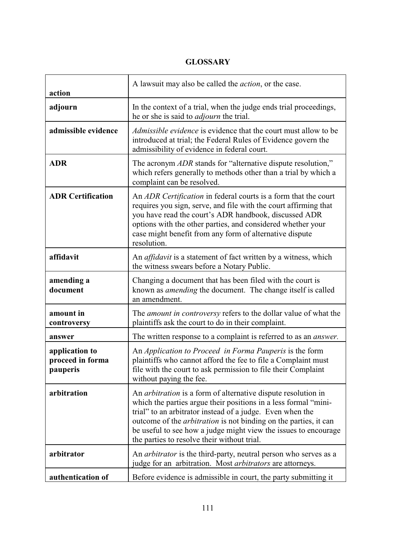# **GLOSSARY**

| action                                         | A lawsuit may also be called the <i>action</i> , or the case.                                                                                                                                                                                                                                                                                                                              |
|------------------------------------------------|--------------------------------------------------------------------------------------------------------------------------------------------------------------------------------------------------------------------------------------------------------------------------------------------------------------------------------------------------------------------------------------------|
| adjourn                                        | In the context of a trial, when the judge ends trial proceedings,<br>he or she is said to <i>adjourn</i> the trial.                                                                                                                                                                                                                                                                        |
| admissible evidence                            | <i>Admissible evidence</i> is evidence that the court must allow to be<br>introduced at trial; the Federal Rules of Evidence govern the<br>admissibility of evidence in federal court.                                                                                                                                                                                                     |
| <b>ADR</b>                                     | The acronym <i>ADR</i> stands for "alternative dispute resolution,"<br>which refers generally to methods other than a trial by which a<br>complaint can be resolved.                                                                                                                                                                                                                       |
| <b>ADR Certification</b>                       | An ADR Certification in federal courts is a form that the court<br>requires you sign, serve, and file with the court affirming that<br>you have read the court's ADR handbook, discussed ADR<br>options with the other parties, and considered whether your<br>case might benefit from any form of alternative dispute<br>resolution.                                                      |
| affidavit                                      | An <i>affidavit</i> is a statement of fact written by a witness, which<br>the witness swears before a Notary Public.                                                                                                                                                                                                                                                                       |
| amending a<br>document                         | Changing a document that has been filed with the court is<br>known as <i>amending</i> the document. The change itself is called<br>an amendment.                                                                                                                                                                                                                                           |
| amount in<br>controversy                       | The <i>amount in controversy</i> refers to the dollar value of what the<br>plaintiffs ask the court to do in their complaint.                                                                                                                                                                                                                                                              |
| answer                                         | The written response to a complaint is referred to as an <i>answer</i> .                                                                                                                                                                                                                                                                                                                   |
| application to<br>proceed in forma<br>pauperis | An <i>Application to Proceed in Forma Pauperis</i> is the form<br>plaintiffs who cannot afford the fee to file a Complaint must<br>file with the court to ask permission to file their Complaint<br>without paying the fee.                                                                                                                                                                |
| arbitration                                    | An arbitration is a form of alternative dispute resolution in<br>which the parties argue their positions in a less formal "mini-<br>trial" to an arbitrator instead of a judge. Even when the<br>outcome of the <i>arbitration</i> is not binding on the parties, it can<br>be useful to see how a judge might view the issues to encourage<br>the parties to resolve their without trial. |
| arbitrator                                     | An <i>arbitrator</i> is the third-party, neutral person who serves as a<br>judge for an arbitration. Most <i>arbitrators</i> are attorneys.                                                                                                                                                                                                                                                |
| authentication of                              | Before evidence is admissible in court, the party submitting it                                                                                                                                                                                                                                                                                                                            |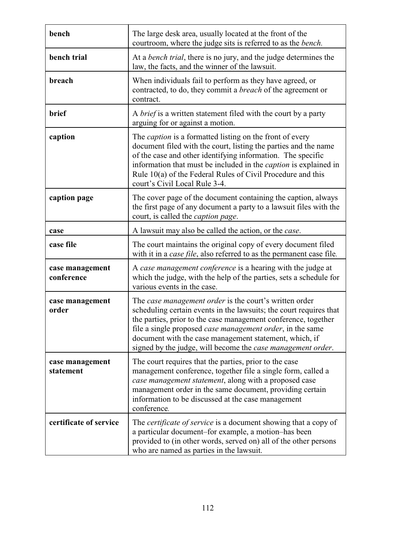| bench                         | The large desk area, usually located at the front of the<br>courtroom, where the judge sits is referred to as the <i>bench</i> .                                                                                                                                                                                                                                                     |
|-------------------------------|--------------------------------------------------------------------------------------------------------------------------------------------------------------------------------------------------------------------------------------------------------------------------------------------------------------------------------------------------------------------------------------|
| bench trial                   | At a <i>bench trial</i> , there is no jury, and the judge determines the<br>law, the facts, and the winner of the lawsuit.                                                                                                                                                                                                                                                           |
| breach                        | When individuals fail to perform as they have agreed, or<br>contracted, to do, they commit a <i>breach</i> of the agreement or<br>contract.                                                                                                                                                                                                                                          |
| brief                         | A <i>brief</i> is a written statement filed with the court by a party<br>arguing for or against a motion.                                                                                                                                                                                                                                                                            |
| caption                       | The <i>caption</i> is a formatted listing on the front of every<br>document filed with the court, listing the parties and the name<br>of the case and other identifying information. The specific<br>information that must be included in the <i>caption</i> is explained in<br>Rule 10(a) of the Federal Rules of Civil Procedure and this<br>court's Civil Local Rule 3-4.         |
| caption page                  | The cover page of the document containing the caption, always<br>the first page of any document a party to a lawsuit files with the<br>court, is called the <i>caption page</i> .                                                                                                                                                                                                    |
| case                          | A lawsuit may also be called the action, or the <i>case</i> .                                                                                                                                                                                                                                                                                                                        |
| case file                     | The court maintains the original copy of every document filed<br>with it in a case file, also referred to as the permanent case file.                                                                                                                                                                                                                                                |
| case management<br>conference | A case management conference is a hearing with the judge at<br>which the judge, with the help of the parties, sets a schedule for<br>various events in the case.                                                                                                                                                                                                                     |
| case management<br>order      | The case management order is the court's written order<br>scheduling certain events in the lawsuits; the court requires that<br>the parties, prior to the case management conference, together<br>file a single proposed case management order, in the same<br>document with the case management statement, which, if<br>signed by the judge, will become the case management order. |
| case management<br>statement  | The court requires that the parties, prior to the case<br>management conference, together file a single form, called a<br>case management statement, along with a proposed case<br>management order in the same document, providing certain<br>information to be discussed at the case management<br>conference.                                                                     |
| certificate of service        | The <i>certificate of service</i> is a document showing that a copy of<br>a particular document–for example, a motion–has been<br>provided to (in other words, served on) all of the other persons<br>who are named as parties in the lawsuit.                                                                                                                                       |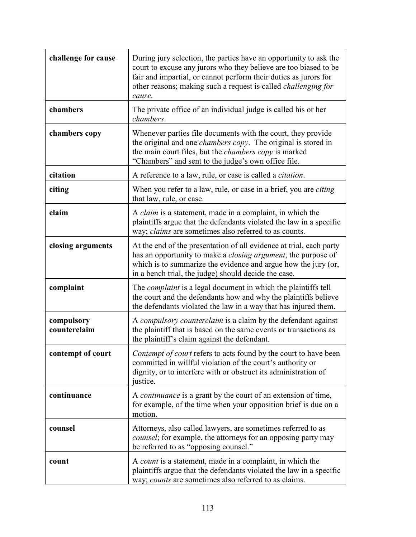| challenge for cause        | During jury selection, the parties have an opportunity to ask the<br>court to excuse any jurors who they believe are too biased to be<br>fair and impartial, or cannot perform their duties as jurors for<br>other reasons; making such a request is called <i>challenging for</i><br>cause. |
|----------------------------|----------------------------------------------------------------------------------------------------------------------------------------------------------------------------------------------------------------------------------------------------------------------------------------------|
| chambers                   | The private office of an individual judge is called his or her<br>chambers.                                                                                                                                                                                                                  |
| chambers copy              | Whenever parties file documents with the court, they provide<br>the original and one <i>chambers copy</i> . The original is stored in<br>the main court files, but the <i>chambers copy</i> is marked<br>"Chambers" and sent to the judge's own office file.                                 |
| citation                   | A reference to a law, rule, or case is called a <i>citation</i> .                                                                                                                                                                                                                            |
| citing                     | When you refer to a law, rule, or case in a brief, you are <i>citing</i><br>that law, rule, or case.                                                                                                                                                                                         |
| claim                      | A <i>claim</i> is a statement, made in a complaint, in which the<br>plaintiffs argue that the defendants violated the law in a specific<br>way; <i>claims</i> are sometimes also referred to as counts.                                                                                      |
| closing arguments          | At the end of the presentation of all evidence at trial, each party<br>has an opportunity to make a <i>closing argument</i> , the purpose of<br>which is to summarize the evidence and argue how the jury (or,<br>in a bench trial, the judge) should decide the case.                       |
| complaint                  | The <i>complaint</i> is a legal document in which the plaintiffs tell<br>the court and the defendants how and why the plaintiffs believe<br>the defendants violated the law in a way that has injured them.                                                                                  |
| compulsory<br>counterclaim | A compulsory counterclaim is a claim by the defendant against<br>the plaintiff that is based on the same events or transactions as<br>the plaintiff's claim against the defendant.                                                                                                           |
| contempt of court          | Contempt of court refers to acts found by the court to have been<br>committed in willful violation of the court's authority or<br>dignity, or to interfere with or obstruct its administration of<br>justice.                                                                                |
| continuance                | A <i>continuance</i> is a grant by the court of an extension of time,<br>for example, of the time when your opposition brief is due on a<br>motion.                                                                                                                                          |
| counsel                    | Attorneys, also called lawyers, are sometimes referred to as<br><i>counsel</i> ; for example, the attorneys for an opposing party may<br>be referred to as "opposing counsel."                                                                                                               |
| count                      | A <i>count</i> is a statement, made in a complaint, in which the<br>plaintiffs argue that the defendants violated the law in a specific<br>way; counts are sometimes also referred to as claims.                                                                                             |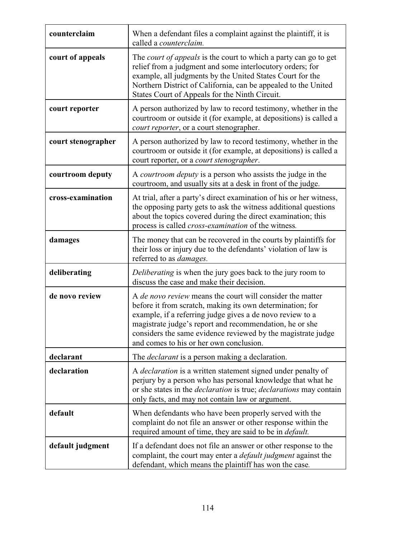| counterclaim       | When a defendant files a complaint against the plaintiff, it is<br>called a counterclaim.                                                                                                                                                                                                                                                                        |
|--------------------|------------------------------------------------------------------------------------------------------------------------------------------------------------------------------------------------------------------------------------------------------------------------------------------------------------------------------------------------------------------|
| court of appeals   | The court of appeals is the court to which a party can go to get<br>relief from a judgment and some interlocutory orders; for<br>example, all judgments by the United States Court for the<br>Northern District of California, can be appealed to the United<br>States Court of Appeals for the Ninth Circuit.                                                   |
| court reporter     | A person authorized by law to record testimony, whether in the<br>courtroom or outside it (for example, at depositions) is called a<br>court reporter, or a court stenographer.                                                                                                                                                                                  |
| court stenographer | A person authorized by law to record testimony, whether in the<br>courtroom or outside it (for example, at depositions) is called a<br>court reporter, or a court stenographer.                                                                                                                                                                                  |
| courtroom deputy   | A courtroom deputy is a person who assists the judge in the<br>courtroom, and usually sits at a desk in front of the judge.                                                                                                                                                                                                                                      |
| cross-examination  | At trial, after a party's direct examination of his or her witness,<br>the opposing party gets to ask the witness additional questions<br>about the topics covered during the direct examination; this<br>process is called <i>cross-examination</i> of the witness.                                                                                             |
| damages            | The money that can be recovered in the courts by plaintiffs for<br>their loss or injury due to the defendants' violation of law is<br>referred to as <i>damages</i> .                                                                                                                                                                                            |
| deliberating       | Deliberating is when the jury goes back to the jury room to<br>discuss the case and make their decision.                                                                                                                                                                                                                                                         |
| de novo review     | A <i>de novo review</i> means the court will consider the matter<br>before it from scratch, making its own determination; for<br>example, if a referring judge gives a de novo review to a<br>magistrate judge's report and recommendation, he or she<br>considers the same evidence reviewed by the magistrate judge<br>and comes to his or her own conclusion. |
| declarant          | The <i>declarant</i> is a person making a declaration.                                                                                                                                                                                                                                                                                                           |
| declaration        | A <i>declaration</i> is a written statement signed under penalty of<br>perjury by a person who has personal knowledge that what he<br>or she states in the <i>declaration</i> is true; <i>declarations</i> may contain<br>only facts, and may not contain law or argument.                                                                                       |
| default            | When defendants who have been properly served with the<br>complaint do not file an answer or other response within the<br>required amount of time, they are said to be in <i>default</i> .                                                                                                                                                                       |
| default judgment   | If a defendant does not file an answer or other response to the<br>complaint, the court may enter a <i>default judgment</i> against the<br>defendant, which means the plaintiff has won the case.                                                                                                                                                                |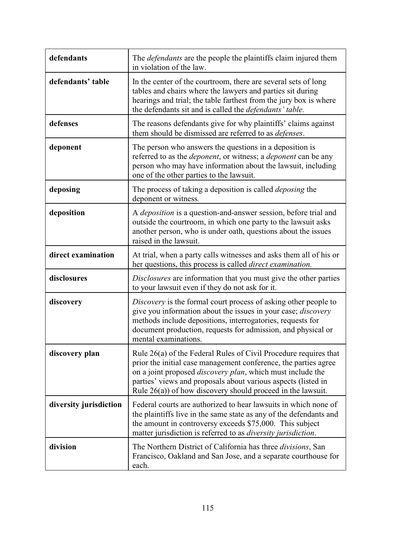| defendants             | The <i>defendants</i> are the people the plaintiffs claim injured them<br>in violation of the law.                                                                                                                                                                                                                                           |
|------------------------|----------------------------------------------------------------------------------------------------------------------------------------------------------------------------------------------------------------------------------------------------------------------------------------------------------------------------------------------|
| defendants' table      | In the center of the courtroom, there are several sets of long<br>tables and chairs where the lawyers and parties sit during<br>hearings and trial; the table farthest from the jury box is where<br>the defendants sit and is called the <i>defendants' table</i> .                                                                         |
| defenses               | The reasons defendants give for why plaintiffs' claims against<br>them should be dismissed are referred to as <i>defenses</i> .                                                                                                                                                                                                              |
| deponent               | The person who answers the questions in a deposition is<br>referred to as the <i>deponent</i> , or witness; a <i>deponent</i> can be any<br>person who may have information about the lawsuit, including<br>one of the other parties to the lawsuit.                                                                                         |
| deposing               | The process of taking a deposition is called <i>deposing</i> the<br>deponent or witness.                                                                                                                                                                                                                                                     |
| deposition             | A <i>deposition</i> is a question-and-answer session, before trial and<br>outside the courtroom, in which one party to the lawsuit asks<br>another person, who is under oath, questions about the issues<br>raised in the lawsuit.                                                                                                           |
| direct examination     | At trial, when a party calls witnesses and asks them all of his or<br>her questions, this process is called <i>direct examination</i> .                                                                                                                                                                                                      |
| disclosures            | Disclosures are information that you must give the other parties<br>to your lawsuit even if they do not ask for it.                                                                                                                                                                                                                          |
| discovery              | Discovery is the formal court process of asking other people to<br>give you information about the issues in your case; <i>discovery</i><br>methods include depositions, interrogatories, requests for<br>document production, requests for admission, and physical or<br>mental examinations.                                                |
| discovery plan         | Rule 26(a) of the Federal Rules of Civil Procedure requires that<br>prior the initial case management conference, the parties agree<br>on a joint proposed <i>discovery plan</i> , which must include the<br>parties' views and proposals about various aspects (listed in<br>Rule $26(a)$ ) of how discovery should proceed in the lawsuit. |
| diversity jurisdiction | Federal courts are authorized to hear lawsuits in which none of<br>the plaintiffs live in the same state as any of the defendants and<br>the amount in controversy exceeds \$75,000. This subject<br>matter jurisdiction is referred to as <i>diversity jurisdiction</i> .                                                                   |
| division               | The Northern District of California has three <i>divisions</i> , San<br>Francisco, Oakland and San Jose, and a separate courthouse for<br>each.                                                                                                                                                                                              |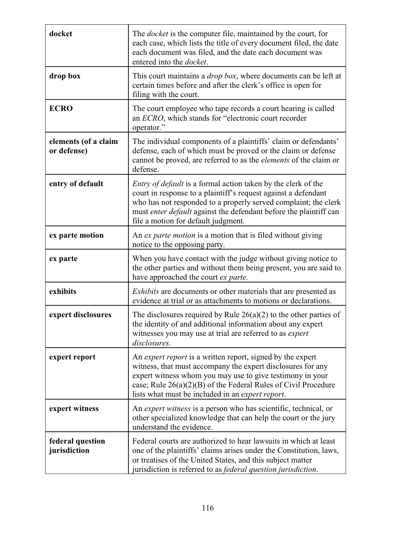| docket                              | The <i>docket</i> is the computer file, maintained by the court, for<br>each case, which lists the title of every document filed, the date<br>each document was filed, and the date each document was<br>entered into the <i>docket</i> .                                                                             |
|-------------------------------------|-----------------------------------------------------------------------------------------------------------------------------------------------------------------------------------------------------------------------------------------------------------------------------------------------------------------------|
| drop box                            | This court maintains a <i>drop box</i> , where documents can be left at<br>certain times before and after the clerk's office is open for<br>filing with the court.                                                                                                                                                    |
| <b>ECRO</b>                         | The court employee who tape records a court hearing is called<br>an ECRO, which stands for "electronic court recorder<br>operator."                                                                                                                                                                                   |
| elements (of a claim<br>or defense) | The individual components of a plaintiffs' claim or defendants'<br>defense, each of which must be proved or the claim or defense<br>cannot be proved, are referred to as the <i>elements</i> of the claim or<br>defense.                                                                                              |
| entry of default                    | <i>Entry of default</i> is a formal action taken by the clerk of the<br>court in response to a plaintiff's request against a defendant<br>who has not responded to a properly served complaint; the clerk<br>must enter default against the defendant before the plaintiff can<br>file a motion for default judgment. |
| ex parte motion                     | An ex parte motion is a motion that is filed without giving<br>notice to the opposing party.                                                                                                                                                                                                                          |
| ex parte                            | When you have contact with the judge without giving notice to<br>the other parties and without them being present, you are said to<br>have approached the court ex parte.                                                                                                                                             |
| exhibits                            | <i>Exhibits</i> are documents or other materials that are presented as<br>evidence at trial or as attachments to motions or declarations.                                                                                                                                                                             |
| expert disclosures                  | The disclosures required by Rule $26(a)(2)$ to the other parties of<br>the identity of and additional information about any expert<br>witnesses you may use at trial are referred to as expert<br>disclosures.                                                                                                        |
| expert report                       | An expert report is a written report, signed by the expert<br>witness, that must accompany the expert disclosures for any<br>expert witness whom you may use to give testimony in your<br>case; Rule $26(a)(2)(B)$ of the Federal Rules of Civil Procedure<br>lists what must be included in an expert report.        |
| expert witness                      | An <i>expert witness</i> is a person who has scientific, technical, or<br>other specialized knowledge that can help the court or the jury<br>understand the evidence.                                                                                                                                                 |
| federal question<br>jurisdiction    | Federal courts are authorized to hear lawsuits in which at least<br>one of the plaintiffs' claims arises under the Constitution, laws,<br>or treatises of the United States, and this subject matter<br>jurisdiction is referred to as federal question jurisdiction.                                                 |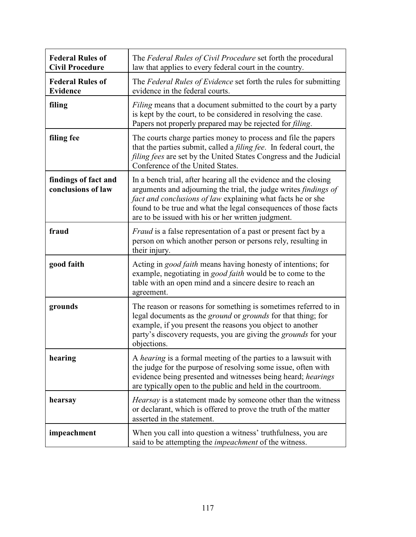| <b>Federal Rules of</b><br><b>Civil Procedure</b> | The Federal Rules of Civil Procedure set forth the procedural<br>law that applies to every federal court in the country.                                                                                                                                                                                                            |
|---------------------------------------------------|-------------------------------------------------------------------------------------------------------------------------------------------------------------------------------------------------------------------------------------------------------------------------------------------------------------------------------------|
| <b>Federal Rules of</b><br><b>Evidence</b>        | The Federal Rules of Evidence set forth the rules for submitting<br>evidence in the federal courts.                                                                                                                                                                                                                                 |
| filing                                            | <i>Filing</i> means that a document submitted to the court by a party<br>is kept by the court, to be considered in resolving the case.<br>Papers not properly prepared may be rejected for <i>filing</i> .                                                                                                                          |
| filing fee                                        | The courts charge parties money to process and file the papers<br>that the parties submit, called a <i>filing fee</i> . In federal court, the<br><i>filing fees</i> are set by the United States Congress and the Judicial<br>Conference of the United States.                                                                      |
| findings of fact and<br>conclusions of law        | In a bench trial, after hearing all the evidence and the closing<br>arguments and adjourning the trial, the judge writes <i>findings of</i><br>fact and conclusions of law explaining what facts he or she<br>found to be true and what the legal consequences of those facts<br>are to be issued with his or her written judgment. |
| fraud                                             | <i>Fraud</i> is a false representation of a past or present fact by a<br>person on which another person or persons rely, resulting in<br>their injury.                                                                                                                                                                              |
| good faith                                        | Acting in <i>good faith</i> means having honesty of intentions; for<br>example, negotiating in good faith would be to come to the<br>table with an open mind and a sincere desire to reach an<br>agreement.                                                                                                                         |
| grounds                                           | The reason or reasons for something is sometimes referred to in<br>legal documents as the <i>ground</i> or <i>grounds</i> for that thing; for<br>example, if you present the reasons you object to another<br>party's discovery requests, you are giving the grounds for your<br>objections.                                        |
| hearing                                           | A <i>hearing</i> is a formal meeting of the parties to a lawsuit with<br>the judge for the purpose of resolving some issue, often with<br>evidence being presented and witnesses being heard; hearings<br>are typically open to the public and held in the courtroom.                                                               |
| hearsay                                           | <i>Hearsay</i> is a statement made by someone other than the witness<br>or declarant, which is offered to prove the truth of the matter<br>asserted in the statement.                                                                                                                                                               |
| impeachment                                       | When you call into question a witness' truthfulness, you are<br>said to be attempting the <i>impeachment</i> of the witness.                                                                                                                                                                                                        |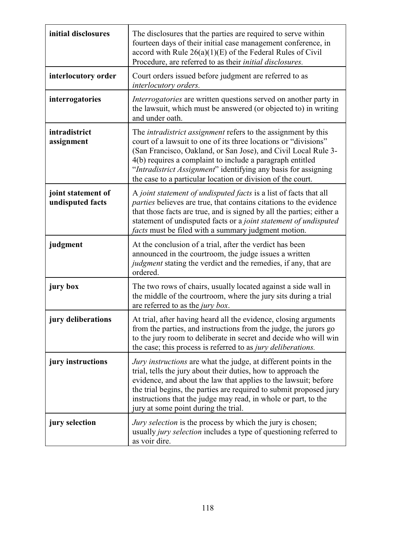| initial disclosures                    | The disclosures that the parties are required to serve within<br>fourteen days of their initial case management conference, in<br>accord with Rule $26(a)(1)(E)$ of the Federal Rules of Civil<br>Procedure, are referred to as their <i>initial disclosures</i> .                                                                                                                                      |
|----------------------------------------|---------------------------------------------------------------------------------------------------------------------------------------------------------------------------------------------------------------------------------------------------------------------------------------------------------------------------------------------------------------------------------------------------------|
| interlocutory order                    | Court orders issued before judgment are referred to as<br>interlocutory orders.                                                                                                                                                                                                                                                                                                                         |
| interrogatories                        | <i>Interrogatories</i> are written questions served on another party in<br>the lawsuit, which must be answered (or objected to) in writing<br>and under oath.                                                                                                                                                                                                                                           |
| intradistrict<br>assignment            | The <i>intradistrict assignment</i> refers to the assignment by this<br>court of a lawsuit to one of its three locations or "divisions"<br>(San Francisco, Oakland, or San Jose), and Civil Local Rule 3-<br>4(b) requires a complaint to include a paragraph entitled<br>"Intradistrict Assignment" identifying any basis for assigning<br>the case to a particular location or division of the court. |
| joint statement of<br>undisputed facts | A joint statement of undisputed facts is a list of facts that all<br><i>parties</i> believes are true, that contains citations to the evidence<br>that those facts are true, and is signed by all the parties; either a<br>statement of undisputed facts or a joint statement of undisputed<br><i>facts</i> must be filed with a summary judgment motion.                                               |
| judgment                               | At the conclusion of a trial, after the verdict has been<br>announced in the courtroom, the judge issues a written<br>judgment stating the verdict and the remedies, if any, that are                                                                                                                                                                                                                   |
|                                        | ordered.                                                                                                                                                                                                                                                                                                                                                                                                |
| jury box                               | The two rows of chairs, usually located against a side wall in<br>the middle of the courtroom, where the jury sits during a trial<br>are referred to as the <i>jury box</i> .                                                                                                                                                                                                                           |
| jury deliberations                     | At trial, after having heard all the evidence, closing arguments<br>from the parties, and instructions from the judge, the jurors go<br>to the jury room to deliberate in secret and decide who will win<br>the case; this process is referred to as <i>jury deliberations</i> .                                                                                                                        |
| jury instructions                      | <i>Jury instructions</i> are what the judge, at different points in the<br>trial, tells the jury about their duties, how to approach the<br>evidence, and about the law that applies to the lawsuit; before<br>the trial begins, the parties are required to submit proposed jury<br>instructions that the judge may read, in whole or part, to the<br>jury at some point during the trial.             |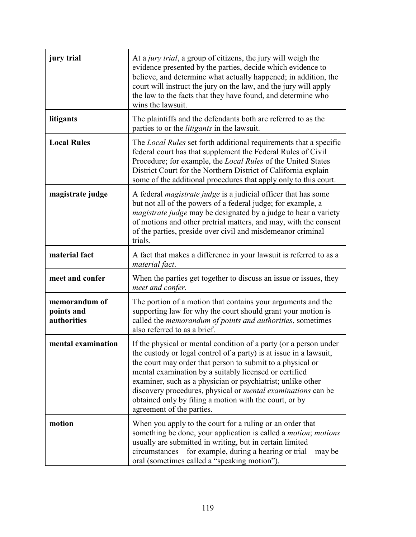| jury trial                                 | At a <i>jury trial</i> , a group of citizens, the jury will weigh the<br>evidence presented by the parties, decide which evidence to<br>believe, and determine what actually happened; in addition, the<br>court will instruct the jury on the law, and the jury will apply<br>the law to the facts that they have found, and determine who<br>wins the lawsuit.                                                                                                                             |
|--------------------------------------------|----------------------------------------------------------------------------------------------------------------------------------------------------------------------------------------------------------------------------------------------------------------------------------------------------------------------------------------------------------------------------------------------------------------------------------------------------------------------------------------------|
| litigants                                  | The plaintiffs and the defendants both are referred to as the<br>parties to or the <i>litigants</i> in the lawsuit.                                                                                                                                                                                                                                                                                                                                                                          |
| <b>Local Rules</b>                         | The <i>Local Rules</i> set forth additional requirements that a specific<br>federal court has that supplement the Federal Rules of Civil<br>Procedure; for example, the Local Rules of the United States<br>District Court for the Northern District of California explain<br>some of the additional procedures that apply only to this court.                                                                                                                                               |
| magistrate judge                           | A federal <i>magistrate judge</i> is a judicial officer that has some<br>but not all of the powers of a federal judge; for example, a<br><i>magistrate judge</i> may be designated by a judge to hear a variety<br>of motions and other pretrial matters, and may, with the consent<br>of the parties, preside over civil and misdemeanor criminal<br>trials.                                                                                                                                |
| material fact                              | A fact that makes a difference in your lawsuit is referred to as a<br>material fact.                                                                                                                                                                                                                                                                                                                                                                                                         |
| meet and confer                            | When the parties get together to discuss an issue or issues, they<br>meet and confer.                                                                                                                                                                                                                                                                                                                                                                                                        |
| memorandum of<br>points and<br>authorities | The portion of a motion that contains your arguments and the<br>supporting law for why the court should grant your motion is<br>called the memorandum of points and authorities, sometimes<br>also referred to as a brief.                                                                                                                                                                                                                                                                   |
| mental examination                         | If the physical or mental condition of a party (or a person under<br>the custody or legal control of a party) is at issue in a lawsuit.<br>the court may order that person to submit to a physical or<br>mental examination by a suitably licensed or certified<br>examiner, such as a physician or psychiatrist; unlike other<br>discovery procedures, physical or <i>mental examinations</i> can be<br>obtained only by filing a motion with the court, or by<br>agreement of the parties. |
| motion                                     | When you apply to the court for a ruling or an order that<br>something be done, your application is called a <i>motion</i> ; <i>motions</i><br>usually are submitted in writing, but in certain limited<br>circumstances—for example, during a hearing or trial—may be<br>oral (sometimes called a "speaking motion").                                                                                                                                                                       |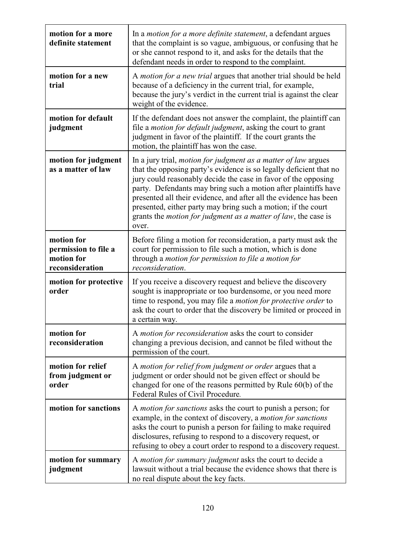| motion for a more<br>definite statement                             | In a <i>motion for a more definite statement</i> , a defendant argues<br>that the complaint is so vague, ambiguous, or confusing that he<br>or she cannot respond to it, and asks for the details that the<br>defendant needs in order to respond to the complaint.                                                                                                                                                                                                                                       |
|---------------------------------------------------------------------|-----------------------------------------------------------------------------------------------------------------------------------------------------------------------------------------------------------------------------------------------------------------------------------------------------------------------------------------------------------------------------------------------------------------------------------------------------------------------------------------------------------|
| motion for a new<br>trial                                           | A <i>motion for a new trial</i> argues that another trial should be held<br>because of a deficiency in the current trial, for example,<br>because the jury's verdict in the current trial is against the clear<br>weight of the evidence.                                                                                                                                                                                                                                                                 |
| motion for default<br>judgment                                      | If the defendant does not answer the complaint, the plaintiff can<br>file a <i>motion for default judgment</i> , asking the court to grant<br>judgment in favor of the plaintiff. If the court grants the<br>motion, the plaintiff has won the case.                                                                                                                                                                                                                                                      |
| motion for judgment<br>as a matter of law                           | In a jury trial, <i>motion for judgment as a matter of law</i> argues<br>that the opposing party's evidence is so legally deficient that no<br>jury could reasonably decide the case in favor of the opposing<br>party. Defendants may bring such a motion after plaintiffs have<br>presented all their evidence, and after all the evidence has been<br>presented, either party may bring such a motion; if the court<br>grants the <i>motion for judgment as a matter of law</i> , the case is<br>over. |
| motion for<br>permission to file a<br>motion for<br>reconsideration | Before filing a motion for reconsideration, a party must ask the<br>court for permission to file such a motion, which is done<br>through a motion for permission to file a motion for<br>reconsideration.                                                                                                                                                                                                                                                                                                 |
| motion for protective<br>order                                      | If you receive a discovery request and believe the discovery<br>sought is inappropriate or too burdensome, or you need more<br>time to respond, you may file a <i>motion for protective order</i> to<br>ask the court to order that the discovery be limited or proceed in<br>a certain way.                                                                                                                                                                                                              |
| motion for<br>reconsideration                                       | A motion for reconsideration asks the court to consider<br>changing a previous decision, and cannot be filed without the<br>permission of the court.                                                                                                                                                                                                                                                                                                                                                      |
| motion for relief<br>from judgment or<br>order                      | A motion for relief from judgment or order argues that a<br>judgment or order should not be given effect or should be<br>changed for one of the reasons permitted by Rule 60(b) of the<br>Federal Rules of Civil Procedure.                                                                                                                                                                                                                                                                               |
| motion for sanctions                                                | A <i>motion for sanctions</i> asks the court to punish a person; for<br>example, in the context of discovery, a <i>motion for sanctions</i><br>asks the court to punish a person for failing to make required<br>disclosures, refusing to respond to a discovery request, or<br>refusing to obey a court order to respond to a discovery request.                                                                                                                                                         |
| motion for summary<br>judgment                                      | A motion for summary judgment asks the court to decide a<br>lawsuit without a trial because the evidence shows that there is<br>no real dispute about the key facts.                                                                                                                                                                                                                                                                                                                                      |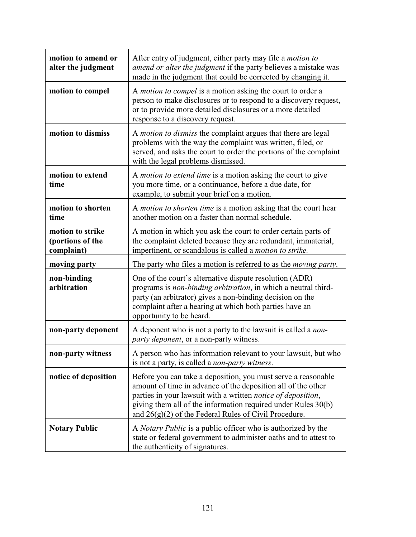| motion to amend or<br>alter the judgment           | After entry of judgment, either party may file a <i>motion to</i><br>amend or alter the judgment if the party believes a mistake was<br>made in the judgment that could be corrected by changing it.                                                                                                                      |
|----------------------------------------------------|---------------------------------------------------------------------------------------------------------------------------------------------------------------------------------------------------------------------------------------------------------------------------------------------------------------------------|
| motion to compel                                   | A <i>motion to compel</i> is a motion asking the court to order a<br>person to make disclosures or to respond to a discovery request,<br>or to provide more detailed disclosures or a more detailed<br>response to a discovery request.                                                                                   |
| motion to dismiss                                  | A <i>motion to dismiss</i> the complaint argues that there are legal<br>problems with the way the complaint was written, filed, or<br>served, and asks the court to order the portions of the complaint<br>with the legal problems dismissed.                                                                             |
| motion to extend<br>time                           | A <i>motion to extend time</i> is a motion asking the court to give<br>you more time, or a continuance, before a due date, for<br>example, to submit your brief on a motion.                                                                                                                                              |
| motion to shorten<br>time                          | A motion to shorten time is a motion asking that the court hear<br>another motion on a faster than normal schedule.                                                                                                                                                                                                       |
| motion to strike<br>(portions of the<br>complaint) | A motion in which you ask the court to order certain parts of<br>the complaint deleted because they are redundant, immaterial,<br>impertinent, or scandalous is called a <i>motion to strike</i> .                                                                                                                        |
| moving party                                       | The party who files a motion is referred to as the <i>moving party</i> .                                                                                                                                                                                                                                                  |
| non-binding<br>arbitration                         | One of the court's alternative dispute resolution (ADR)<br>programs is non-binding arbitration, in which a neutral third-<br>party (an arbitrator) gives a non-binding decision on the<br>complaint after a hearing at which both parties have an<br>opportunity to be heard.                                             |
| non-party deponent                                 | A deponent who is not a party to the lawsuit is called a <i>non</i> -<br>party deponent, or a non-party witness.                                                                                                                                                                                                          |
| non-party witness                                  | A person who has information relevant to your lawsuit, but who<br>is not a party, is called a <i>non-party witness</i> .                                                                                                                                                                                                  |
| notice of deposition                               | Before you can take a deposition, you must serve a reasonable<br>amount of time in advance of the deposition all of the other<br>parties in your lawsuit with a written notice of deposition,<br>giving them all of the information required under Rules 30(b)<br>and $26(g)(2)$ of the Federal Rules of Civil Procedure. |
| <b>Notary Public</b>                               | A <i>Notary Public</i> is a public officer who is authorized by the<br>state or federal government to administer oaths and to attest to<br>the authenticity of signatures.                                                                                                                                                |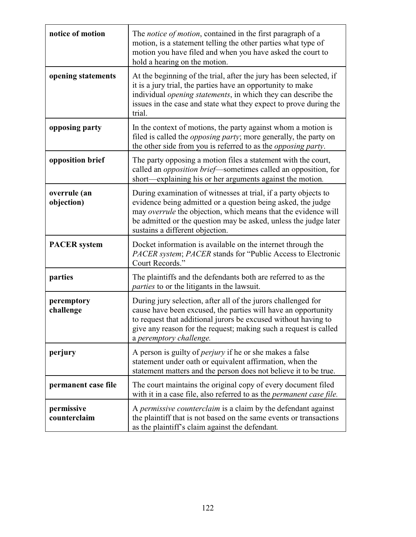| notice of motion           | The <i>notice of motion</i> , contained in the first paragraph of a<br>motion, is a statement telling the other parties what type of<br>motion you have filed and when you have asked the court to<br>hold a hearing on the motion.                                                                      |
|----------------------------|----------------------------------------------------------------------------------------------------------------------------------------------------------------------------------------------------------------------------------------------------------------------------------------------------------|
| opening statements         | At the beginning of the trial, after the jury has been selected, if<br>it is a jury trial, the parties have an opportunity to make<br>individual <i>opening statements</i> , in which they can describe the<br>issues in the case and state what they expect to prove during the<br>trial.               |
| opposing party             | In the context of motions, the party against whom a motion is<br>filed is called the <i>opposing party</i> ; more generally, the party on<br>the other side from you is referred to as the opposing party.                                                                                               |
| opposition brief           | The party opposing a motion files a statement with the court,<br>called an <i>opposition brief</i> —sometimes called an opposition, for<br>short—explaining his or her arguments against the motion.                                                                                                     |
| overrule (an<br>objection) | During examination of witnesses at trial, if a party objects to<br>evidence being admitted or a question being asked, the judge<br>may overrule the objection, which means that the evidence will<br>be admitted or the question may be asked, unless the judge later<br>sustains a different objection. |
| <b>PACER</b> system        | Docket information is available on the internet through the<br>PACER system; PACER stands for "Public Access to Electronic<br>Court Records."                                                                                                                                                            |
| parties                    | The plaintiffs and the defendants both are referred to as the<br><i>parties</i> to or the litigants in the lawsuit.                                                                                                                                                                                      |
| peremptory<br>challenge    | During jury selection, after all of the jurors challenged for<br>cause have been excused, the parties will have an opportunity<br>to request that additional jurors be excused without having to<br>give any reason for the request; making such a request is called<br>a peremptory challenge.          |
| perjury                    | A person is guilty of <i>perjury</i> if he or she makes a false<br>statement under oath or equivalent affirmation, when the<br>statement matters and the person does not believe it to be true.                                                                                                          |
| permanent case file        | The court maintains the original copy of every document filed<br>with it in a case file, also referred to as the <i>permanent case file</i> .                                                                                                                                                            |
| permissive<br>counterclaim | A permissive counterclaim is a claim by the defendant against<br>the plaintiff that is not based on the same events or transactions<br>as the plaintiff's claim against the defendant.                                                                                                                   |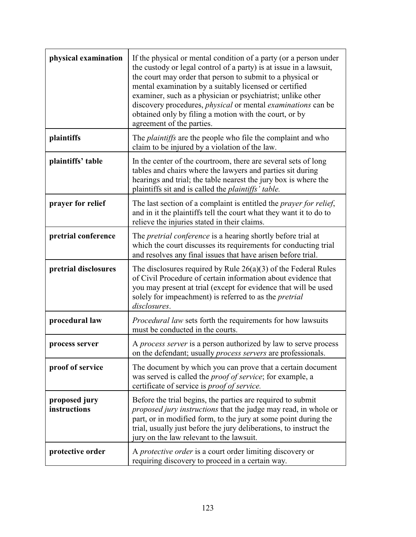| physical examination          | If the physical or mental condition of a party (or a person under<br>the custody or legal control of a party) is at issue in a lawsuit,<br>the court may order that person to submit to a physical or<br>mental examination by a suitably licensed or certified<br>examiner, such as a physician or psychiatrist; unlike other<br>discovery procedures, <i>physical</i> or mental <i>examinations</i> can be<br>obtained only by filing a motion with the court, or by<br>agreement of the parties. |
|-------------------------------|-----------------------------------------------------------------------------------------------------------------------------------------------------------------------------------------------------------------------------------------------------------------------------------------------------------------------------------------------------------------------------------------------------------------------------------------------------------------------------------------------------|
| plaintiffs                    | The <i>plaintiffs</i> are the people who file the complaint and who<br>claim to be injured by a violation of the law.                                                                                                                                                                                                                                                                                                                                                                               |
| plaintiffs' table             | In the center of the courtroom, there are several sets of long<br>tables and chairs where the lawyers and parties sit during<br>hearings and trial; the table nearest the jury box is where the<br>plaintiffs sit and is called the <i>plaintiffs'</i> table.                                                                                                                                                                                                                                       |
| prayer for relief             | The last section of a complaint is entitled the <i>prayer for relief</i> ,<br>and in it the plaintiffs tell the court what they want it to do to<br>relieve the injuries stated in their claims.                                                                                                                                                                                                                                                                                                    |
| pretrial conference           | The <i>pretrial conference</i> is a hearing shortly before trial at<br>which the court discusses its requirements for conducting trial<br>and resolves any final issues that have arisen before trial.                                                                                                                                                                                                                                                                                              |
| pretrial disclosures          | The disclosures required by Rule $26(a)(3)$ of the Federal Rules<br>of Civil Procedure of certain information about evidence that<br>you may present at trial (except for evidence that will be used<br>solely for impeachment) is referred to as the <i>pretrial</i><br>disclosures.                                                                                                                                                                                                               |
| procedural law                | <i>Procedural law</i> sets forth the requirements for how lawsuits<br>must be conducted in the courts.                                                                                                                                                                                                                                                                                                                                                                                              |
| process server                | A <i>process server</i> is a person authorized by law to serve process<br>on the defendant; usually <i>process servers</i> are professionals.                                                                                                                                                                                                                                                                                                                                                       |
| proof of service              | The document by which you can prove that a certain document<br>was served is called the <i>proof of service</i> ; for example, a<br>certificate of service is <i>proof of service</i> .                                                                                                                                                                                                                                                                                                             |
| proposed jury<br>instructions | Before the trial begins, the parties are required to submit<br><i>proposed jury instructions</i> that the judge may read, in whole or<br>part, or in modified form, to the jury at some point during the<br>trial, usually just before the jury deliberations, to instruct the<br>jury on the law relevant to the lawsuit.                                                                                                                                                                          |
| protective order              | A <i>protective order</i> is a court order limiting discovery or<br>requiring discovery to proceed in a certain way.                                                                                                                                                                                                                                                                                                                                                                                |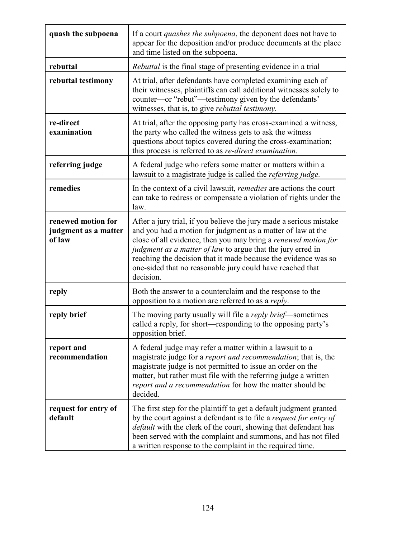| quash the subpoena                                   | If a court <i>quashes the subpoena</i> , the deponent does not have to<br>appear for the deposition and/or produce documents at the place<br>and time listed on the subpoena.                                                                                                                                                                                                                                         |
|------------------------------------------------------|-----------------------------------------------------------------------------------------------------------------------------------------------------------------------------------------------------------------------------------------------------------------------------------------------------------------------------------------------------------------------------------------------------------------------|
| rebuttal                                             | Rebuttal is the final stage of presenting evidence in a trial                                                                                                                                                                                                                                                                                                                                                         |
| rebuttal testimony                                   | At trial, after defendants have completed examining each of<br>their witnesses, plaintiffs can call additional witnesses solely to<br>counter—or "rebut"—testimony given by the defendants'<br>witnesses, that is, to give <i>rebuttal testimony</i> .                                                                                                                                                                |
| re-direct<br>examination                             | At trial, after the opposing party has cross-examined a witness,<br>the party who called the witness gets to ask the witness<br>questions about topics covered during the cross-examination;<br>this process is referred to as re-direct examination.                                                                                                                                                                 |
| referring judge                                      | A federal judge who refers some matter or matters within a<br>lawsuit to a magistrate judge is called the <i>referring judge</i> .                                                                                                                                                                                                                                                                                    |
| remedies                                             | In the context of a civil lawsuit, <i>remedies</i> are actions the court<br>can take to redress or compensate a violation of rights under the<br>law.                                                                                                                                                                                                                                                                 |
| renewed motion for<br>judgment as a matter<br>of law | After a jury trial, if you believe the jury made a serious mistake<br>and you had a motion for judgment as a matter of law at the<br>close of all evidence, then you may bring a renewed motion for<br><i>judgment as a matter of law</i> to argue that the jury erred in<br>reaching the decision that it made because the evidence was so<br>one-sided that no reasonable jury could have reached that<br>decision. |
| reply                                                | Both the answer to a counterclaim and the response to the<br>opposition to a motion are referred to as a reply.                                                                                                                                                                                                                                                                                                       |
| reply brief                                          | The moving party usually will file a <i>reply brief</i> —sometimes<br>called a reply, for short-responding to the opposing party's<br>opposition brief.                                                                                                                                                                                                                                                               |
| report and<br>recommendation                         | A federal judge may refer a matter within a lawsuit to a<br>magistrate judge for a <i>report and recommendation</i> ; that is, the<br>magistrate judge is not permitted to issue an order on the<br>matter, but rather must file with the referring judge a written<br><i>report and a recommendation</i> for how the matter should be<br>decided.                                                                    |
| request for entry of<br>default                      | The first step for the plaintiff to get a default judgment granted<br>by the court against a defendant is to file a <i>request for entry of</i><br><i>default</i> with the clerk of the court, showing that defendant has<br>been served with the complaint and summons, and has not filed<br>a written response to the complaint in the required time.                                                               |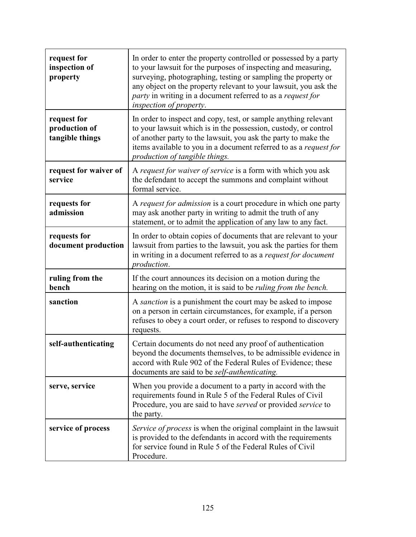| request for<br>inspection of<br>property        | In order to enter the property controlled or possessed by a party<br>to your lawsuit for the purposes of inspecting and measuring,<br>surveying, photographing, testing or sampling the property or<br>any object on the property relevant to your lawsuit, you ask the<br>party in writing in a document referred to as a request for<br>inspection of property. |
|-------------------------------------------------|-------------------------------------------------------------------------------------------------------------------------------------------------------------------------------------------------------------------------------------------------------------------------------------------------------------------------------------------------------------------|
| request for<br>production of<br>tangible things | In order to inspect and copy, test, or sample anything relevant<br>to your lawsuit which is in the possession, custody, or control<br>of another party to the lawsuit, you ask the party to make the<br>items available to you in a document referred to as a <i>request for</i><br>production of tangible things.                                                |
| request for waiver of<br>service                | A request for waiver of service is a form with which you ask<br>the defendant to accept the summons and complaint without<br>formal service.                                                                                                                                                                                                                      |
| requests for<br>admission                       | A request for admission is a court procedure in which one party<br>may ask another party in writing to admit the truth of any<br>statement, or to admit the application of any law to any fact.                                                                                                                                                                   |
| requests for<br>document production             | In order to obtain copies of documents that are relevant to your<br>lawsuit from parties to the lawsuit, you ask the parties for them<br>in writing in a document referred to as a <i>request for document</i><br>production.                                                                                                                                     |
| ruling from the<br>bench                        | If the court announces its decision on a motion during the<br>hearing on the motion, it is said to be <i>ruling from the bench</i> .                                                                                                                                                                                                                              |
| sanction                                        | A sanction is a punishment the court may be asked to impose<br>on a person in certain circumstances, for example, if a person<br>refuses to obey a court order, or refuses to respond to discovery<br>requests.                                                                                                                                                   |
| self-authenticating                             | Certain documents do not need any proof of authentication<br>beyond the documents themselves, to be admissible evidence in<br>accord with Rule 902 of the Federal Rules of Evidence; these<br>documents are said to be <i>self-authenticating</i> .                                                                                                               |
| serve, service                                  | When you provide a document to a party in accord with the<br>requirements found in Rule 5 of the Federal Rules of Civil<br>Procedure, you are said to have served or provided service to<br>the party.                                                                                                                                                            |
| service of process                              | Service of process is when the original complaint in the lawsuit<br>is provided to the defendants in accord with the requirements<br>for service found in Rule 5 of the Federal Rules of Civil<br>Procedure.                                                                                                                                                      |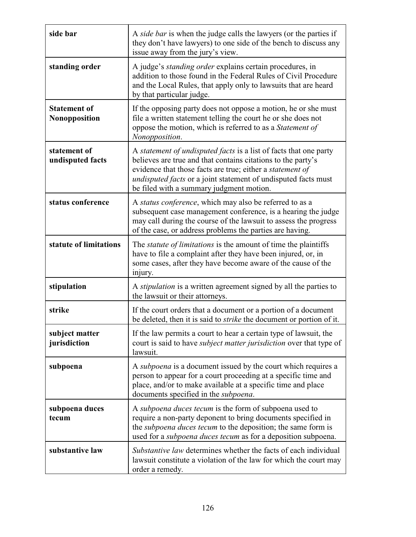| side bar                                    | A side bar is when the judge calls the lawyers (or the parties if<br>they don't have lawyers) to one side of the bench to discuss any<br>issue away from the jury's view.                                                                                                                                    |
|---------------------------------------------|--------------------------------------------------------------------------------------------------------------------------------------------------------------------------------------------------------------------------------------------------------------------------------------------------------------|
| standing order                              | A judge's <i>standing order</i> explains certain procedures, in<br>addition to those found in the Federal Rules of Civil Procedure<br>and the Local Rules, that apply only to lawsuits that are heard<br>by that particular judge.                                                                           |
| <b>Statement of</b><br><b>Nonopposition</b> | If the opposing party does not oppose a motion, he or she must<br>file a written statement telling the court he or she does not<br>oppose the motion, which is referred to as a Statement of<br>Nonopposition.                                                                                               |
| statement of<br>undisputed facts            | A statement of undisputed facts is a list of facts that one party<br>believes are true and that contains citations to the party's<br>evidence that those facts are true; either a statement of<br>undisputed facts or a joint statement of undisputed facts must<br>be filed with a summary judgment motion. |
| status conference                           | A status conference, which may also be referred to as a<br>subsequent case management conference, is a hearing the judge<br>may call during the course of the lawsuit to assess the progress<br>of the case, or address problems the parties are having.                                                     |
| statute of limitations                      | The <i>statute of limitations</i> is the amount of time the plaintiffs<br>have to file a complaint after they have been injured, or, in<br>some cases, after they have become aware of the cause of the<br>injury.                                                                                           |
| stipulation                                 | A <i>stipulation</i> is a written agreement signed by all the parties to<br>the lawsuit or their attorneys.                                                                                                                                                                                                  |
| strike                                      | If the court orders that a document or a portion of a document<br>be deleted, then it is said to <i>strike</i> the document or portion of it.                                                                                                                                                                |
| subject matter<br>jurisdiction              | If the law permits a court to hear a certain type of lawsuit, the<br>court is said to have <i>subject matter jurisdiction</i> over that type of<br>lawsuit.                                                                                                                                                  |
| subpoena                                    | A subpoena is a document issued by the court which requires a<br>person to appear for a court proceeding at a specific time and<br>place, and/or to make available at a specific time and place<br>documents specified in the <i>subpoena</i> .                                                              |
| subpoena duces<br>tecum                     | A subpoena duces tecum is the form of subpoena used to<br>require a non-party deponent to bring documents specified in<br>the subpoena duces tecum to the deposition; the same form is<br>used for a <i>subpoena duces tecum</i> as for a deposition subpoena.                                               |
| substantive law                             | <i>Substantive law</i> determines whether the facts of each individual<br>lawsuit constitute a violation of the law for which the court may<br>order a remedy.                                                                                                                                               |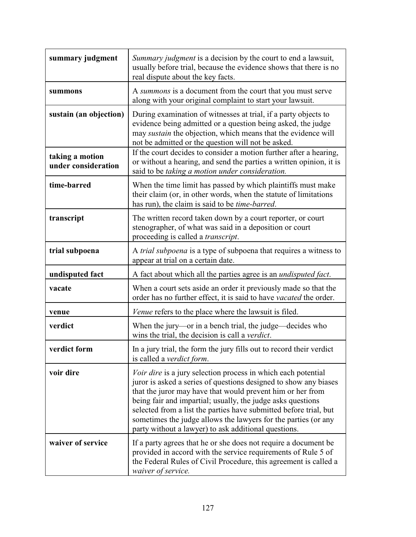| summary judgment                       | Summary judgment is a decision by the court to end a lawsuit,<br>usually before trial, because the evidence shows that there is no<br>real dispute about the key facts.                                                                                                                                                                                                                                                                                              |
|----------------------------------------|----------------------------------------------------------------------------------------------------------------------------------------------------------------------------------------------------------------------------------------------------------------------------------------------------------------------------------------------------------------------------------------------------------------------------------------------------------------------|
| summons                                | A summons is a document from the court that you must serve<br>along with your original complaint to start your lawsuit.                                                                                                                                                                                                                                                                                                                                              |
| sustain (an objection)                 | During examination of witnesses at trial, if a party objects to<br>evidence being admitted or a question being asked, the judge<br>may sustain the objection, which means that the evidence will<br>not be admitted or the question will not be asked.                                                                                                                                                                                                               |
| taking a motion<br>under consideration | If the court decides to consider a motion further after a hearing,<br>or without a hearing, and send the parties a written opinion, it is<br>said to be taking a motion under consideration.                                                                                                                                                                                                                                                                         |
| time-barred                            | When the time limit has passed by which plaintiffs must make<br>their claim (or, in other words, when the statute of limitations<br>has run), the claim is said to be <i>time-barred</i> .                                                                                                                                                                                                                                                                           |
| transcript                             | The written record taken down by a court reporter, or court<br>stenographer, of what was said in a deposition or court<br>proceeding is called a <i>transcript</i> .                                                                                                                                                                                                                                                                                                 |
| trial subpoena                         | A trial subpoena is a type of subpoena that requires a witness to<br>appear at trial on a certain date.                                                                                                                                                                                                                                                                                                                                                              |
| undisputed fact                        | A fact about which all the parties agree is an <i>undisputed fact</i> .                                                                                                                                                                                                                                                                                                                                                                                              |
| vacate                                 | When a court sets aside an order it previously made so that the<br>order has no further effect, it is said to have vacated the order.                                                                                                                                                                                                                                                                                                                                |
| venue                                  | <i>Venue</i> refers to the place where the lawsuit is filed.                                                                                                                                                                                                                                                                                                                                                                                                         |
| verdict                                | When the jury—or in a bench trial, the judge—decides who<br>wins the trial, the decision is call a <i>verdict</i> .                                                                                                                                                                                                                                                                                                                                                  |
| verdict form                           | In a jury trial, the form the jury fills out to record their verdict<br>is called a <i>verdict form</i> .                                                                                                                                                                                                                                                                                                                                                            |
| voir dire                              | <i>Voir dire</i> is a jury selection process in which each potential<br>juror is asked a series of questions designed to show any biases<br>that the juror may have that would prevent him or her from<br>being fair and impartial; usually, the judge asks questions<br>selected from a list the parties have submitted before trial, but<br>sometimes the judge allows the lawyers for the parties (or any<br>party without a lawyer) to ask additional questions. |
| waiver of service                      | If a party agrees that he or she does not require a document be<br>provided in accord with the service requirements of Rule 5 of<br>the Federal Rules of Civil Procedure, this agreement is called a<br>waiver of service.                                                                                                                                                                                                                                           |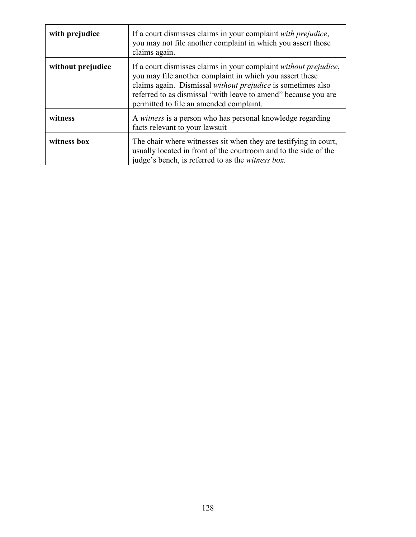| with prejudice    | If a court dismisses claims in your complaint with prejudice,<br>you may not file another complaint in which you assert those<br>claims again.                                                                                                                                                           |
|-------------------|----------------------------------------------------------------------------------------------------------------------------------------------------------------------------------------------------------------------------------------------------------------------------------------------------------|
| without prejudice | If a court dismisses claims in your complaint without prejudice,<br>you may file another complaint in which you assert these<br>claims again. Dismissal without prejudice is sometimes also<br>referred to as dismissal "with leave to amend" because you are<br>permitted to file an amended complaint. |
| witness           | A witness is a person who has personal knowledge regarding<br>facts relevant to your lawsuit                                                                                                                                                                                                             |
| witness box       | The chair where witnesses sit when they are testifying in court,<br>usually located in front of the courtroom and to the side of the<br>judge's bench, is referred to as the <i>witness box</i> .                                                                                                        |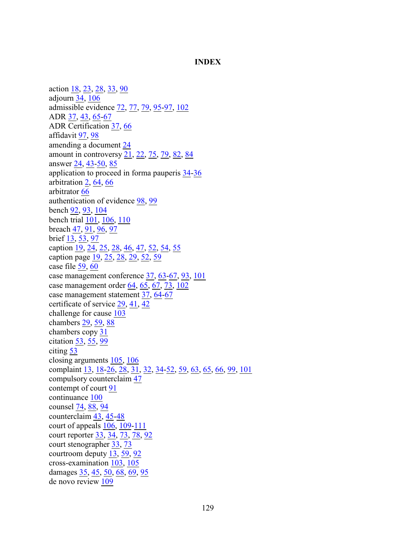#### **INDEX**

action [18](#page-22-0), [23](#page-26-0), [28](#page-32-0), [33](#page-37-0), [90](#page-94-0) adjourn [34](#page-38-0), [106](#page-109-0) admissible evidence [72](#page-76-0), [77](#page-81-0), [79](#page-83-0), [95](#page-99-0)[-97](#page-101-0), [102](#page-105-0) ADR [37](#page-41-0), [43](#page-47-0), [65](#page-69-0)[-67](#page-71-0) ADR Certification [37](#page-41-1), [66](#page-70-0) affidavit [97](#page-101-1), [98](#page-101-2) amending a document [24](#page-28-0) amount in controversy  $\overline{21}$ ,  $\overline{22}$ ,  $\overline{75}$ ,  $\overline{79}$ ,  $\overline{82}$ ,  $\overline{84}$ answer [24](#page-28-1), [43](#page-47-1)[-50](#page-54-0), [85](#page-89-0) application to proceed in forma pauperis [34](#page-38-1)[-36](#page-40-0) arbitration [2](#page-6-0), [64](#page-68-0), [66](#page-70-1) arbitrator [66](#page-70-2) authentication of evidence [98](#page-102-0), [99](#page-102-1) bench [92](#page-96-0), [93](#page-97-0), [104](#page-107-0) bench trial [101](#page-104-0), [106](#page-108-0), [110](#page-113-0) breach  $47, 91, 96, 97$  $47, 91, 96, 97$  $47, 91, 96, 97$  $47, 91, 96, 97$  $47, 91, 96, 97$  $47, 91, 96, 97$ brief [13](#page-17-0), [53](#page-57-0), [97](#page-101-4) caption [19](#page-23-0), [24](#page-27-0), [25](#page-28-2), [28](#page-32-1), [46](#page-50-0), [47](#page-51-1), [52](#page-56-0), [54](#page-58-0), [55](#page-59-0) caption page [19](#page-23-1), [25](#page-29-0), [28](#page-32-2), [29](#page-33-0), [52](#page-56-1), [59](#page-63-0) case file [59](#page-63-1), [60](#page-64-0) case management conference [37](#page-41-2), [63](#page-67-0)[-67](#page-71-1), [93](#page-97-1), [101](#page-104-1) case management order [64](#page-68-1), [65](#page-69-1), [67](#page-71-2), [73](#page-77-0), [102](#page-105-1) case management statement [37](#page-41-3), [64](#page-68-2)[-67](#page-71-3) certificate of service [29](#page-33-1), [41](#page-45-0), [42](#page-45-1) challenge for cause [103](#page-106-0) chambers [29](#page-33-2), [59](#page-63-2), [88](#page-92-0) chambers copy [31](#page-34-0) citation [53](#page-57-1), [55](#page-59-1), [99](#page-103-0) citing [53](#page-57-2) closing arguments [105](#page-108-1), [106](#page-109-1) complaint [13](#page-17-1), [18](#page-22-1)[-26](#page-30-0), [28](#page-32-3), [31](#page-35-0), [32](#page-36-0), [34](#page-38-2)[-52](#page-56-2), [59](#page-63-3), [63](#page-67-1), [65](#page-69-2), [66](#page-70-3), [99](#page-103-1), [101](#page-104-2) compulsory counterclaim [47](#page-51-2) contempt of court [91](#page-95-1) continuance [100](#page-103-2) counsel [74](#page-78-0), [88](#page-92-1), [94](#page-98-0) counterclaim [43](#page-47-2), [45](#page-49-0)[-48](#page-52-0) court of appeals [106](#page-109-2), [109](#page-112-0)[-111](#page-114-0) court reporter [33](#page-37-1), [34](#page-38-3), [73](#page-77-1), [78](#page-82-0), [92](#page-96-1) court stenographer [33](#page-37-2), [73](#page-77-2) courtroom deputy [13](#page-17-2), [59](#page-63-4), [92](#page-96-2) cross-examination [103](#page-106-1), [105](#page-108-2) damages [35](#page-39-0), [45](#page-49-1), [50](#page-54-1), [68](#page-72-0), [69](#page-73-0), [95](#page-99-1) de novo review [109](#page-112-1)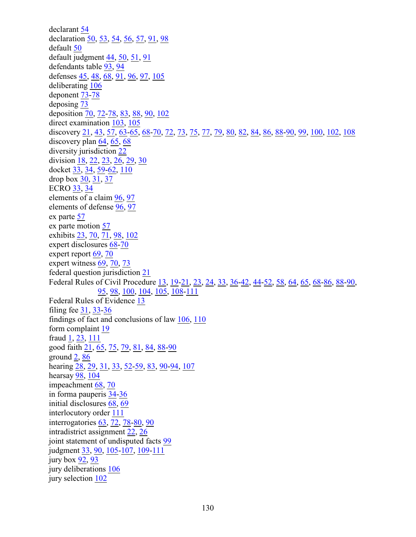declarant [54](#page-58-1) declaration [50](#page-54-2), [53](#page-57-3), [54](#page-57-4), [56](#page-60-0), [57](#page-61-0), [91](#page-94-1), [98](#page-101-5) default [50](#page-54-3) default judgment  $44, 50, 51, 91$  $44, 50, 51, 91$  $44, 50, 51, 91$  $44, 50, 51, 91$  $44, 50, 51, 91$  $44, 50, 51, 91$ defendants table [93](#page-97-2), [94](#page-98-1) defenses [45](#page-49-2), [48](#page-52-1), [68](#page-72-1), [91](#page-95-3), [96](#page-100-1), [97](#page-101-6), [105](#page-108-3) deliberating [106](#page-109-3) deponent [73](#page-77-3)[-78](#page-82-1) deposing [73](#page-77-4) deposition [70](#page-74-0), [72](#page-76-1)[-78](#page-82-2), [83](#page-87-0), [88](#page-92-2), [90](#page-94-2), [102](#page-105-2) direct examination [103](#page-106-2), [105](#page-108-4) discovery [21](#page-25-2), [43](#page-47-3), [57](#page-61-1), [63](#page-67-2)[-65](#page-69-3), [68](#page-72-2)[-70](#page-74-1), [72](#page-76-2), [73](#page-77-5), [75](#page-79-1), [77](#page-81-1), [79](#page-83-2), [80](#page-84-0), [82](#page-86-1), [84](#page-88-1), [86](#page-90-0), [88](#page-92-3)[-90](#page-94-3), [99](#page-103-3), [100](#page-103-4), [102](#page-105-3), [108](#page-111-0) discovery plan [64](#page-68-3), [65](#page-69-4), [68](#page-72-3) diversity jurisdiction [22](#page-25-3) division [18](#page-22-2), [22](#page-26-1), [23](#page-26-2), [26](#page-30-1), [29](#page-33-3), [30](#page-33-4) docket [33](#page-37-3), [34](#page-37-4), [59](#page-63-5)[-62](#page-65-0), [110](#page-113-1) drop box [30](#page-34-1), [31](#page-34-2), [37](#page-41-4) ECRO [33](#page-37-5), [34](#page-38-4) elements of a claim [96](#page-100-2), [97](#page-101-7) elements of defense [96](#page-100-3), [97](#page-101-8) ex parte [57](#page-61-2) ex parte motion [57](#page-61-3) exhibits [23](#page-27-1), [70](#page-74-2), [71](#page-75-0), [98](#page-102-2), [102](#page-105-4) expert disclosures [68](#page-72-4)[-70](#page-74-3) expert report [69](#page-73-1), [70](#page-74-4) expert witness [69](#page-73-2), [70](#page-74-5), [73](#page-77-6) federal question jurisdiction [21](#page-25-4) Federal Rules of Civil Procedure [13](#page-17-3), [19](#page-23-2)[-21](#page-24-0), [23](#page-27-2), [24](#page-28-3), [33](#page-37-6), [36](#page-40-1)[-42](#page-46-0), [44](#page-48-1)[-52](#page-56-3), [58](#page-61-4), [64](#page-68-4), [65](#page-69-5), [68](#page-72-5)[-86](#page-90-1), [88](#page-92-4)[-90](#page-94-4), [95](#page-99-2), [98](#page-102-3), [100](#page-103-5), [104](#page-107-1), [105](#page-108-5), [108](#page-111-1)[-111](#page-114-1) Federal Rules of Evidence [13](#page-17-4) filing fee [31](#page-35-1), [33](#page-37-7)[-36](#page-40-2) findings of fact and conclusions of law [106](#page-109-4), [110](#page-113-2) form complaint [19](#page-22-3) fraud [1](#page-5-0), [23](#page-27-3), [111](#page-114-2) good faith [21](#page-24-1), [65](#page-69-6), [75](#page-79-2), [79](#page-83-3), [81](#page-85-0), [84](#page-88-2), [88](#page-92-5)[-90](#page-93-0) ground [2](#page-6-1), [86](#page-90-2) hearing [28](#page-32-4), [29](#page-33-5), [31](#page-35-2), [33](#page-37-8), [52](#page-56-4)[-59](#page-63-6), [83](#page-87-1), [90](#page-94-5)[-94](#page-98-2), [107](#page-110-0) hearsay [98](#page-102-4), [104](#page-107-2) impeachment [68](#page-72-6), [70](#page-74-6) in forma pauperis [34](#page-38-1)[-36](#page-40-3) initial disclosures [68](#page-72-7), [69](#page-73-3) interlocutory order [111](#page-114-3) interrogatories [63](#page-67-3), [72](#page-76-3), [78](#page-82-3)[-80](#page-84-1), [90](#page-94-6) intradistrict assignment [22](#page-26-3), [26](#page-30-2) joint statement of undisputed facts [99](#page-103-6) judgment [33](#page-37-9), [90](#page-94-7), [105](#page-108-6)[-107](#page-110-1), [109](#page-112-2)[-111](#page-114-4) jury box [92](#page-96-3), [93](#page-97-3) jury deliberations [106](#page-109-5) jury selection [102](#page-105-5)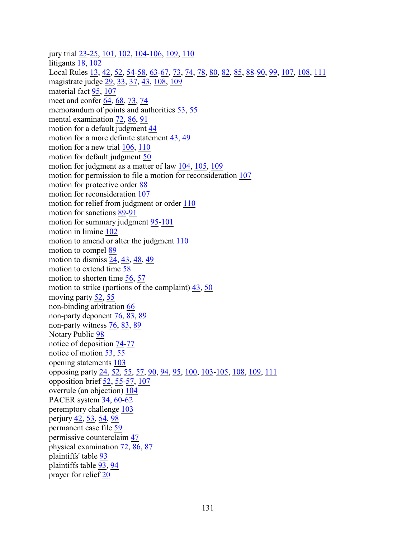jury trial [23](#page-27-4)[-25](#page-29-1), [101](#page-104-3), [102](#page-105-6), [104](#page-107-3)[-106](#page-109-6), [109](#page-112-3), [110](#page-113-3) litigants [18](#page-22-4), [102](#page-105-7) Local Rules [13](#page-17-5), [42](#page-46-1), [52](#page-56-5), [54](#page-58-2)[-58](#page-61-5), [63](#page-67-4)[-67](#page-71-4), [73](#page-77-7), [74](#page-78-1), [78](#page-82-4), [80](#page-84-2), [82](#page-86-2), [85](#page-89-1), [88](#page-92-6)[-90](#page-94-8), [99](#page-103-7), [107](#page-110-2), [108](#page-111-2), [111](#page-114-5) magistrate judge [29](#page-33-6), [33](#page-37-10), [37](#page-41-5), [43](#page-47-4), [108](#page-111-3), [109](#page-112-4) material fact [95](#page-99-3), [107](#page-110-3) meet and confer [64](#page-68-5), [68](#page-72-8), [73](#page-77-8), [74](#page-78-2) memorandum of points and authorities [53](#page-57-5), [55](#page-59-2) mental examination [72](#page-76-4), [86](#page-90-3), [91](#page-95-4) motion for a default judgment [44](#page-48-2) motion for a more definite statement [43](#page-47-5), [49](#page-53-0) motion for a new trial [106](#page-109-7), [110](#page-113-4) motion for default judgment [50](#page-54-5) motion for judgment as a matter of law [104](#page-107-4), [105](#page-108-7), [109](#page-112-5) motion for permission to file a motion for reconsideration [107](#page-110-4) motion for protective order [88](#page-92-7) motion for reconsideration [107](#page-110-5) motion for relief from judgment or order [110](#page-113-5) motion for sanctions [89](#page-93-1)[-91](#page-95-5) motion for summary judgment [95](#page-99-4)[-101](#page-104-4) motion in limine [102](#page-105-8) motion to amend or alter the judgment [110](#page-113-6) motion to compel [89](#page-93-2) motion to dismiss [24](#page-28-4), [43](#page-47-6), [48](#page-52-2), [49](#page-53-1) motion to extend time [58](#page-62-0) motion to shorten time [56](#page-60-1), [57](#page-61-6) motion to strike (portions of the complaint) [43](#page-47-7), [50](#page-54-6) moving party [52](#page-56-6), [55](#page-59-3) non-binding arbitration [66](#page-70-4) non-party deponent [76](#page-80-0), [83](#page-87-2), [89](#page-93-3) non-party witness [76](#page-80-1), [83](#page-87-2), [89](#page-93-3) Notary Public [98](#page-101-9) notice of deposition [74](#page-78-3)[-77](#page-81-2) notice of motion [53](#page-57-6), [55](#page-59-4) opening statements [103](#page-106-3) opposing party [24](#page-28-5), [52](#page-56-7), [55](#page-59-5), [57](#page-61-7), [90](#page-94-9), [94](#page-98-3), [95](#page-99-5), [100](#page-103-8), [103](#page-106-4)[-105](#page-108-8), [108](#page-111-4), [109](#page-112-6), [111](#page-114-6) opposition brief [52](#page-56-8), [55](#page-59-6)[-57](#page-61-8), [107](#page-110-6) overrule (an objection) [104](#page-107-5) PACER system [34](#page-37-11), [60](#page-64-1)[-62](#page-65-1) peremptory challenge [103](#page-106-5) perjury [42](#page-45-2), [53](#page-57-7), [54](#page-58-3), [98](#page-102-5) permanent case file [59](#page-63-7) permissive counterclaim [47](#page-51-3) physical examination [72](#page-76-5), [86](#page-90-4), [87](#page-91-0) plaintiffs' table [93](#page-97-4) plaintiffs table [93](#page-97-5), [94](#page-98-1) prayer for relief [20](#page-24-2)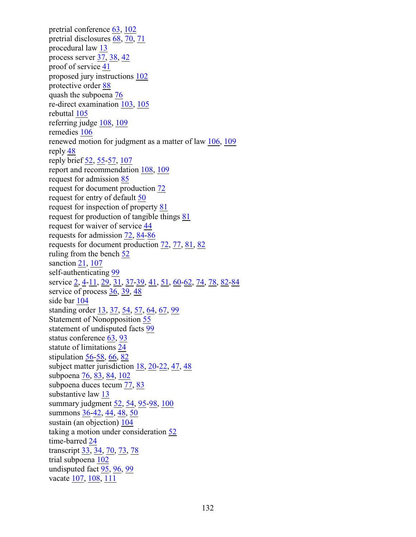pretrial conference [63](#page-67-5), [102](#page-105-9) pretrial disclosures [68](#page-72-9), [70](#page-74-7), [71](#page-75-1) procedural law [13](#page-17-6) process server [37](#page-41-6), [38](#page-42-0), [42](#page-45-3) proof of service [41](#page-45-4) proposed jury instructions [102](#page-105-10) protective order [88](#page-92-8) quash the subpoena [76](#page-80-2) re-direct examination [103](#page-106-6), [105](#page-108-9) rebuttal [105](#page-108-10) referring judge [108](#page-111-5), [109](#page-112-7) remedies [106](#page-109-8) renewed motion for judgment as a matter of law [106](#page-109-9), [109](#page-112-8) reply [48](#page-52-3) reply brief [52](#page-56-9), [55](#page-59-7)[-57](#page-61-9), [107](#page-110-7) report and recommendation [108](#page-111-6), [109](#page-112-9) request for admission [85](#page-89-2) request for document production [72](#page-76-6) request for entry of default [50](#page-54-7) request for inspection of property [81](#page-85-1) request for production of tangible things [81](#page-85-2) request for waiver of service [44](#page-48-3) requests for admission [72](#page-76-7), [84](#page-88-3)[-86](#page-90-5) requests for document production [72](#page-76-8), [77](#page-81-3), [81](#page-85-3), [82](#page-86-3) ruling from the bench [52](#page-56-10) sanction [21](#page-25-5), [107](#page-110-8) self-authenticating [99](#page-103-9) service [2](#page-6-2), [4](#page-8-0)[-11](#page-15-0), [29](#page-33-7), [31](#page-35-3), [37](#page-41-7)[-39](#page-43-0), [41](#page-45-5), [51](#page-55-1), [60](#page-64-2)[-62](#page-65-2), [74](#page-78-4), [78](#page-82-5), [82](#page-86-4)[-84](#page-88-4) service of process [36](#page-40-4), [39](#page-43-1), [48](#page-52-4) side bar [104](#page-107-6) standing order [13](#page-17-7), [37](#page-41-8), [54](#page-58-4), [57](#page-61-10), [64](#page-68-6), [67](#page-71-5), [99](#page-103-10) Statement of Nonopposition [55](#page-59-8) statement of undisputed facts [99](#page-103-11) status conference [63](#page-67-6), [93](#page-97-6) statute of limitations [24](#page-28-6) stipulation [56](#page-60-2)[-58](#page-61-11), [66](#page-70-5), [82](#page-86-5) subject matter jurisdiction  $18$ ,  $20-22$  $20-22$ ,  $47$ ,  $48$ subpoena [76](#page-80-3), [83](#page-87-3), [84](#page-88-5), [102](#page-105-11) subpoena duces tecum [77](#page-81-4), [83](#page-87-4) substantive law [13](#page-17-8) summary judgment [52](#page-56-11), [54](#page-58-5), [95](#page-99-6)[-98](#page-102-6), [100](#page-103-12) summons [36](#page-40-5)[-42](#page-45-6), [44](#page-48-4), [48](#page-52-6), [50](#page-54-8) sustain (an objection) [104](#page-107-5) taking a motion under consideration [52](#page-56-12) time-barred [24](#page-28-7) transcript [33](#page-37-12), [34](#page-38-5), [70](#page-74-8), [73](#page-77-9), [78](#page-82-6) trial subpoena [102](#page-105-12) undisputed fact [95](#page-99-7), [96](#page-100-4), [99](#page-103-13) vacate [107](#page-110-9), [108](#page-111-7), [111](#page-114-7)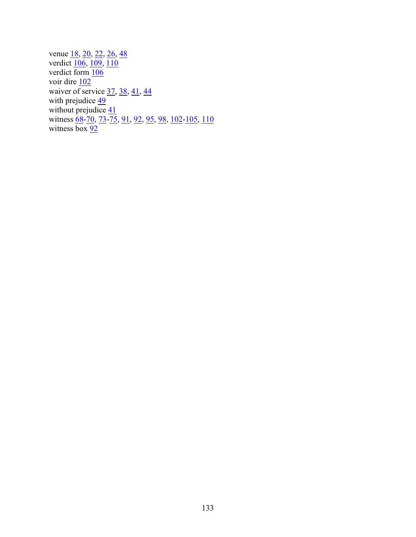venue <u>18, [20](#page-23-4), [22](#page-26-4), [26](#page-30-3), [48](#page-52-7)</u> verdict [106](#page-109-10), [109](#page-112-10), [110](#page-113-7) verdict form  $106$ voir dire [102](#page-105-13) waiver of service [37](#page-41-9), [38](#page-42-1), [41](#page-45-7), [44](#page-48-5) with prejudice [49](#page-53-2) without prejudice  $\frac{41}{3}$ witness [68](#page-72-10)[-70](#page-74-9), [73](#page-77-10)[-75](#page-79-3), [91](#page-95-6), [92](#page-96-4), [95](#page-99-8), [98](#page-101-10), [102](#page-105-14)[-105](#page-108-11), [110](#page-113-8) witness  $\overline{box}\ \frac{92}{2}$